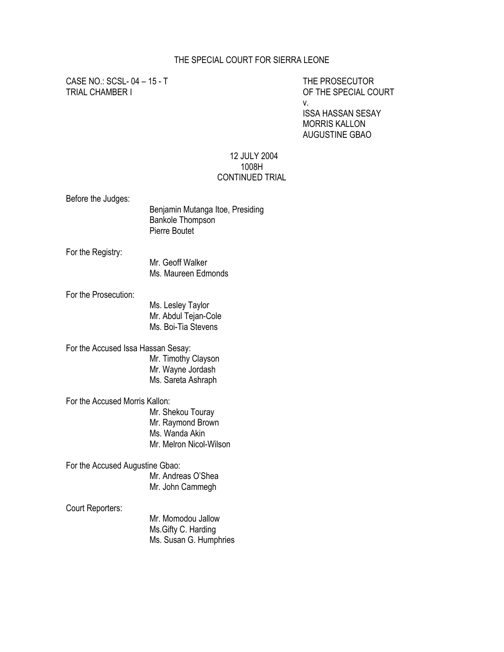#### THE SPECIAL COURT FOR SIERRA LEONE

CASE NO.: SCSL- 04 – 15 - T THE PROSECUTOR

OF THE SPECIAL COURT v. ISSA HASSAN SESAY MORRIS KALLON AUGUSTINE GBAO

#### 12 JULY 2004 1008H CONTINUED TRIAL

Before the Judges:

| Before the Judges:                 | Benjamin Mutanga Itoe, Presiding<br><b>Bankole Thompson</b><br><b>Pierre Boutet</b> |
|------------------------------------|-------------------------------------------------------------------------------------|
| For the Registry:                  | Mr. Geoff Walker<br>Ms. Maureen Edmonds                                             |
| For the Prosecution:               | Ms. Lesley Taylor<br>Mr. Abdul Tejan-Cole<br>Ms. Boi-Tia Stevens                    |
| For the Accused Issa Hassan Sesay: | Mr. Timothy Clayson<br>Mr. Wayne Jordash<br>Ms. Sareta Ashraph                      |
| For the Accused Morris Kallon:     | Mr. Shekou Touray<br>Mr. Raymond Brown<br>Ms. Wanda Akin<br>Mr. Melron Nicol-Wilson |
| For the Accused Augustine Gbao:    | Mr. Andreas O'Shea<br>Mr. John Cammegh                                              |
| Court Reporters:                   | Mr. Momodou Jallow<br>Ms.Gifty C. Harding                                           |

Ms. Susan G. Humphries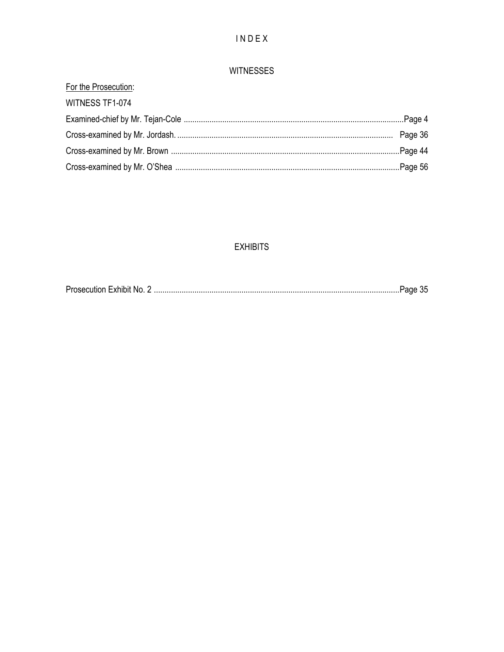# $IN$   $D$   $E$   $X$

### **WITNESSES**

## **EXHIBITS**

| $\sim$ $\sim$<br><b>Prosecution Exhibit No</b> |  |  |  |  |  |
|------------------------------------------------|--|--|--|--|--|
|------------------------------------------------|--|--|--|--|--|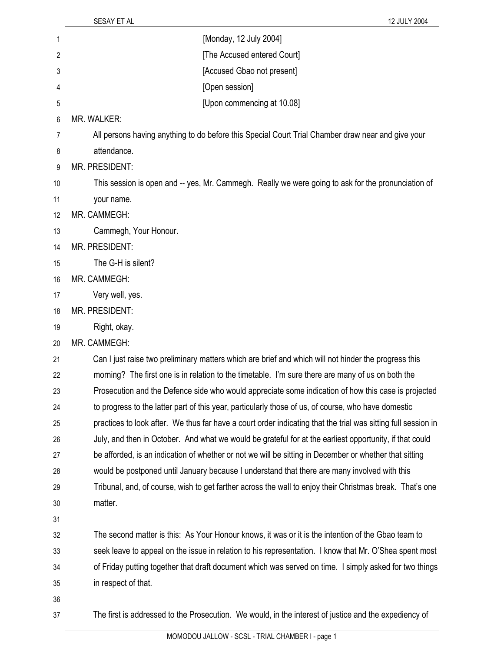| 1  | [Monday, 12 July 2004]                                                                                        |
|----|---------------------------------------------------------------------------------------------------------------|
| 2  | [The Accused entered Court]                                                                                   |
| 3  | [Accused Gbao not present]                                                                                    |
| 4  | [Open session]                                                                                                |
| 5  | [Upon commencing at 10.08]                                                                                    |
| 6  | <b>MR. WALKER:</b>                                                                                            |
| 7  | All persons having anything to do before this Special Court Trial Chamber draw near and give your             |
| 8  | attendance.                                                                                                   |
| 9  | MR. PRESIDENT:                                                                                                |
| 10 | This session is open and -- yes, Mr. Cammegh. Really we were going to ask for the pronunciation of            |
| 11 | your name.                                                                                                    |
| 12 | MR. CAMMEGH:                                                                                                  |
| 13 | Cammegh, Your Honour.                                                                                         |
| 14 | MR. PRESIDENT:                                                                                                |
| 15 | The G-H is silent?                                                                                            |
| 16 | MR. CAMMEGH:                                                                                                  |
| 17 | Very well, yes.                                                                                               |
| 18 | MR. PRESIDENT:                                                                                                |
| 19 | Right, okay.                                                                                                  |
| 20 | MR. CAMMEGH:                                                                                                  |
| 21 | Can I just raise two preliminary matters which are brief and which will not hinder the progress this          |
| 22 | morning? The first one is in relation to the timetable. I'm sure there are many of us on both the             |
| 23 | Prosecution and the Defence side who would appreciate some indication of how this case is projected           |
| 24 | to progress to the latter part of this year, particularly those of us, of course, who have domestic           |
| 25 | practices to look after. We thus far have a court order indicating that the trial was sitting full session in |
| 26 | July, and then in October. And what we would be grateful for at the earliest opportunity, if that could       |
| 27 | be afforded, is an indication of whether or not we will be sitting in December or whether that sitting        |
| 28 | would be postponed until January because I understand that there are many involved with this                  |
| 29 | Tribunal, and, of course, wish to get farther across the wall to enjoy their Christmas break. That's one      |
| 30 | matter.                                                                                                       |
| 31 |                                                                                                               |
| 32 | The second matter is this: As Your Honour knows, it was or it is the intention of the Gbao team to            |
| 33 | seek leave to appeal on the issue in relation to his representation. I know that Mr. O'Shea spent most        |
| 34 | of Friday putting together that draft document which was served on time. I simply asked for two things        |
| 35 | in respect of that.                                                                                           |
| 36 |                                                                                                               |
| 37 | The first is addressed to the Prosecution. We would, in the interest of justice and the expediency of         |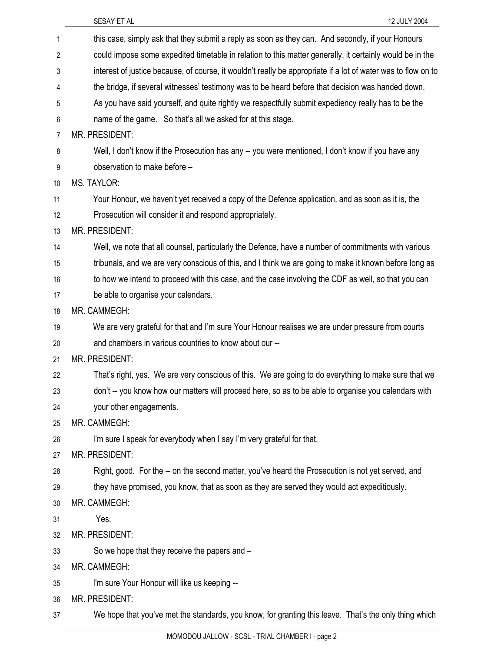| 1              | this case, simply ask that they submit a reply as soon as they can. And secondly, if your Honours             |
|----------------|---------------------------------------------------------------------------------------------------------------|
| 2              | could impose some expedited timetable in relation to this matter generally, it certainly would be in the      |
| 3              | interest of justice because, of course, it wouldn't really be appropriate if a lot of water was to flow on to |
| 4              | the bridge, if several witnesses' testimony was to be heard before that decision was handed down.             |
| 5              | As you have said yourself, and quite rightly we respectfully submit expediency really has to be the           |
| 6              | name of the game. So that's all we asked for at this stage.                                                   |
| $\overline{7}$ | MR. PRESIDENT:                                                                                                |
| 8              | Well, I don't know if the Prosecution has any -- you were mentioned, I don't know if you have any             |
| 9              | observation to make before -                                                                                  |
| 10             | MS. TAYLOR:                                                                                                   |
| 11             | Your Honour, we haven't yet received a copy of the Defence application, and as soon as it is, the             |
| 12             | Prosecution will consider it and respond appropriately.                                                       |
| 13             | MR. PRESIDENT:                                                                                                |
| 14             | Well, we note that all counsel, particularly the Defence, have a number of commitments with various           |
| 15             | tribunals, and we are very conscious of this, and I think we are going to make it known before long as        |
| 16             | to how we intend to proceed with this case, and the case involving the CDF as well, so that you can           |
| 17             | be able to organise your calendars.                                                                           |
| 18             | MR. CAMMEGH:                                                                                                  |
| 19             | We are very grateful for that and I'm sure Your Honour realises we are under pressure from courts             |
| 20             | and chambers in various countries to know about our --                                                        |
| 21             | MR. PRESIDENT:                                                                                                |
| 22             | That's right, yes. We are very conscious of this. We are going to do everything to make sure that we          |
| 23             | don't -- you know how our matters will proceed here, so as to be able to organise you calendars with          |
| 24             | your other engagements.                                                                                       |
| 25             | MR. CAMMEGH:                                                                                                  |
| 26             | I'm sure I speak for everybody when I say I'm very grateful for that.                                         |
| 27             | MR. PRESIDENT:                                                                                                |
| 28             | Right, good. For the -- on the second matter, you've heard the Prosecution is not yet served, and             |
| 29             | they have promised, you know, that as soon as they are served they would act expeditiously.                   |
| 30             | MR. CAMMEGH:                                                                                                  |
| 31             | Yes.                                                                                                          |
| 32             | MR. PRESIDENT:                                                                                                |
| 33             | So we hope that they receive the papers and -                                                                 |
| 34             | MR. CAMMEGH:                                                                                                  |
| 35             | I'm sure Your Honour will like us keeping --                                                                  |
| 36             | MR. PRESIDENT:                                                                                                |
| 37             | We hope that you've met the standards, you know, for granting this leave. That's the only thing which         |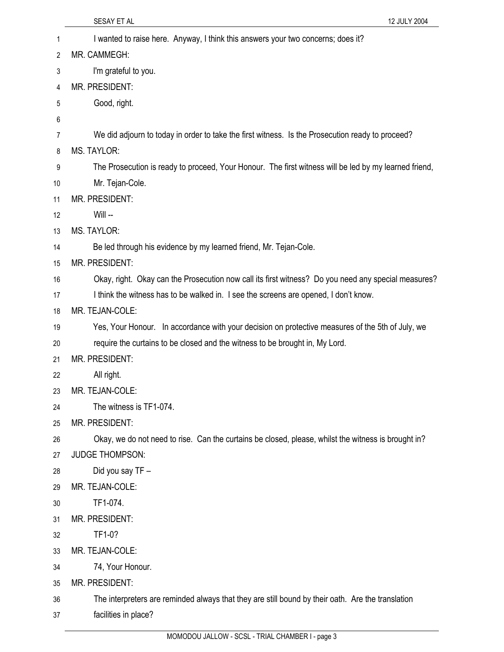|    | 12 JULY 2004<br>SESAY ET AL                                                                           |
|----|-------------------------------------------------------------------------------------------------------|
| 1  | I wanted to raise here. Anyway, I think this answers your two concerns; does it?                      |
| 2  | MR. CAMMEGH:                                                                                          |
| 3  | I'm grateful to you.                                                                                  |
| 4  | MR. PRESIDENT:                                                                                        |
| 5  | Good, right.                                                                                          |
| 6  |                                                                                                       |
| 7  | We did adjourn to today in order to take the first witness. Is the Prosecution ready to proceed?      |
| 8  | <b>MS. TAYLOR:</b>                                                                                    |
| 9  | The Prosecution is ready to proceed, Your Honour. The first witness will be led by my learned friend, |
| 10 | Mr. Tejan-Cole.                                                                                       |
| 11 | MR. PRESIDENT:                                                                                        |
| 12 | Will --                                                                                               |
| 13 | <b>MS. TAYLOR:</b>                                                                                    |
| 14 | Be led through his evidence by my learned friend, Mr. Tejan-Cole.                                     |
| 15 | MR. PRESIDENT:                                                                                        |
| 16 | Okay, right. Okay can the Prosecution now call its first witness? Do you need any special measures?   |
| 17 | I think the witness has to be walked in. I see the screens are opened, I don't know.                  |
| 18 | MR. TEJAN-COLE:                                                                                       |
| 19 | Yes, Your Honour. In accordance with your decision on protective measures of the 5th of July, we      |
| 20 | require the curtains to be closed and the witness to be brought in, My Lord.                          |
| 21 | MR. PRESIDENT:                                                                                        |
| 22 | All right.                                                                                            |
| 23 | MR. TEJAN-COLE:                                                                                       |
| 24 | The witness is TF1-074.                                                                               |
| 25 | MR. PRESIDENT:                                                                                        |
| 26 | Okay, we do not need to rise. Can the curtains be closed, please, whilst the witness is brought in?   |
| 27 | <b>JUDGE THOMPSON:</b>                                                                                |
| 28 | Did you say TF -                                                                                      |
| 29 | MR. TEJAN-COLE:                                                                                       |
| 30 | TF1-074.                                                                                              |
| 31 | MR. PRESIDENT:                                                                                        |
| 32 | TF1-0?                                                                                                |
| 33 | MR. TEJAN-COLE:                                                                                       |
| 34 | 74, Your Honour.                                                                                      |
| 35 | MR. PRESIDENT:                                                                                        |
| 36 | The interpreters are reminded always that they are still bound by their oath. Are the translation     |
| 37 | facilities in place?                                                                                  |
|    |                                                                                                       |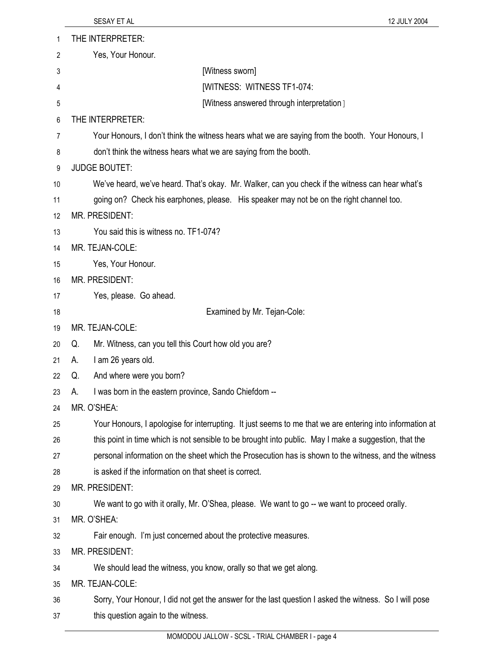| 1  | THE INTERPRETER:                                                                                         |
|----|----------------------------------------------------------------------------------------------------------|
| 2  | Yes, Your Honour.                                                                                        |
| 3  | [Witness sworn]                                                                                          |
| 4  | [WITNESS: WITNESS TF1-074:                                                                               |
| 5  | [Witness answered through interpretation]                                                                |
| 6  | THE INTERPRETER:                                                                                         |
| 7  | Your Honours, I don't think the witness hears what we are saying from the booth. Your Honours, I         |
| 8  | don't think the witness hears what we are saying from the booth.                                         |
| 9  | <b>JUDGE BOUTET:</b>                                                                                     |
| 10 | We've heard, we've heard. That's okay. Mr. Walker, can you check if the witness can hear what's          |
| 11 | going on? Check his earphones, please. His speaker may not be on the right channel too.                  |
| 12 | MR. PRESIDENT:                                                                                           |
| 13 | You said this is witness no. TF1-074?                                                                    |
| 14 | MR. TEJAN-COLE:                                                                                          |
| 15 | Yes, Your Honour.                                                                                        |
| 16 | MR. PRESIDENT:                                                                                           |
| 17 | Yes, please. Go ahead.                                                                                   |
| 18 | Examined by Mr. Tejan-Cole:                                                                              |
| 19 | MR. TEJAN-COLE:                                                                                          |
| 20 | Mr. Witness, can you tell this Court how old you are?<br>Q.                                              |
| 21 | I am 26 years old.<br>А.                                                                                 |
| 22 | And where were you born?<br>Q.                                                                           |
| 23 | I was born in the eastern province, Sando Chiefdom --<br>А.                                              |
| 24 | MR. O'SHEA:                                                                                              |
| 25 | Your Honours, I apologise for interrupting. It just seems to me that we are entering into information at |
| 26 | this point in time which is not sensible to be brought into public. May I make a suggestion, that the    |
| 27 | personal information on the sheet which the Prosecution has is shown to the witness, and the witness     |
| 28 | is asked if the information on that sheet is correct.                                                    |
| 29 | MR. PRESIDENT:                                                                                           |
| 30 | We want to go with it orally, Mr. O'Shea, please. We want to go -- we want to proceed orally.            |
| 31 | MR. O'SHEA:                                                                                              |
| 32 | Fair enough. I'm just concerned about the protective measures.                                           |
| 33 | MR. PRESIDENT:                                                                                           |
| 34 | We should lead the witness, you know, orally so that we get along.                                       |
| 35 | MR. TEJAN-COLE:                                                                                          |
| 36 | Sorry, Your Honour, I did not get the answer for the last question I asked the witness. So I will pose   |
| 37 | this question again to the witness.                                                                      |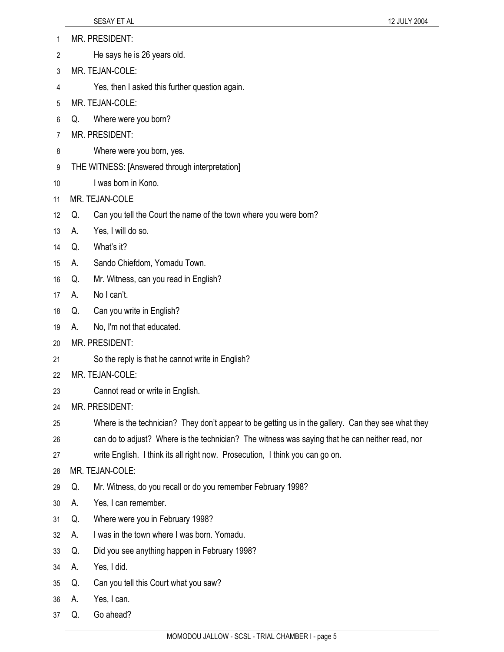- 1 MR. PRESIDENT:
- 2 He says he is 26 years old.
- 3 MR. TEJAN-COLE:
- 4 Yes, then I asked this further question again.
- 5 MR. TEJAN-COLE:
- 6 Q. Where were you born?
- 7 MR. PRESIDENT:
- 8 Where were you born, yes.
- 9 THE WITNESS: [Answered through interpretation]
- 10 I was born in Kono.
- 11 MR. TEJAN-COLE
- 12 Q. Can you tell the Court the name of the town where you were born?
- 13 A. Yes, I will do so.
- 14 Q. What's it?
- 15 A. Sando Chiefdom, Yomadu Town.
- 16 Q. Mr. Witness, can you read in English?
- 17 A. No I can't.
- 18 Q. Can you write in English?
- 19 A. No, I'm not that educated.
- 20 MR. PRESIDENT:
- 21 So the reply is that he cannot write in English?
- 22 MR. TEJAN-COLE:
- 23 Cannot read or write in English.
- 24 MR. PRESIDENT:
- 25 Where is the technician? They don't appear to be getting us in the gallery. Can they see what they
- 26 can do to adjust? Where is the technician? The witness was saying that he can neither read, nor
- 27 write English. I think its all right now. Prosecution, I think you can go on.
- 28 MR. TEJAN-COLE:
- 29 Q. Mr. Witness, do you recall or do you remember February 1998?
- 30 A. Yes, I can remember.
- 31 Q. Where were you in February 1998?
- 32 A. I was in the town where I was born. Yomadu.
- 33 Q. Did you see anything happen in February 1998?
- 34 A. Yes, I did.
- 35 Q. Can you tell this Court what you saw?
- 36 A. Yes, I can.
- 37 Q. Go ahead?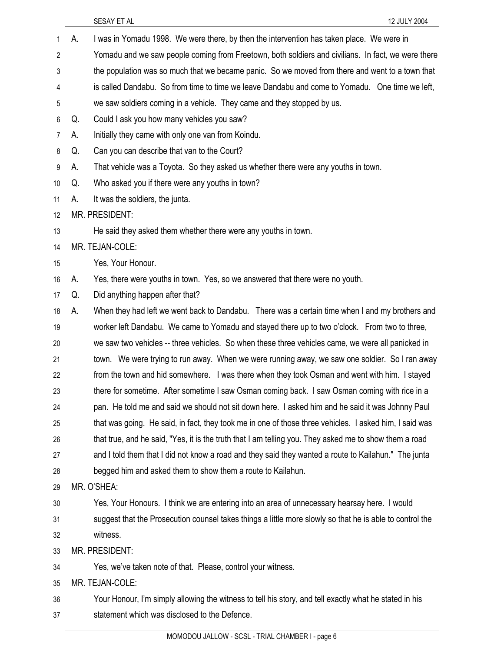| 1              | А. | I was in Yomadu 1998. We were there, by then the intervention has taken place. We were in                |
|----------------|----|----------------------------------------------------------------------------------------------------------|
| $\overline{2}$ |    | Yomadu and we saw people coming from Freetown, both soldiers and civilians. In fact, we were there       |
| 3              |    | the population was so much that we became panic. So we moved from there and went to a town that          |
| 4              |    | is called Dandabu. So from time to time we leave Dandabu and come to Yomadu. One time we left,           |
| 5              |    | we saw soldiers coming in a vehicle. They came and they stopped by us.                                   |
| 6              | Q. | Could I ask you how many vehicles you saw?                                                               |
| 7              | А. | Initially they came with only one van from Koindu.                                                       |
| 8              | Q. | Can you can describe that van to the Court?                                                              |
| 9              | А. | That vehicle was a Toyota. So they asked us whether there were any youths in town.                       |
| 10             | Q. | Who asked you if there were any youths in town?                                                          |
| 11             | А. | It was the soldiers, the junta.                                                                          |
| 12             |    | MR. PRESIDENT:                                                                                           |
| 13             |    | He said they asked them whether there were any youths in town.                                           |
| 14             |    | MR. TEJAN-COLE:                                                                                          |
| 15             |    | Yes, Your Honour.                                                                                        |
| 16             | А. | Yes, there were youths in town. Yes, so we answered that there were no youth.                            |
| 17             | Q. | Did anything happen after that?                                                                          |
| 18             | А. | When they had left we went back to Dandabu. There was a certain time when I and my brothers and          |
| 19             |    | worker left Dandabu. We came to Yomadu and stayed there up to two o'clock. From two to three,            |
| 20             |    | we saw two vehicles -- three vehicles. So when these three vehicles came, we were all panicked in        |
| 21             |    | town. We were trying to run away. When we were running away, we saw one soldier. So I ran away           |
| 22             |    | from the town and hid somewhere. I was there when they took Osman and went with him. I stayed            |
| 23             |    | there for sometime. After sometime I saw Osman coming back. I saw Osman coming with rice in a            |
| 24             |    | pan. He told me and said we should not sit down here. I asked him and he said it was Johnny Paul         |
| 25             |    | that was going. He said, in fact, they took me in one of those three vehicles. I asked him, I said was   |
| 26             |    | that true, and he said, "Yes, it is the truth that I am telling you. They asked me to show them a road   |
| 27             |    | and I told them that I did not know a road and they said they wanted a route to Kailahun." The junta     |
| 28             |    | begged him and asked them to show them a route to Kailahun.                                              |
| 29             |    | MR. O'SHEA:                                                                                              |
| 30             |    | Yes, Your Honours. I think we are entering into an area of unnecessary hearsay here. I would             |
| 31             |    | suggest that the Prosecution counsel takes things a little more slowly so that he is able to control the |
| 32             |    | witness.                                                                                                 |
| 33             |    | MR. PRESIDENT:                                                                                           |
| 34             |    | Yes, we've taken note of that. Please, control your witness.                                             |
| 35             |    | MR. TEJAN-COLE:                                                                                          |
| 36             |    | Your Honour, I'm simply allowing the witness to tell his story, and tell exactly what he stated in his   |
| 37             |    | statement which was disclosed to the Defence.                                                            |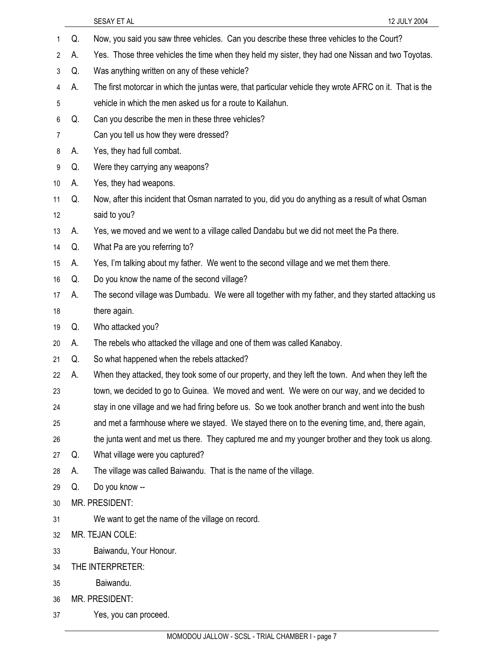|                |    | SESAY ET AL<br>12 JULY 2004                                                                             |
|----------------|----|---------------------------------------------------------------------------------------------------------|
| 1              | Q. | Now, you said you saw three vehicles. Can you describe these three vehicles to the Court?               |
| $\overline{c}$ | А. | Yes. Those three vehicles the time when they held my sister, they had one Nissan and two Toyotas.       |
| 3              | Q. | Was anything written on any of these vehicle?                                                           |
| 4              | А. | The first motorcar in which the juntas were, that particular vehicle they wrote AFRC on it. That is the |
| 5              |    | vehicle in which the men asked us for a route to Kailahun.                                              |
| 6              | Q. | Can you describe the men in these three vehicles?                                                       |
| $\overline{7}$ |    | Can you tell us how they were dressed?                                                                  |
| 8              | А. | Yes, they had full combat.                                                                              |
| 9              | Q. | Were they carrying any weapons?                                                                         |
| 10             | А. | Yes, they had weapons.                                                                                  |
| 11             | Q. | Now, after this incident that Osman narrated to you, did you do anything as a result of what Osman      |
| 12             |    | said to you?                                                                                            |
| 13             | А. | Yes, we moved and we went to a village called Dandabu but we did not meet the Pa there.                 |
| 14             | Q. | What Pa are you referring to?                                                                           |
| 15             | А. | Yes, I'm talking about my father. We went to the second village and we met them there.                  |
| 16             | Q. | Do you know the name of the second village?                                                             |
| 17             | А. | The second village was Dumbadu. We were all together with my father, and they started attacking us      |
| 18             |    | there again.                                                                                            |
| 19             | Q. | Who attacked you?                                                                                       |
| 20             | А. | The rebels who attacked the village and one of them was called Kanaboy.                                 |
| 21             | Q. | So what happened when the rebels attacked?                                                              |
| 22             | А. | When they attacked, they took some of our property, and they left the town. And when they left the      |
| 23             |    | town, we decided to go to Guinea. We moved and went. We were on our way, and we decided to              |
| 24             |    | stay in one village and we had firing before us. So we took another branch and went into the bush       |
| 25             |    | and met a farmhouse where we stayed. We stayed there on to the evening time, and, there again,          |
| 26             |    | the junta went and met us there. They captured me and my younger brother and they took us along.        |
| 27             | Q. | What village were you captured?                                                                         |
| 28             | А. | The village was called Baiwandu. That is the name of the village.                                       |
| 29             | Q. | Do you know --                                                                                          |
| 30             |    | MR. PRESIDENT:                                                                                          |
| 31             |    | We want to get the name of the village on record.                                                       |
| 32             |    | MR. TEJAN COLE:                                                                                         |
| 33             |    | Baiwandu, Your Honour.                                                                                  |
| 34             |    | THE INTERPRETER:                                                                                        |
| 35             |    | Baiwandu.                                                                                               |
| 36             |    | MR. PRESIDENT:                                                                                          |
| 37             |    | Yes, you can proceed.                                                                                   |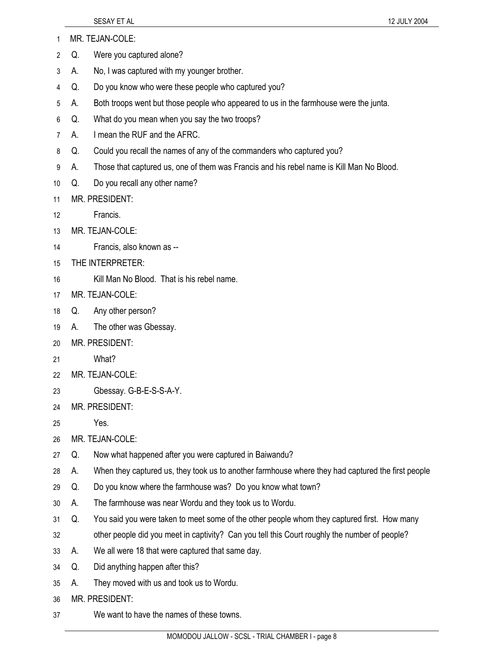- 1 MR. TEJAN-COLE:
- 2 Q. Were you captured alone?
- 3 A. No, I was captured with my younger brother.
- 4 Q. Do you know who were these people who captured you?
- 5 A. Both troops went but those people who appeared to us in the farmhouse were the junta.
- 6 Q. What do you mean when you say the two troops?
- 7 A. I mean the RUF and the AFRC.
- 8 Q. Could you recall the names of any of the commanders who captured you?
- 9 A. Those that captured us, one of them was Francis and his rebel name is Kill Man No Blood.
- 10 Q. Do you recall any other name?
- 11 MR. PRESIDENT:
- 12 Francis.
- 13 MR. TEJAN-COLE:
- 14 Francis, also known as --
- 15 THE INTERPRETER:
- 16 Kill Man No Blood. That is his rebel name.
- 17 MR. TEJAN-COLE:
- 18 Q. Any other person?
- 19 A. The other was Gbessay.
- 20 MR. PRESIDENT:
- 21 What?
- 22 MR. TEJAN-COLE:
- 23 Gbessay. G-B-E-S-S-A-Y.
- 24 MR. PRESIDENT:
- 25 Yes.
- 26 MR. TEJAN-COLE:
- 27 Q. Now what happened after you were captured in Baiwandu?
- 28 A. When they captured us, they took us to another farmhouse where they had captured the first people
- 29 Q. Do you know where the farmhouse was? Do you know what town?
- 30 A. The farmhouse was near Wordu and they took us to Wordu.
- 31 Q. You said you were taken to meet some of the other people whom they captured first. How many
- 32 other people did you meet in captivity? Can you tell this Court roughly the number of people?
- 33 A. We all were 18 that were captured that same day.
- 34 Q. Did anything happen after this?
- 35 A. They moved with us and took us to Wordu.
- 36 MR. PRESIDENT:
- 37 We want to have the names of these towns.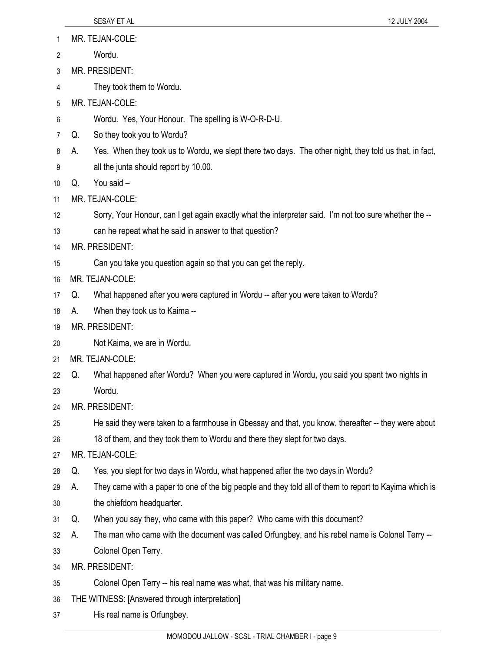- 1 MR. TEJAN-COLE:
- 2 Wordu.
- 3 MR. PRESIDENT:
- 4 They took them to Wordu.
- 5 MR. TEJAN-COLE:
- 6 Wordu. Yes, Your Honour. The spelling is W-O-R-D-U.
- 7 Q. So they took you to Wordu?
- 8 A. Yes. When they took us to Wordu, we slept there two days. The other night, they told us that, in fact,
- 9 all the junta should report by 10.00.
- 10 Q. You said –
- 11 MR. TEJAN-COLE:
- 12 Sorry, Your Honour, can I get again exactly what the interpreter said. I'm not too sure whether the --
- 13 can he repeat what he said in answer to that question?
- 14 MR. PRESIDENT:
- 15 Can you take you question again so that you can get the reply.
- 16 MR. TEJAN-COLE:
- 17 Q. What happened after you were captured in Wordu -- after you were taken to Wordu?
- 18 A. When they took us to Kaima --
- 19 MR. PRESIDENT:
- 20 Not Kaima, we are in Wordu.
- 21 MR. TEJAN-COLE:
- 22 Q. What happened after Wordu? When you were captured in Wordu, you said you spent two nights in
- 23 Wordu.
- 24 MR. PRESIDENT:
- 25 He said they were taken to a farmhouse in Gbessay and that, you know, thereafter -- they were about
- 26 18 of them, and they took them to Wordu and there they slept for two days.
- 27 MR. TEJAN-COLE:
- 28 Q. Yes, you slept for two days in Wordu, what happened after the two days in Wordu?
- 29 A. They came with a paper to one of the big people and they told all of them to report to Kayima which is
- 30 the chiefdom headquarter.
- 31 Q. When you say they, who came with this paper? Who came with this document?
- 32 A. The man who came with the document was called Orfungbey, and his rebel name is Colonel Terry --
- 33 Colonel Open Terry.
- 34 MR. PRESIDENT:
- 35 Colonel Open Terry -- his real name was what, that was his military name.
- 36 THE WITNESS: [Answered through interpretation]
- 37 His real name is Orfungbey.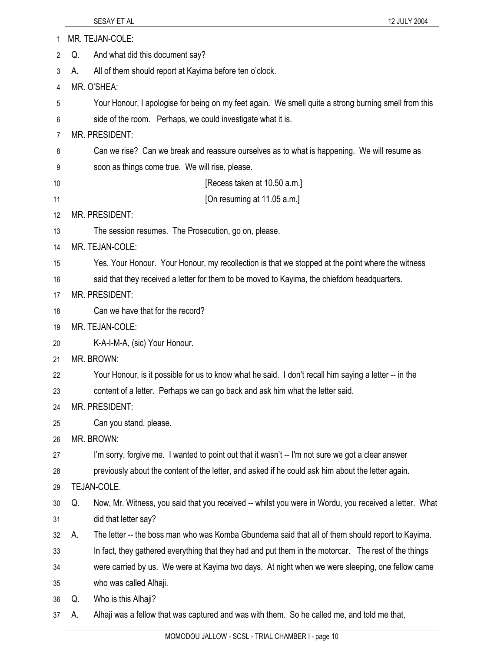| 1  |    | MR. TEJAN-COLE:                                                                                       |
|----|----|-------------------------------------------------------------------------------------------------------|
| 2  | Q. | And what did this document say?                                                                       |
| 3  | А. | All of them should report at Kayima before ten o'clock.                                               |
| 4  |    | MR. O'SHEA:                                                                                           |
| 5  |    | Your Honour, I apologise for being on my feet again. We smell quite a strong burning smell from this  |
| 6  |    | side of the room. Perhaps, we could investigate what it is.                                           |
| 7  |    | MR. PRESIDENT:                                                                                        |
| 8  |    | Can we rise? Can we break and reassure ourselves as to what is happening. We will resume as           |
| 9  |    | soon as things come true. We will rise, please.                                                       |
| 10 |    | [Recess taken at 10.50 a.m.]                                                                          |
| 11 |    | [On resuming at 11.05 a.m.]                                                                           |
| 12 |    | <b>MR. PRESIDENT:</b>                                                                                 |
| 13 |    | The session resumes. The Prosecution, go on, please.                                                  |
| 14 |    | MR. TEJAN-COLE:                                                                                       |
| 15 |    | Yes, Your Honour. Your Honour, my recollection is that we stopped at the point where the witness      |
| 16 |    | said that they received a letter for them to be moved to Kayima, the chiefdom headquarters.           |
| 17 |    | MR. PRESIDENT:                                                                                        |
| 18 |    | Can we have that for the record?                                                                      |
| 19 |    | MR. TEJAN-COLE:                                                                                       |
| 20 |    | K-A-I-M-A, (sic) Your Honour.                                                                         |
| 21 |    | MR. BROWN:                                                                                            |
| 22 |    | Your Honour, is it possible for us to know what he said. I don't recall him saying a letter -- in the |
| 23 |    | content of a letter. Perhaps we can go back and ask him what the letter said.                         |
| 24 |    | MR. PRESIDENT:                                                                                        |
| 25 |    | Can you stand, please.                                                                                |
| 26 |    | MR. BROWN:                                                                                            |
| 27 |    | I'm sorry, forgive me. I wanted to point out that it wasn't -- I'm not sure we got a clear answer     |
| 28 |    | previously about the content of the letter, and asked if he could ask him about the letter again.     |
| 29 |    | TEJAN-COLE.                                                                                           |
| 30 | Q. | Now, Mr. Witness, you said that you received -- whilst you were in Wordu, you received a letter. What |
| 31 |    | did that letter say?                                                                                  |
| 32 | А. | The letter -- the boss man who was Komba Gbundema said that all of them should report to Kayima.      |
| 33 |    | In fact, they gathered everything that they had and put them in the motorcar. The rest of the things  |
| 34 |    | were carried by us. We were at Kayima two days. At night when we were sleeping, one fellow came       |
| 35 |    | who was called Alhaji.                                                                                |
| 36 | Q. | Who is this Alhaji?                                                                                   |
| 37 | А. | Alhaji was a fellow that was captured and was with them. So he called me, and told me that,           |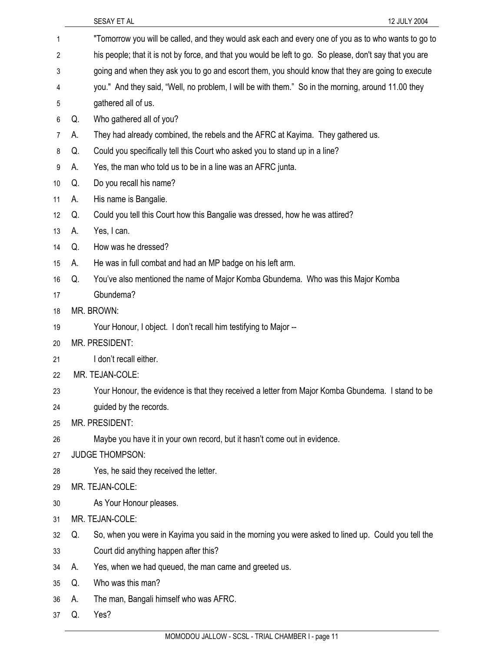| 1  |    | "Tomorrow you will be called, and they would ask each and every one of you as to who wants to go to      |
|----|----|----------------------------------------------------------------------------------------------------------|
| 2  |    | his people; that it is not by force, and that you would be left to go. So please, don't say that you are |
| 3  |    | going and when they ask you to go and escort them, you should know that they are going to execute        |
| 4  |    | you." And they said, "Well, no problem, I will be with them." So in the morning, around 11.00 they       |
| 5  |    | gathered all of us.                                                                                      |
| 6  | Q. | Who gathered all of you?                                                                                 |
| 7  | А. | They had already combined, the rebels and the AFRC at Kayima. They gathered us.                          |
| 8  | Q. | Could you specifically tell this Court who asked you to stand up in a line?                              |
| 9  | А. | Yes, the man who told us to be in a line was an AFRC junta.                                              |
| 10 | Q. | Do you recall his name?                                                                                  |
| 11 | А. | His name is Bangalie.                                                                                    |
| 12 | Q. | Could you tell this Court how this Bangalie was dressed, how he was attired?                             |
| 13 | А. | Yes, I can.                                                                                              |
| 14 | Q. | How was he dressed?                                                                                      |
| 15 | А. | He was in full combat and had an MP badge on his left arm.                                               |
| 16 | Q. | You've also mentioned the name of Major Komba Gbundema. Who was this Major Komba                         |
| 17 |    | Gbundema?                                                                                                |
| 18 |    | MR. BROWN:                                                                                               |
| 19 |    | Your Honour, I object. I don't recall him testifying to Major --                                         |
| 20 |    | MR. PRESIDENT:                                                                                           |
| 21 |    | I don't recall either.                                                                                   |
| 22 |    | MR. TEJAN-COLE:                                                                                          |
| 23 |    | Your Honour, the evidence is that they received a letter from Major Komba Gbundema. I stand to be        |
| 24 |    | guided by the records.                                                                                   |
| 25 |    | MR. PRESIDENT:                                                                                           |
| 26 |    | Maybe you have it in your own record, but it hasn't come out in evidence.                                |
| 27 |    | <b>JUDGE THOMPSON:</b>                                                                                   |
| 28 |    | Yes, he said they received the letter.                                                                   |
| 29 |    | MR. TEJAN-COLE:                                                                                          |
| 30 |    | As Your Honour pleases.                                                                                  |
| 31 |    | MR. TEJAN-COLE:                                                                                          |
| 32 | Q. | So, when you were in Kayima you said in the morning you were asked to lined up. Could you tell the       |
| 33 |    | Court did anything happen after this?                                                                    |
| 34 | А. | Yes, when we had queued, the man came and greeted us.                                                    |
| 35 | Q. | Who was this man?                                                                                        |
| 36 | А. | The man, Bangali himself who was AFRC.                                                                   |
| 37 | Q. | Yes?                                                                                                     |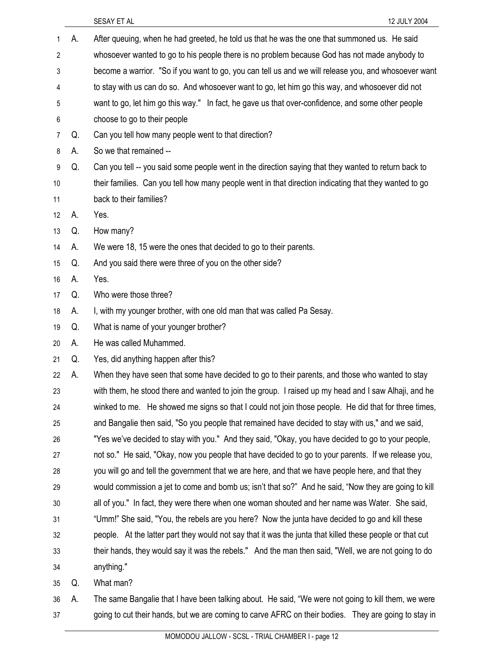|    |    | SESAY ET AL<br>12 JULY 2004                                                                              |
|----|----|----------------------------------------------------------------------------------------------------------|
| 1  | А. | After queuing, when he had greeted, he told us that he was the one that summoned us. He said             |
| 2  |    | whosoever wanted to go to his people there is no problem because God has not made anybody to             |
| 3  |    | become a warrior. "So if you want to go, you can tell us and we will release you, and whosoever want     |
| 4  |    | to stay with us can do so. And whosoever want to go, let him go this way, and whosoever did not          |
| 5  |    | want to go, let him go this way." In fact, he gave us that over-confidence, and some other people        |
| 6  |    | choose to go to their people                                                                             |
| 7  | Q. | Can you tell how many people went to that direction?                                                     |
| 8  | А. | So we that remained --                                                                                   |
| 9  | Q. | Can you tell -- you said some people went in the direction saying that they wanted to return back to     |
| 10 |    | their families. Can you tell how many people went in that direction indicating that they wanted to go    |
| 11 |    | back to their families?                                                                                  |
| 12 | А. | Yes.                                                                                                     |
| 13 | Q. | How many?                                                                                                |
| 14 | А. | We were 18, 15 were the ones that decided to go to their parents.                                        |
| 15 | Q. | And you said there were three of you on the other side?                                                  |
| 16 | А. | Yes.                                                                                                     |
| 17 | Q. | Who were those three?                                                                                    |
| 18 | А. | I, with my younger brother, with one old man that was called Pa Sesay.                                   |
| 19 | Q. | What is name of your younger brother?                                                                    |
| 20 | А. | He was called Muhammed.                                                                                  |
| 21 | Q. | Yes, did anything happen after this?                                                                     |
| 22 | А. | When they have seen that some have decided to go to their parents, and those who wanted to stay          |
| 23 |    | with them, he stood there and wanted to join the group. I raised up my head and I saw Alhaji, and he     |
| 24 |    | winked to me. He showed me signs so that I could not join those people. He did that for three times,     |
| 25 |    | and Bangalie then said, "So you people that remained have decided to stay with us," and we said,         |
| 26 |    | "Yes we've decided to stay with you." And they said, "Okay, you have decided to go to your people,       |
| 27 |    | not so." He said, "Okay, now you people that have decided to go to your parents. If we release you,      |
| 28 |    | you will go and tell the government that we are here, and that we have people here, and that they        |
| 29 |    | would commission a jet to come and bomb us; isn't that so?" And he said, "Now they are going to kill     |
| 30 |    | all of you." In fact, they were there when one woman shouted and her name was Water. She said,           |
| 31 |    | "Umm!" She said, "You, the rebels are you here? Now the junta have decided to go and kill these          |
| 32 |    | people. At the latter part they would not say that it was the junta that killed these people or that cut |
| 33 |    | their hands, they would say it was the rebels." And the man then said, "Well, we are not going to do     |
| 34 |    | anything."                                                                                               |
| 35 | Q. | What man?                                                                                                |
| 36 | А. | The same Bangalie that I have been talking about. He said, "We were not going to kill them, we were      |

37 going to cut their hands, but we are coming to carve AFRC on their bodies. They are going to stay in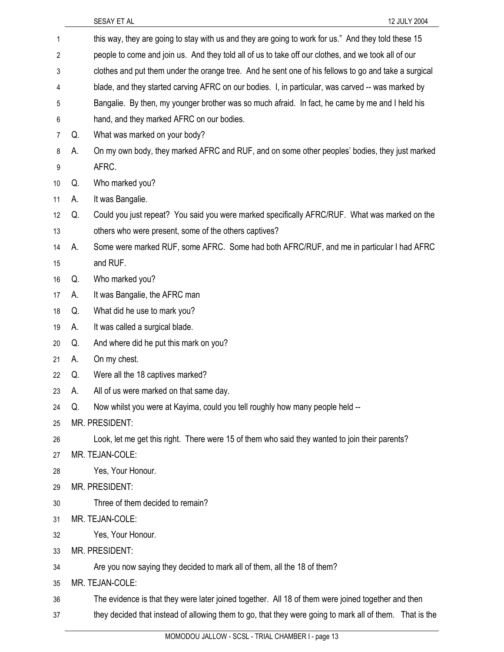| 1              |    | this way, they are going to stay with us and they are going to work for us." And they told these 15     |
|----------------|----|---------------------------------------------------------------------------------------------------------|
| $\overline{c}$ |    | people to come and join us. And they told all of us to take off our clothes, and we took all of our     |
| 3              |    | clothes and put them under the orange tree. And he sent one of his fellows to go and take a surgical    |
| 4              |    | blade, and they started carving AFRC on our bodies. I, in particular, was carved -- was marked by       |
| 5              |    | Bangalie. By then, my younger brother was so much afraid. In fact, he came by me and I held his         |
| 6              |    | hand, and they marked AFRC on our bodies.                                                               |
| 7              | Q. | What was marked on your body?                                                                           |
| 8              | А. | On my own body, they marked AFRC and RUF, and on some other peoples' bodies, they just marked           |
| 9              |    | AFRC.                                                                                                   |
| 10             | Q. | Who marked you?                                                                                         |
| 11             | А. | It was Bangalie.                                                                                        |
| 12             | Q. | Could you just repeat? You said you were marked specifically AFRC/RUF. What was marked on the           |
| 13             |    | others who were present, some of the others captives?                                                   |
| 14             | А. | Some were marked RUF, some AFRC. Some had both AFRC/RUF, and me in particular I had AFRC                |
| 15             |    | and RUF.                                                                                                |
| 16             | Q. | Who marked you?                                                                                         |
| 17             | А. | It was Bangalie, the AFRC man                                                                           |
| 18             | Q. | What did he use to mark you?                                                                            |
| 19             | А. | It was called a surgical blade.                                                                         |
| 20             | Q. | And where did he put this mark on you?                                                                  |
| 21             | А. | On my chest.                                                                                            |
| 22             | Q. | Were all the 18 captives marked?                                                                        |
| 23             | А. | All of us were marked on that same day.                                                                 |
| 24             | Q. | Now whilst you were at Kayima, could you tell roughly how many people held --                           |
| 25             |    | MR. PRESIDENT:                                                                                          |
| 26             |    | Look, let me get this right. There were 15 of them who said they wanted to join their parents?          |
| 27             |    | MR. TEJAN-COLE:                                                                                         |
| 28             |    | Yes, Your Honour.                                                                                       |
| 29             |    | MR. PRESIDENT:                                                                                          |
| 30             |    | Three of them decided to remain?                                                                        |
| 31             |    | MR. TEJAN-COLE:                                                                                         |
| 32             |    | Yes, Your Honour.                                                                                       |
| 33             |    | MR. PRESIDENT:                                                                                          |
| 34             |    | Are you now saying they decided to mark all of them, all the 18 of them?                                |
| 35             |    | MR. TEJAN-COLE:                                                                                         |
| 36             |    | The evidence is that they were later joined together. All 18 of them were joined together and then      |
| 37             |    | they decided that instead of allowing them to go, that they were going to mark all of them. That is the |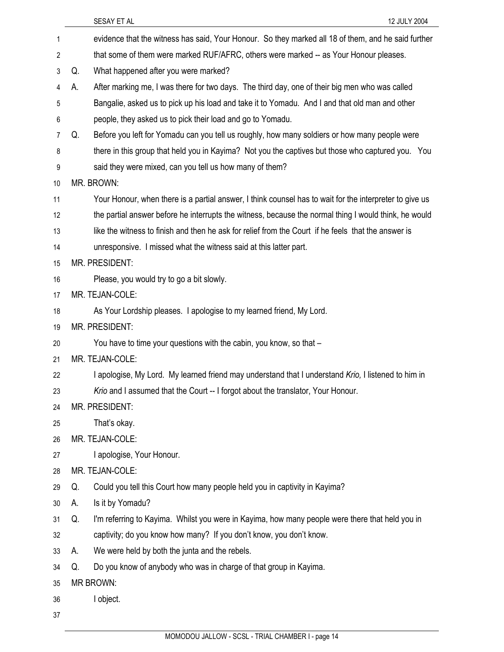|                | SESAY ET AL                                                                                             | 12 JULY 2004 |
|----------------|---------------------------------------------------------------------------------------------------------|--------------|
| 1              | evidence that the witness has said, Your Honour. So they marked all 18 of them, and he said further     |              |
| $\overline{2}$ | that some of them were marked RUF/AFRC, others were marked -- as Your Honour pleases.                   |              |
| 3              | What happened after you were marked?<br>Q.                                                              |              |
| 4              | After marking me, I was there for two days. The third day, one of their big men who was called<br>А.    |              |
| 5              | Bangalie, asked us to pick up his load and take it to Yomadu. And I and that old man and other          |              |
| 6              | people, they asked us to pick their load and go to Yomadu.                                              |              |
| 7              | Before you left for Yomadu can you tell us roughly, how many soldiers or how many people were<br>Q.     |              |
| 8              | there in this group that held you in Kayima? Not you the captives but those who captured you. You       |              |
| 9              | said they were mixed, can you tell us how many of them?                                                 |              |
| 10             | MR. BROWN:                                                                                              |              |
| 11             | Your Honour, when there is a partial answer, I think counsel has to wait for the interpreter to give us |              |
| 12             | the partial answer before he interrupts the witness, because the normal thing I would think, he would   |              |
| 13             | like the witness to finish and then he ask for relief from the Court if he feels that the answer is     |              |
| 14             | unresponsive. I missed what the witness said at this latter part.                                       |              |
| 15             | MR. PRESIDENT:                                                                                          |              |
| 16             | Please, you would try to go a bit slowly.                                                               |              |
| 17             | MR. TEJAN-COLE:                                                                                         |              |
| 18             | As Your Lordship pleases. I apologise to my learned friend, My Lord.                                    |              |
| 19             | MR. PRESIDENT:                                                                                          |              |
| 20             | You have to time your questions with the cabin, you know, so that -                                     |              |
| 21             | MR. TEJAN-COLE:                                                                                         |              |
| 22             | I apologise, My Lord. My learned friend may understand that I understand Krio, I listened to him in     |              |
| 23             | Krio and I assumed that the Court -- I forgot about the translator, Your Honour.                        |              |
| 24             | MR. PRESIDENT:                                                                                          |              |
| 25             | That's okay.                                                                                            |              |
| 26             | MR. TEJAN-COLE:                                                                                         |              |
| 27             | I apologise, Your Honour.                                                                               |              |
| 28             | MR. TEJAN-COLE:                                                                                         |              |
| 29             | Could you tell this Court how many people held you in captivity in Kayima?<br>Q.                        |              |
| 30             | Is it by Yomadu?<br>А.                                                                                  |              |
| 31             | I'm referring to Kayima. Whilst you were in Kayima, how many people were there that held you in<br>Q.   |              |
| 32             | captivity; do you know how many? If you don't know, you don't know.                                     |              |
| 33             | We were held by both the junta and the rebels.<br>А.                                                    |              |
| 34             | Do you know of anybody who was in charge of that group in Kayima.<br>Q.                                 |              |
| 35             | <b>MR BROWN:</b>                                                                                        |              |
| 36             | I object.                                                                                               |              |
| 37             |                                                                                                         |              |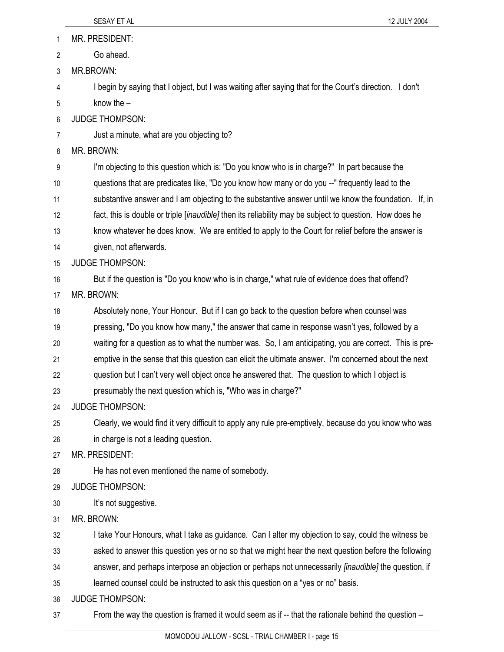1 MR. PRESIDENT:

- 2 Go ahead.
- 3 MR.BROWN:

4 I begin by saying that I object, but I was waiting after saying that for the Court's direction. I don't 5 know the –

- 6 JUDGE THOMPSON:
- 7 Just a minute, what are you objecting to?

8 MR. BROWN:

9 I'm objecting to this question which is: "Do you know who is in charge?" In part because the 10 questions that are predicates like, "Do you know how many or do you --" frequently lead to the 11 substantive answer and I am objecting to the substantive answer until we know the foundation. If, in 12 fact, this is double or triple [*inaudible]* then its reliability may be subject to question. How does he 13 know whatever he does know. We are entitled to apply to the Court for relief before the answer is 14 given, not afterwards.

- 15 JUDGE THOMPSON:
- 16 But if the question is "Do you know who is in charge," what rule of evidence does that offend?
- 17 MR. BROWN:

18 Absolutely none, Your Honour. But if I can go back to the question before when counsel was

- 19 pressing, "Do you know how many," the answer that came in response wasn't yes, followed by a
- 20 waiting for a question as to what the number was. So, I am anticipating, you are correct. This is pre-

21 emptive in the sense that this question can elicit the ultimate answer. I'm concerned about the next

- 22 question but I can't very well object once he answered that. The question to which I object is
- 23 presumably the next question which is, "Who was in charge?"
- 24 JUDGE THOMPSON:

25 Clearly, we would find it very difficult to apply any rule pre-emptively, because do you know who was 26 in charge is not a leading question.

27 MR. PRESIDENT:

- 28 He has not even mentioned the name of somebody.
- 29 JUDGE THOMPSON:
- 30 It's not suggestive.
- 31 MR. BROWN:

32 I take Your Honours, what I take as guidance. Can I alter my objection to say, could the witness be

33 asked to answer this question yes or no so that we might hear the next question before the following

- 34 answer, and perhaps interpose an objection or perhaps not unnecessarily *[inaudible]* the question, if
- 35 learned counsel could be instructed to ask this question on a "yes or no" basis.

36 JUDGE THOMPSON:

37 From the way the question is framed it would seem as if -- that the rationale behind the question –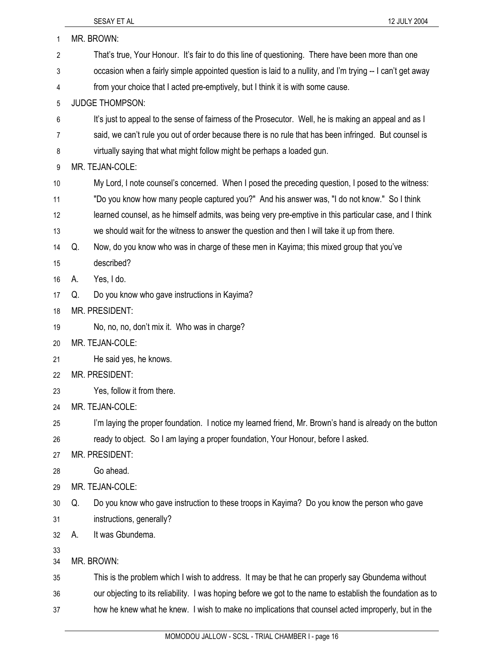| 1              | MR. BROWN:                                                                                                 |  |
|----------------|------------------------------------------------------------------------------------------------------------|--|
| $\overline{2}$ | That's true, Your Honour. It's fair to do this line of questioning. There have been more than one          |  |
| 3              | occasion when a fairly simple appointed question is laid to a nullity, and I'm trying -- I can't get away  |  |
| 4              | from your choice that I acted pre-emptively, but I think it is with some cause.                            |  |
| 5              | <b>JUDGE THOMPSON:</b>                                                                                     |  |
| 6              | It's just to appeal to the sense of fairness of the Prosecutor. Well, he is making an appeal and as I      |  |
| 7              | said, we can't rule you out of order because there is no rule that has been infringed. But counsel is      |  |
| 8              | virtually saying that what might follow might be perhaps a loaded gun.                                     |  |
| 9              | MR. TEJAN-COLE:                                                                                            |  |
| 10             | My Lord, I note counsel's concerned. When I posed the preceding question, I posed to the witness:          |  |
| 11             | "Do you know how many people captured you?" And his answer was, "I do not know." So I think                |  |
| 12             | learned counsel, as he himself admits, was being very pre-emptive in this particular case, and I think     |  |
| 13             | we should wait for the witness to answer the question and then I will take it up from there.               |  |
| 14             | Now, do you know who was in charge of these men in Kayima; this mixed group that you've<br>Q.              |  |
| 15             | described?                                                                                                 |  |
| 16             | Yes, I do.<br>А.                                                                                           |  |
| 17             | Do you know who gave instructions in Kayima?<br>Q.                                                         |  |
| 18             | MR. PRESIDENT:                                                                                             |  |
| 19             | No, no, no, don't mix it. Who was in charge?                                                               |  |
| 20             | MR. TEJAN-COLE:                                                                                            |  |
| 21             | He said yes, he knows.                                                                                     |  |
| 22             | MR. PRESIDENT:                                                                                             |  |
| 23             | Yes, follow it from there.                                                                                 |  |
| 24             | MR. TEJAN-COLE:                                                                                            |  |
| 25             | I'm laying the proper foundation. I notice my learned friend, Mr. Brown's hand is already on the button    |  |
| 26             | ready to object. So I am laying a proper foundation, Your Honour, before I asked.                          |  |
| 27             | MR. PRESIDENT:                                                                                             |  |
| 28             | Go ahead.                                                                                                  |  |
| 29             | MR. TEJAN-COLE:                                                                                            |  |
| 30             | Do you know who gave instruction to these troops in Kayima? Do you know the person who gave<br>Q.          |  |
| 31             | instructions, generally?                                                                                   |  |
| 32             | It was Gbundema.<br>А.                                                                                     |  |
| 33<br>34       | MR. BROWN:                                                                                                 |  |
| 35             | This is the problem which I wish to address. It may be that he can properly say Gbundema without           |  |
| 36             | our objecting to its reliability. I was hoping before we got to the name to establish the foundation as to |  |
| 37             | how he knew what he knew. I wish to make no implications that counsel acted improperly, but in the         |  |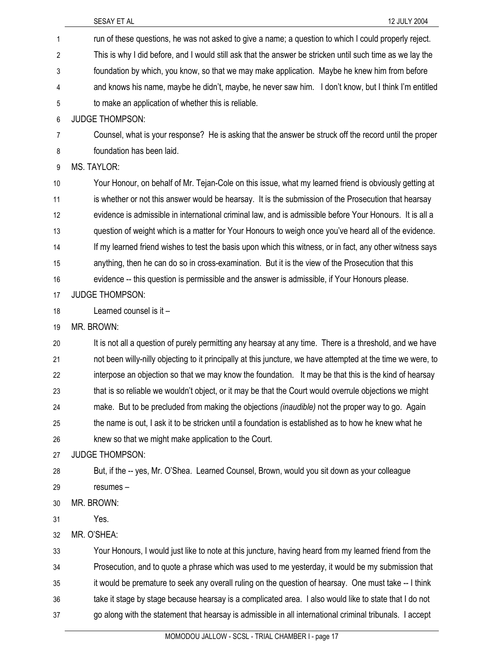|                | SESAY ET AL<br>12 JULY 2004                                                                                  |
|----------------|--------------------------------------------------------------------------------------------------------------|
| 1              | run of these questions, he was not asked to give a name; a question to which I could properly reject.        |
| 2              | This is why I did before, and I would still ask that the answer be stricken until such time as we lay the    |
| 3              | foundation by which, you know, so that we may make application. Maybe he knew him from before                |
| 4              | and knows his name, maybe he didn't, maybe, he never saw him. I don't know, but I think I'm entitled         |
| 5              | to make an application of whether this is reliable.                                                          |
| 6              | <b>JUDGE THOMPSON:</b>                                                                                       |
| $\overline{7}$ | Counsel, what is your response? He is asking that the answer be struck off the record until the proper       |
| 8              | foundation has been laid.                                                                                    |
| 9              | <b>MS. TAYLOR:</b>                                                                                           |
| 10             | Your Honour, on behalf of Mr. Tejan-Cole on this issue, what my learned friend is obviously getting at       |
| 11             | is whether or not this answer would be hearsay. It is the submission of the Prosecution that hearsay         |
| 12             | evidence is admissible in international criminal law, and is admissible before Your Honours. It is all a     |
| 13             | question of weight which is a matter for Your Honours to weigh once you've heard all of the evidence.        |
| 14             | If my learned friend wishes to test the basis upon which this witness, or in fact, any other witness says    |
| 15             | anything, then he can do so in cross-examination. But it is the view of the Prosecution that this            |
| 16             | evidence -- this question is permissible and the answer is admissible, if Your Honours please.               |
| 17             | <b>JUDGE THOMPSON:</b>                                                                                       |
| 18             | Learned counsel is it -                                                                                      |
| 19             | MR. BROWN:                                                                                                   |
| 20             | It is not all a question of purely permitting any hearsay at any time. There is a threshold, and we have     |
| 21             | not been willy-nilly objecting to it principally at this juncture, we have attempted at the time we were, to |
| 22             | interpose an objection so that we may know the foundation. It may be that this is the kind of hearsay        |
| 23             | that is so reliable we wouldn't object, or it may be that the Court would overrule objections we might       |
| 24             | make. But to be precluded from making the objections (inaudible) not the proper way to go. Again             |
| 25             | the name is out, I ask it to be stricken until a foundation is established as to how he knew what he         |
| 26             | knew so that we might make application to the Court.                                                         |
| 27             | <b>JUDGE THOMPSON:</b>                                                                                       |
| 28             | But, if the -- yes, Mr. O'Shea. Learned Counsel, Brown, would you sit down as your colleague                 |
| 29             | resumes-                                                                                                     |
| 30             | MR. BROWN:<br>Yes.                                                                                           |
| 31<br>32       | MR. O'SHEA:                                                                                                  |
| 33             | Your Honours, I would just like to note at this juncture, having heard from my learned friend from the       |
| 34             | Prosecution, and to quote a phrase which was used to me yesterday, it would be my submission that            |
| 35             | it would be premature to seek any overall ruling on the question of hearsay. One must take -- I think        |
| 36             | take it stage by stage because hearsay is a complicated area. I also would like to state that I do not       |
| 37             | go along with the statement that hearsay is admissible in all international criminal tribunals. I accept     |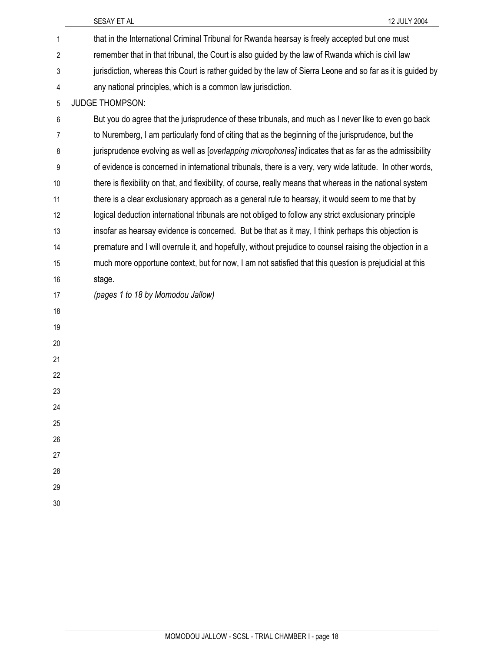|                | 12 JULY 2004<br>SESAY ET AL                                                                                   |
|----------------|---------------------------------------------------------------------------------------------------------------|
| 1              | that in the International Criminal Tribunal for Rwanda hearsay is freely accepted but one must                |
| $\overline{2}$ | remember that in that tribunal, the Court is also guided by the law of Rwanda which is civil law              |
| 3              | jurisdiction, whereas this Court is rather guided by the law of Sierra Leone and so far as it is guided by    |
| 4              | any national principles, which is a common law jurisdiction.                                                  |
| 5              | <b>JUDGE THOMPSON:</b>                                                                                        |
| 6              | But you do agree that the jurisprudence of these tribunals, and much as I never like to even go back          |
| 7              | to Nuremberg, I am particularly fond of citing that as the beginning of the jurisprudence, but the            |
| 8              | jurisprudence evolving as well as <i>[overlapping microphones]</i> indicates that as far as the admissibility |
| 9              | of evidence is concerned in international tribunals, there is a very, very wide latitude. In other words,     |
| 10             | there is flexibility on that, and flexibility, of course, really means that whereas in the national system    |
| 11             | there is a clear exclusionary approach as a general rule to hearsay, it would seem to me that by              |
| 12             | logical deduction international tribunals are not obliged to follow any strict exclusionary principle         |
| 13             | insofar as hearsay evidence is concerned. But be that as it may, I think perhaps this objection is            |
| 14             | premature and I will overrule it, and hopefully, without prejudice to counsel raising the objection in a      |
| 15             | much more opportune context, but for now, I am not satisfied that this question is prejudicial at this        |
| 16             | stage.                                                                                                        |
| 17             | (pages 1 to 18 by Momodou Jallow)                                                                             |
| 18             |                                                                                                               |
| 19             |                                                                                                               |
| 20             |                                                                                                               |
| 21             |                                                                                                               |
| 22             |                                                                                                               |
| 23             |                                                                                                               |
| 24             |                                                                                                               |
| 25             |                                                                                                               |
| 26             |                                                                                                               |
| 27             |                                                                                                               |
| 28             |                                                                                                               |
| 29             |                                                                                                               |
| 30             |                                                                                                               |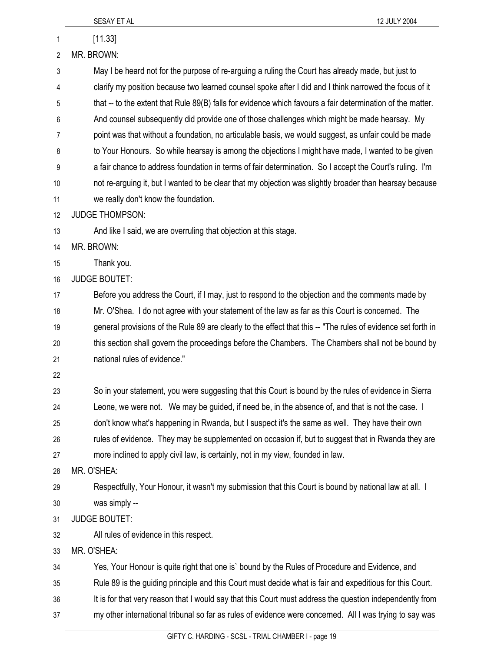| SESAY ET AL<br>12 JULY 2004                                                                                  |
|--------------------------------------------------------------------------------------------------------------|
| [11.33]                                                                                                      |
| MR. BROWN:                                                                                                   |
| May I be heard not for the purpose of re-arguing a ruling the Court has already made, but just to            |
| clarify my position because two learned counsel spoke after I did and I think narrowed the focus of it       |
| that -- to the extent that Rule 89(B) falls for evidence which favours a fair determination of the matter.   |
| And counsel subsequently did provide one of those challenges which might be made hearsay. My                 |
| point was that without a foundation, no articulable basis, we would suggest, as unfair could be made         |
| to Your Honours. So while hearsay is among the objections I might have made, I wanted to be given            |
| a fair chance to address foundation in terms of fair determination. So I accept the Court's ruling. I'm      |
| not re-arguing it, but I wanted to be clear that my objection was slightly broader than hearsay because      |
| we really don't know the foundation.                                                                         |
| <b>JUDGE THOMPSON:</b>                                                                                       |
| And like I said, we are overruling that objection at this stage.                                             |
| MR. BROWN:                                                                                                   |
| Thank you.                                                                                                   |
| <b>JUDGE BOUTET:</b>                                                                                         |
| Before you address the Court, if I may, just to respond to the objection and the comments made by            |
| Mr. O'Shea. I do not agree with your statement of the law as far as this Court is concerned. The             |
| general provisions of the Rule 89 are clearly to the effect that this -- "The rules of evidence set forth in |
| this section shall govern the proceedings before the Chambers. The Chambers shall not be bound by            |
| national rules of evidence."                                                                                 |
|                                                                                                              |
| So in your statement, you were suggesting that this Court is bound by the rules of evidence in Sierra        |
| Leone, we were not. We may be guided, if need be, in the absence of, and that is not the case. I             |
| don't know what's happening in Rwanda, but I suspect it's the same as well. They have their own              |
| rules of evidence. They may be supplemented on occasion if, but to suggest that in Rwanda they are           |
| more inclined to apply civil law, is certainly, not in my view, founded in law.                              |
| MR. O'SHEA:                                                                                                  |
| Respectfully, Your Honour, it wasn't my submission that this Court is bound by national law at all. I        |
| was simply --                                                                                                |
| <b>JUDGE BOUTET:</b>                                                                                         |
| All rules of evidence in this respect.                                                                       |
| MR. O'SHEA:                                                                                                  |
| Yes, Your Honour is quite right that one is' bound by the Rules of Procedure and Evidence, and               |
| Rule 89 is the guiding principle and this Court must decide what is fair and expeditious for this Court.     |
| It is for that very reason that I would say that this Court must address the question independently from     |
| my other international tribunal so far as rules of evidence were concerned. All I was trying to say was      |
|                                                                                                              |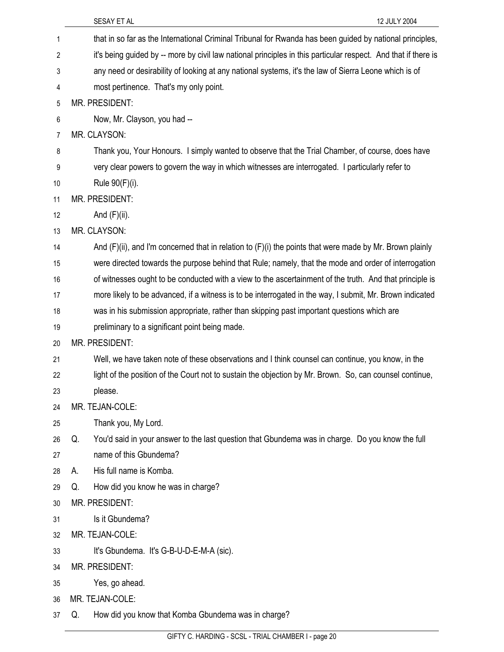|    | 12 JULY 2004<br>SESAY ET AL                                                                                    |
|----|----------------------------------------------------------------------------------------------------------------|
| 1  | that in so far as the International Criminal Tribunal for Rwanda has been guided by national principles,       |
| 2  | it's being guided by -- more by civil law national principles in this particular respect. And that if there is |
| 3  | any need or desirability of looking at any national systems, it's the law of Sierra Leone which is of          |
| 4  | most pertinence. That's my only point.                                                                         |
| 5  | MR. PRESIDENT:                                                                                                 |
| 6  | Now, Mr. Clayson, you had --                                                                                   |
| 7  | MR. CLAYSON:                                                                                                   |
| 8  | Thank you, Your Honours. I simply wanted to observe that the Trial Chamber, of course, does have               |
| 9  | very clear powers to govern the way in which witnesses are interrogated. I particularly refer to               |
| 10 | Rule 90(F)(i).                                                                                                 |
| 11 | MR. PRESIDENT:                                                                                                 |
| 12 | And $(F)(ii)$ .                                                                                                |
| 13 | MR. CLAYSON:                                                                                                   |
| 14 | And $(F)(ii)$ , and I'm concerned that in relation to $(F)(i)$ the points that were made by Mr. Brown plainly  |
| 15 | were directed towards the purpose behind that Rule; namely, that the mode and order of interrogation           |
| 16 | of witnesses ought to be conducted with a view to the ascertainment of the truth. And that principle is        |
| 17 | more likely to be advanced, if a witness is to be interrogated in the way, I submit, Mr. Brown indicated       |
| 18 | was in his submission appropriate, rather than skipping past important questions which are                     |
| 19 | preliminary to a significant point being made.                                                                 |
| 20 | MR. PRESIDENT:                                                                                                 |
| 21 | Well, we have taken note of these observations and I think counsel can continue, you know, in the              |
| 22 | light of the position of the Court not to sustain the objection by Mr. Brown. So, can counsel continue,        |
| 23 | please.                                                                                                        |
| 24 | MR. TEJAN-COLE:                                                                                                |
| 25 | Thank you, My Lord.                                                                                            |
| 26 | You'd said in your answer to the last question that Gbundema was in charge. Do you know the full<br>Q.         |
| 27 | name of this Gbundema?                                                                                         |
| 28 | His full name is Komba.<br>А.                                                                                  |
| 29 | How did you know he was in charge?<br>Q.                                                                       |
| 30 | MR. PRESIDENT:                                                                                                 |
| 31 | Is it Gbundema?                                                                                                |
| 32 | MR. TEJAN-COLE:                                                                                                |
| 33 | It's Gbundema. It's G-B-U-D-E-M-A (sic).                                                                       |
| 34 | MR. PRESIDENT:                                                                                                 |
| 35 | Yes, go ahead.                                                                                                 |
| 36 | MR. TEJAN-COLE:                                                                                                |
| 37 | How did you know that Komba Gbundema was in charge?<br>Q.                                                      |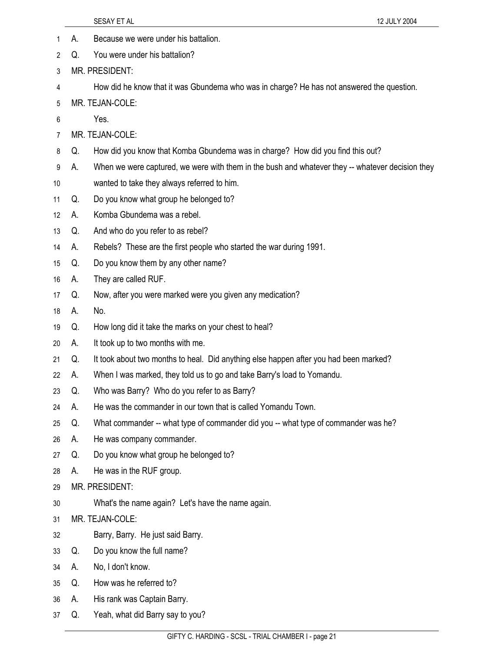- 1 A. Because we were under his battalion.
- 2 Q. You were under his battalion?
- 3 MR. PRESIDENT:
- 4 How did he know that it was Gbundema who was in charge? He has not answered the question.
- 5 MR. TEJAN-COLE:
- 6 Yes.
- 7 MR. TEJAN-COLE:
- 8 Q. How did you know that Komba Gbundema was in charge? How did you find this out?
- 9 A. When we were captured, we were with them in the bush and whatever they -- whatever decision they
- 10 wanted to take they always referred to him.
- 11 Q. Do you know what group he belonged to?
- 12 A. Komba Gbundema was a rebel.
- 13 Q. And who do you refer to as rebel?
- 14 A. Rebels? These are the first people who started the war during 1991.
- 15 Q. Do you know them by any other name?
- 16 A. They are called RUF.
- 17 Q. Now, after you were marked were you given any medication?
- 18 A. No.
- 19 Q. How long did it take the marks on your chest to heal?
- 20 A. It took up to two months with me.
- 21 Q. It took about two months to heal. Did anything else happen after you had been marked?
- 22 A. When I was marked, they told us to go and take Barry's load to Yomandu.
- 23 Q. Who was Barry? Who do you refer to as Barry?
- 24 A. He was the commander in our town that is called Yomandu Town.
- 25 Q. What commander -- what type of commander did you -- what type of commander was he?
- 26 A. He was company commander.
- 27 Q. Do you know what group he belonged to?
- 28 A. He was in the RUF group.
- 29 MR. PRESIDENT:
- 30 What's the name again? Let's have the name again.
- 31 MR. TEJAN-COLE:
- 32 Barry, Barry. He just said Barry.
- 33 Q. Do you know the full name?
- 34 A. No, I don't know.
- 35 Q. How was he referred to?
- 36 A. His rank was Captain Barry.
- 37 Q. Yeah, what did Barry say to you?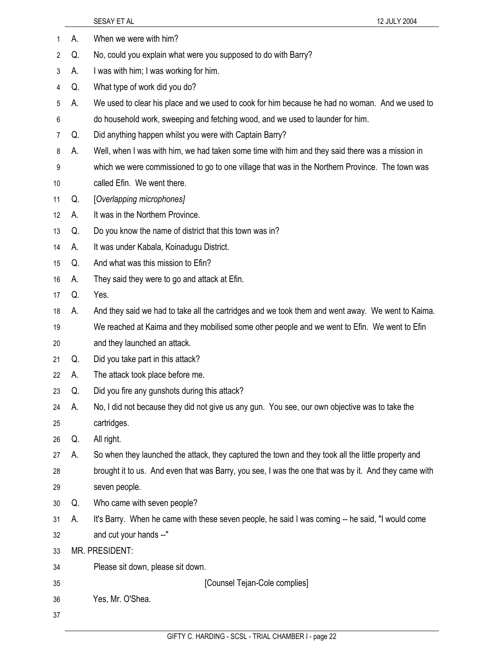|    |    | 12 JULY 2004<br>SESAY ET AL                                                                          |
|----|----|------------------------------------------------------------------------------------------------------|
| 1  | А. | When we were with him?                                                                               |
| 2  | Q. | No, could you explain what were you supposed to do with Barry?                                       |
| 3  | А. | I was with him; I was working for him.                                                               |
| 4  | Q. | What type of work did you do?                                                                        |
| 5  | А. | We used to clear his place and we used to cook for him because he had no woman. And we used to       |
| 6  |    | do household work, sweeping and fetching wood, and we used to launder for him.                       |
| 7  | Q. | Did anything happen whilst you were with Captain Barry?                                              |
| 8  | А. | Well, when I was with him, we had taken some time with him and they said there was a mission in      |
| 9  |    | which we were commissioned to go to one village that was in the Northern Province. The town was      |
| 10 |    | called Efin. We went there.                                                                          |
| 11 | Q. | [Overlapping microphones]                                                                            |
| 12 | А. | It was in the Northern Province.                                                                     |
| 13 | Q. | Do you know the name of district that this town was in?                                              |
| 14 | А. | It was under Kabala, Koinadugu District.                                                             |
| 15 | Q. | And what was this mission to Efin?                                                                   |
| 16 | А. | They said they were to go and attack at Efin.                                                        |
| 17 | Q. | Yes.                                                                                                 |
| 18 | А. | And they said we had to take all the cartridges and we took them and went away. We went to Kaima.    |
| 19 |    | We reached at Kaima and they mobilised some other people and we went to Efin. We went to Efin        |
| 20 |    | and they launched an attack.                                                                         |
| 21 | Q. | Did you take part in this attack?                                                                    |
| 22 | А. | The attack took place before me.                                                                     |
| 23 | Q. | Did you fire any gunshots during this attack?                                                        |
| 24 | А. | No, I did not because they did not give us any gun. You see, our own objective was to take the       |
| 25 |    | cartridges.                                                                                          |
| 26 | Q. | All right.                                                                                           |
| 27 | А. | So when they launched the attack, they captured the town and they took all the little property and   |
| 28 |    | brought it to us. And even that was Barry, you see, I was the one that was by it. And they came with |
| 29 |    | seven people.                                                                                        |
| 30 | Q. | Who came with seven people?                                                                          |
| 31 | А. | It's Barry. When he came with these seven people, he said I was coming -- he said, "I would come     |
| 32 |    | and cut your hands --"                                                                               |
| 33 |    | MR. PRESIDENT:                                                                                       |
| 34 |    | Please sit down, please sit down.                                                                    |
| 35 |    | [Counsel Tejan-Cole complies]                                                                        |
| 36 |    | Yes, Mr. O'Shea.                                                                                     |
| 37 |    |                                                                                                      |
|    |    |                                                                                                      |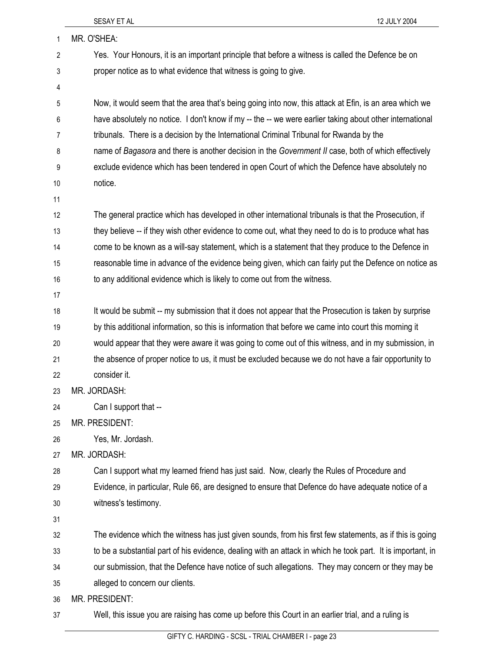| 1       | MR. O'SHEA:                                                                                                 |
|---------|-------------------------------------------------------------------------------------------------------------|
| 2       | Yes. Your Honours, it is an important principle that before a witness is called the Defence be on           |
| 3       | proper notice as to what evidence that witness is going to give.                                            |
| 4       |                                                                                                             |
| 5       | Now, it would seem that the area that's being going into now, this attack at Efin, is an area which we      |
| $\,6\,$ | have absolutely no notice. I don't know if my -- the -- we were earlier taking about other international    |
| 7       | tribunals. There is a decision by the International Criminal Tribunal for Rwanda by the                     |
| 8       | name of Bagasora and there is another decision in the Government II case, both of which effectively         |
| 9       | exclude evidence which has been tendered in open Court of which the Defence have absolutely no              |
| 10      | notice.                                                                                                     |
| 11      |                                                                                                             |
| 12      | The general practice which has developed in other international tribunals is that the Prosecution, if       |
| 13      | they believe -- if they wish other evidence to come out, what they need to do is to produce what has        |
| 14      | come to be known as a will-say statement, which is a statement that they produce to the Defence in          |
| 15      | reasonable time in advance of the evidence being given, which can fairly put the Defence on notice as       |
| 16      | to any additional evidence which is likely to come out from the witness.                                    |
| 17      |                                                                                                             |
| 18      | It would be submit -- my submission that it does not appear that the Prosecution is taken by surprise       |
| 19      | by this additional information, so this is information that before we came into court this morning it       |
| 20      | would appear that they were aware it was going to come out of this witness, and in my submission, in        |
| 21      | the absence of proper notice to us, it must be excluded because we do not have a fair opportunity to        |
| 22      | consider it.                                                                                                |
| 23      | MR. JORDASH:                                                                                                |
| 24      | Can I support that --                                                                                       |
| 25      | MR. PRESIDENT:                                                                                              |
| 26      | Yes, Mr. Jordash.                                                                                           |
| 27      | MR. JORDASH:                                                                                                |
| 28      | Can I support what my learned friend has just said. Now, clearly the Rules of Procedure and                 |
| 29      | Evidence, in particular, Rule 66, are designed to ensure that Defence do have adequate notice of a          |
| 30      | witness's testimony.                                                                                        |
| 31      |                                                                                                             |
| 32      | The evidence which the witness has just given sounds, from his first few statements, as if this is going    |
| 33      | to be a substantial part of his evidence, dealing with an attack in which he took part. It is important, in |
| 34      | our submission, that the Defence have notice of such allegations. They may concern or they may be           |
| 35      | alleged to concern our clients.                                                                             |
| 36      | MR. PRESIDENT:                                                                                              |

37 Well, this issue you are raising has come up before this Court in an earlier trial, and a ruling is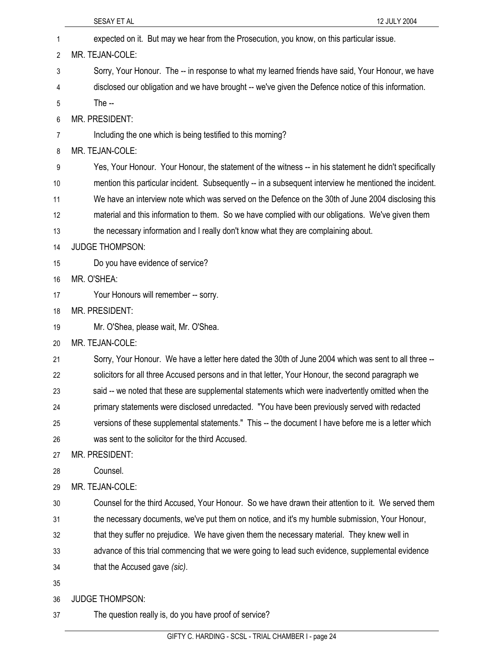|    | SESAY ET AL<br>12 JULY 2004                                                                            |
|----|--------------------------------------------------------------------------------------------------------|
| 1  | expected on it. But may we hear from the Prosecution, you know, on this particular issue.              |
| 2  | MR. TEJAN-COLE:                                                                                        |
| 3  | Sorry, Your Honour. The -- in response to what my learned friends have said, Your Honour, we have      |
| 4  | disclosed our obligation and we have brought -- we've given the Defence notice of this information.    |
| 5  | The $-$                                                                                                |
| 6  | MR. PRESIDENT:                                                                                         |
| 7  | Including the one which is being testified to this morning?                                            |
| 8  | MR. TEJAN-COLE:                                                                                        |
| 9  | Yes, Your Honour. Your Honour, the statement of the witness -- in his statement he didn't specifically |
| 10 | mention this particular incident. Subsequently -- in a subsequent interview he mentioned the incident. |
| 11 | We have an interview note which was served on the Defence on the 30th of June 2004 disclosing this     |
| 12 | material and this information to them. So we have complied with our obligations. We've given them      |
| 13 | the necessary information and I really don't know what they are complaining about.                     |
| 14 | <b>JUDGE THOMPSON:</b>                                                                                 |
| 15 | Do you have evidence of service?                                                                       |
| 16 | MR. O'SHEA:                                                                                            |
| 17 | Your Honours will remember -- sorry.                                                                   |
| 18 | MR. PRESIDENT:                                                                                         |
| 19 | Mr. O'Shea, please wait, Mr. O'Shea.                                                                   |
| 20 | MR. TEJAN-COLE:                                                                                        |
| 21 | Sorry, Your Honour. We have a letter here dated the 30th of June 2004 which was sent to all three --   |
| 22 | solicitors for all three Accused persons and in that letter, Your Honour, the second paragraph we      |
| 23 | said -- we noted that these are supplemental statements which were inadvertently omitted when the      |
| 24 | primary statements were disclosed unredacted. "You have been previously served with redacted           |
| 25 | versions of these supplemental statements." This -- the document I have before me is a letter which    |
| 26 | was sent to the solicitor for the third Accused.                                                       |
| 27 | MR. PRESIDENT:                                                                                         |
| 28 | Counsel.                                                                                               |
| 29 | MR. TEJAN-COLE:                                                                                        |
| 30 | Counsel for the third Accused, Your Honour. So we have drawn their attention to it. We served them     |
| 31 | the necessary documents, we've put them on notice, and it's my humble submission, Your Honour,         |
| 32 | that they suffer no prejudice. We have given them the necessary material. They knew well in            |
| 33 | advance of this trial commencing that we were going to lead such evidence, supplemental evidence       |
| 34 | that the Accused gave (sic).                                                                           |
| 35 |                                                                                                        |
| 36 | <b>JUDGE THOMPSON:</b>                                                                                 |
| 37 | The question really is, do you have proof of service?                                                  |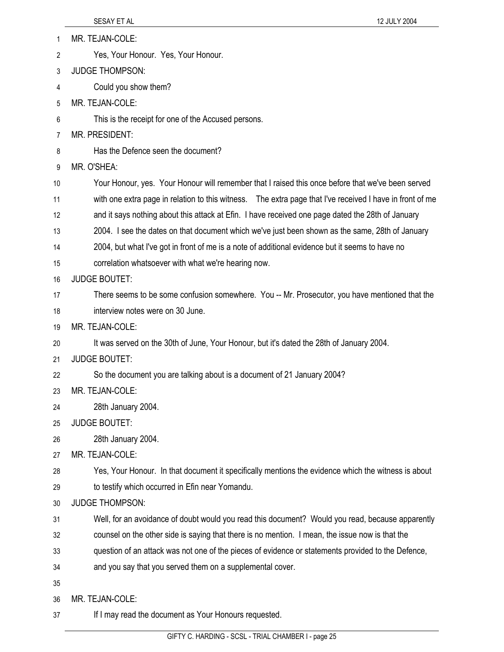| 1  | MR. TEJAN-COLE:                                                                                          |
|----|----------------------------------------------------------------------------------------------------------|
| 2  | Yes, Your Honour. Yes, Your Honour.                                                                      |
| 3  | <b>JUDGE THOMPSON:</b>                                                                                   |
| 4  | Could you show them?                                                                                     |
| 5  | MR. TEJAN-COLE:                                                                                          |
| 6  | This is the receipt for one of the Accused persons.                                                      |
| 7  | MR. PRESIDENT:                                                                                           |
| 8  | Has the Defence seen the document?                                                                       |
| 9  | MR. O'SHEA:                                                                                              |
| 10 | Your Honour, yes. Your Honour will remember that I raised this once before that we've been served        |
| 11 | with one extra page in relation to this witness. The extra page that I've received I have in front of me |
| 12 | and it says nothing about this attack at Efin. I have received one page dated the 28th of January        |
| 13 | 2004. I see the dates on that document which we've just been shown as the same, 28th of January          |
| 14 | 2004, but what I've got in front of me is a note of additional evidence but it seems to have no          |
| 15 | correlation whatsoever with what we're hearing now.                                                      |
| 16 | <b>JUDGE BOUTET:</b>                                                                                     |
| 17 | There seems to be some confusion somewhere. You -- Mr. Prosecutor, you have mentioned that the           |
| 18 | interview notes were on 30 June.                                                                         |
| 19 | MR. TEJAN-COLE:                                                                                          |
| 20 | It was served on the 30th of June, Your Honour, but it's dated the 28th of January 2004.                 |
| 21 | <b>JUDGE BOUTET:</b>                                                                                     |
| 22 | So the document you are talking about is a document of 21 January 2004?                                  |
| 23 | MR. TEJAN-COLE:                                                                                          |
| 24 | 28th January 2004.                                                                                       |
| 25 | <b>JUDGE BOUTET:</b>                                                                                     |
| 26 | 28th January 2004.                                                                                       |
| 27 | MR. TEJAN-COLE:                                                                                          |
| 28 | Yes, Your Honour. In that document it specifically mentions the evidence which the witness is about      |
| 29 | to testify which occurred in Efin near Yomandu.                                                          |
| 30 | <b>JUDGE THOMPSON:</b>                                                                                   |
| 31 | Well, for an avoidance of doubt would you read this document? Would you read, because apparently         |
| 32 | counsel on the other side is saying that there is no mention. I mean, the issue now is that the          |
| 33 | question of an attack was not one of the pieces of evidence or statements provided to the Defence,       |
| 34 | and you say that you served them on a supplemental cover.                                                |
| 35 |                                                                                                          |
| 36 | MR. TEJAN-COLE:                                                                                          |
| 37 | If I may read the document as Your Honours requested.                                                    |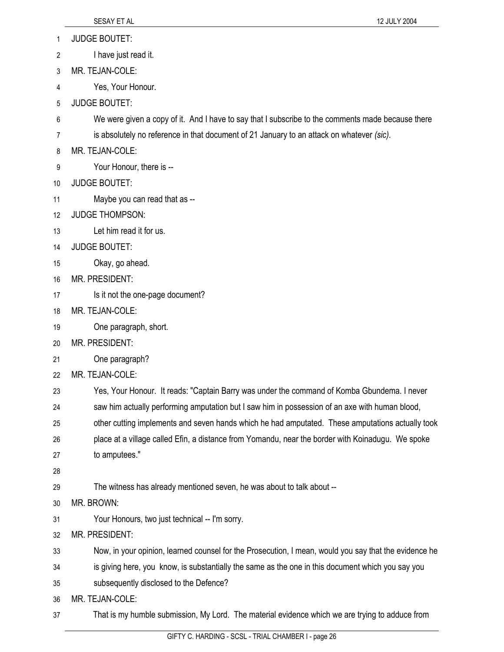- 1 JUDGE BOUTET:
- 2 I have just read it.
- 3 MR. TEJAN-COLE:
- 4 Yes, Your Honour.
- 5 JUDGE BOUTET:
- 6 We were given a copy of it. And I have to say that I subscribe to the comments made because there
- 7 is absolutely no reference in that document of 21 January to an attack on whatever *(sic)*.
- 8 MR. TEJAN-COLE:
- 9 Your Honour, there is --
- 10 JUDGE BOUTET:
- 11 Maybe you can read that as --
- 12 JUDGE THOMPSON:
- 13 Let him read it for us.
- 14 JUDGE BOUTET:
- 15 Okay, go ahead.
- 16 MR. PRESIDENT:
- 17 **Is it not the one-page document?**
- 18 MR. TEJAN-COLE:
- 19 One paragraph, short.
- 20 MR. PRESIDENT:
- 21 One paragraph?
- 22 MR. TEJAN-COLE:
- 23 Yes, Your Honour. It reads: "Captain Barry was under the command of Komba Gbundema. I never
- 24 saw him actually performing amputation but I saw him in possession of an axe with human blood,
- 25 other cutting implements and seven hands which he had amputated. These amputations actually took
- 26 place at a village called Efin, a distance from Yomandu, near the border with Koinadugu. We spoke
- 27 to amputees."
- 28
- 29 The witness has already mentioned seven, he was about to talk about --
- 30 MR. BROWN:
- 31 Your Honours, two just technical -- I'm sorry.
- 32 MR. PRESIDENT:
- 33 Now, in your opinion, learned counsel for the Prosecution, I mean, would you say that the evidence he
- 34 is giving here, you know, is substantially the same as the one in this document which you say you
- 35 subsequently disclosed to the Defence?
- 36 MR. TEJAN-COLE:
- 37 That is my humble submission, My Lord. The material evidence which we are trying to adduce from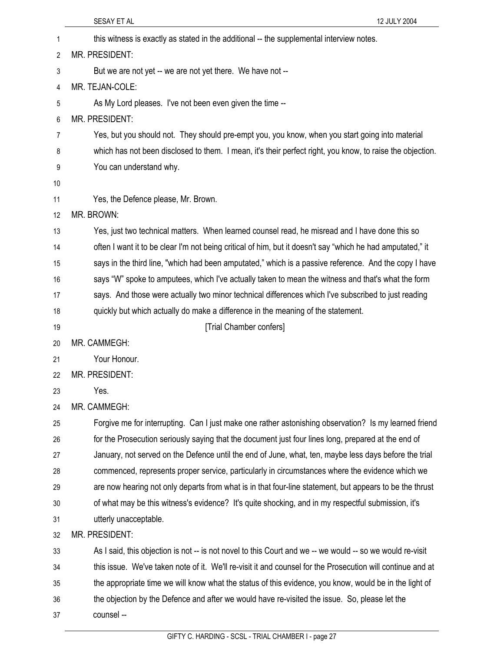|    | SESAY ET AL<br>12 JULY 2004                                                                                |
|----|------------------------------------------------------------------------------------------------------------|
| 1  | this witness is exactly as stated in the additional -- the supplemental interview notes.                   |
| 2  | MR. PRESIDENT:                                                                                             |
| 3  | But we are not yet -- we are not yet there. We have not --                                                 |
| 4  | MR. TEJAN-COLE:                                                                                            |
| 5  | As My Lord pleases. I've not been even given the time --                                                   |
| 6  | MR. PRESIDENT:                                                                                             |
| 7  | Yes, but you should not. They should pre-empt you, you know, when you start going into material            |
| 8  | which has not been disclosed to them. I mean, it's their perfect right, you know, to raise the objection.  |
| 9  | You can understand why.                                                                                    |
| 10 |                                                                                                            |
| 11 | Yes, the Defence please, Mr. Brown.                                                                        |
| 12 | MR. BROWN:                                                                                                 |
| 13 | Yes, just two technical matters. When learned counsel read, he misread and I have done this so             |
| 14 | often I want it to be clear I'm not being critical of him, but it doesn't say "which he had amputated," it |
| 15 | says in the third line, "which had been amputated," which is a passive reference. And the copy I have      |
| 16 | says "W" spoke to amputees, which I've actually taken to mean the witness and that's what the form         |
| 17 | says. And those were actually two minor technical differences which I've subscribed to just reading        |
| 18 | quickly but which actually do make a difference in the meaning of the statement.                           |
| 19 | [Trial Chamber confers]                                                                                    |
| 20 | MR. CAMMEGH:                                                                                               |
| 21 | Your Honour.                                                                                               |
| 22 | MR. PRESIDENT:                                                                                             |
| 23 | Yes.                                                                                                       |
| 24 | MR. CAMMEGH:                                                                                               |
| 25 | Forgive me for interrupting. Can I just make one rather astonishing observation? Is my learned friend      |
| 26 | for the Prosecution seriously saying that the document just four lines long, prepared at the end of        |
| 27 | January, not served on the Defence until the end of June, what, ten, maybe less days before the trial      |
| 28 | commenced, represents proper service, particularly in circumstances where the evidence which we            |
| 29 | are now hearing not only departs from what is in that four-line statement, but appears to be the thrust    |
| 30 | of what may be this witness's evidence? It's quite shocking, and in my respectful submission, it's         |
| 31 | utterly unacceptable.                                                                                      |
| 32 | MR. PRESIDENT:                                                                                             |
| 33 | As I said, this objection is not -- is not novel to this Court and we -- we would -- so we would re-visit  |
| 34 | this issue. We've taken note of it. We'll re-visit it and counsel for the Prosecution will continue and at |
| 35 | the appropriate time we will know what the status of this evidence, you know, would be in the light of     |
| 36 | the objection by the Defence and after we would have re-visited the issue. So, please let the              |
| 37 | counsel --                                                                                                 |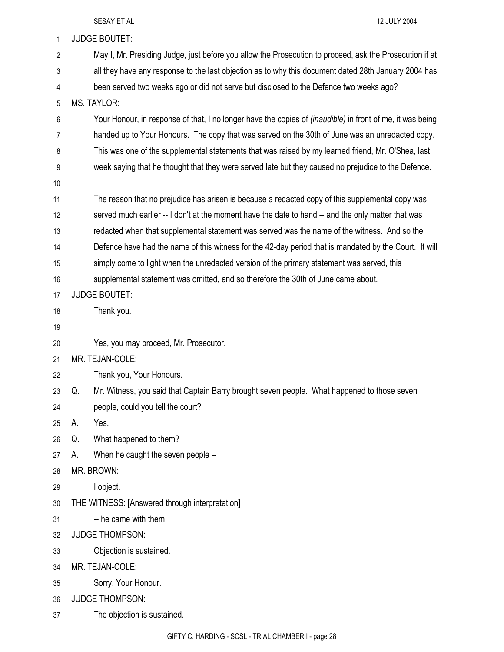|    | SESAY ET AL                                                                                                      | 12 JULY 2004 |  |  |
|----|------------------------------------------------------------------------------------------------------------------|--------------|--|--|
| 1  | <b>JUDGE BOUTET:</b>                                                                                             |              |  |  |
| 2  | May I, Mr. Presiding Judge, just before you allow the Prosecution to proceed, ask the Prosecution if at          |              |  |  |
| 3  | all they have any response to the last objection as to why this document dated 28th January 2004 has             |              |  |  |
| 4  | been served two weeks ago or did not serve but disclosed to the Defence two weeks ago?                           |              |  |  |
| 5  | <b>MS. TAYLOR:</b>                                                                                               |              |  |  |
| 6  | Your Honour, in response of that, I no longer have the copies of <i>(inaudible)</i> in front of me, it was being |              |  |  |
| 7  | handed up to Your Honours. The copy that was served on the 30th of June was an unredacted copy.                  |              |  |  |
| 8  | This was one of the supplemental statements that was raised by my learned friend, Mr. O'Shea, last               |              |  |  |
| 9  | week saying that he thought that they were served late but they caused no prejudice to the Defence.              |              |  |  |
| 10 |                                                                                                                  |              |  |  |
| 11 | The reason that no prejudice has arisen is because a redacted copy of this supplemental copy was                 |              |  |  |
| 12 | served much earlier -- I don't at the moment have the date to hand -- and the only matter that was               |              |  |  |
| 13 | redacted when that supplemental statement was served was the name of the witness. And so the                     |              |  |  |
| 14 | Defence have had the name of this witness for the 42-day period that is mandated by the Court. It will           |              |  |  |
| 15 | simply come to light when the unredacted version of the primary statement was served, this                       |              |  |  |
| 16 | supplemental statement was omitted, and so therefore the 30th of June came about.                                |              |  |  |
| 17 | <b>JUDGE BOUTET:</b>                                                                                             |              |  |  |
| 18 | Thank you.                                                                                                       |              |  |  |
| 19 |                                                                                                                  |              |  |  |
| 20 | Yes, you may proceed, Mr. Prosecutor.                                                                            |              |  |  |
| 21 | MR. TEJAN-COLE:                                                                                                  |              |  |  |
| 22 | Thank you, Your Honours.                                                                                         |              |  |  |
| 23 | Q.<br>Mr. Witness, you said that Captain Barry brought seven people. What happened to those seven                |              |  |  |
| 24 | people, could you tell the court?                                                                                |              |  |  |
| 25 | Yes.<br>А.                                                                                                       |              |  |  |
| 26 | What happened to them?<br>Q.                                                                                     |              |  |  |
| 27 | When he caught the seven people --<br>А.                                                                         |              |  |  |
| 28 | MR. BROWN:                                                                                                       |              |  |  |
| 29 | I object.                                                                                                        |              |  |  |
| 30 | THE WITNESS: [Answered through interpretation]                                                                   |              |  |  |
| 31 | -- he came with them.                                                                                            |              |  |  |
| 32 | <b>JUDGE THOMPSON:</b>                                                                                           |              |  |  |
| 33 | Objection is sustained.                                                                                          |              |  |  |
| 34 | MR. TEJAN-COLE:                                                                                                  |              |  |  |
| 35 | Sorry, Your Honour.                                                                                              |              |  |  |
| 36 | <b>JUDGE THOMPSON:</b>                                                                                           |              |  |  |
| 37 | The objection is sustained.                                                                                      |              |  |  |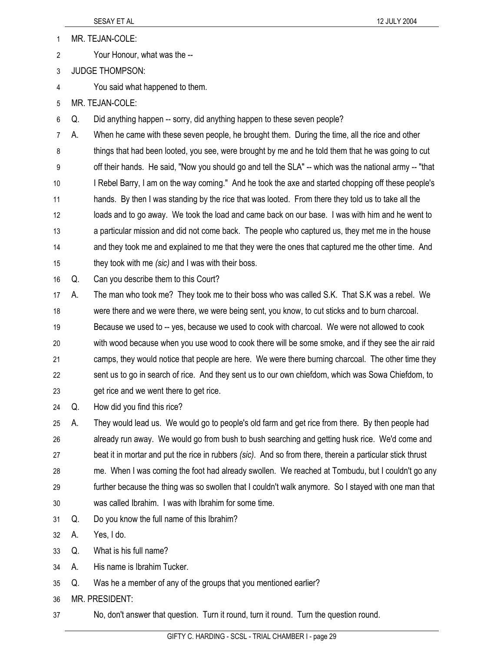1 MR. TEJAN-COLE:

- 2 Your Honour, what was the --
- 3 JUDGE THOMPSON:
- 4 You said what happened to them.
- 5 MR. TEJAN-COLE:

6 Q. Did anything happen -- sorry, did anything happen to these seven people?

7 A. When he came with these seven people, he brought them. During the time, all the rice and other 8 things that had been looted, you see, were brought by me and he told them that he was going to cut 9 off their hands. He said, "Now you should go and tell the SLA" -- which was the national army -- "that 10 I Rebel Barry, I am on the way coming." And he took the axe and started chopping off these people's 11 hands. By then I was standing by the rice that was looted. From there they told us to take all the 12 loads and to go away. We took the load and came back on our base. I was with him and he went to 13 a particular mission and did not come back. The people who captured us, they met me in the house 14 and they took me and explained to me that they were the ones that captured me the other time. And 15 they took with me *(sic)* and I was with their boss.

16 Q. Can you describe them to this Court?

17 A. The man who took me? They took me to their boss who was called S.K. That S.K was a rebel. We 18 were there and we were there, we were being sent, you know, to cut sticks and to burn charcoal. 19 Because we used to -- yes, because we used to cook with charcoal. We were not allowed to cook 20 with wood because when you use wood to cook there will be some smoke, and if they see the air raid 21 camps, they would notice that people are here. We were there burning charcoal. The other time they 22 sent us to go in search of rice. And they sent us to our own chiefdom, which was Sowa Chiefdom, to 23 get rice and we went there to get rice.

24 Q. How did you find this rice?

25 A. They would lead us. We would go to people's old farm and get rice from there. By then people had 26 already run away. We would go from bush to bush searching and getting husk rice. We'd come and 27 beat it in mortar and put the rice in rubbers *(sic)*. And so from there, therein a particular stick thrust 28 me. When I was coming the foot had already swollen. We reached at Tombudu, but I couldn't go any 29 further because the thing was so swollen that I couldn't walk anymore. So I stayed with one man that 30 was called Ibrahim. I was with Ibrahim for some time.

31 Q. Do you know the full name of this Ibrahim?

32 A. Yes, I do.

- 33 Q. What is his full name?
- 34 A. His name is Ibrahim Tucker.
- 35 Q. Was he a member of any of the groups that you mentioned earlier?

36 MR. PRESIDENT:

37 No, don't answer that question. Turn it round, turn it round. Turn the question round.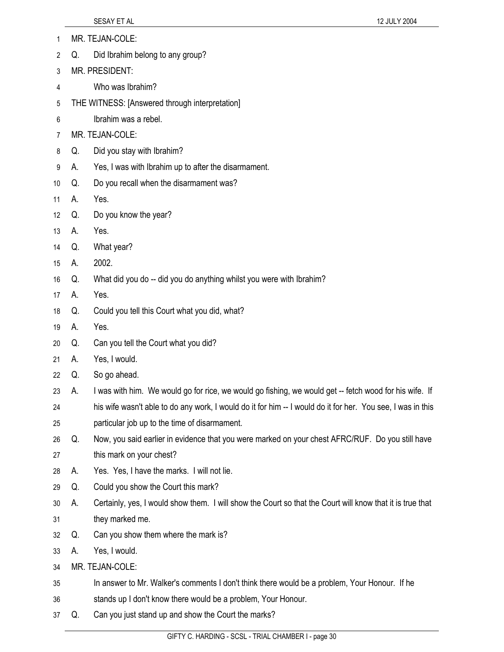- 1 MR. TEJAN-COLE: 2 Q. Did Ibrahim belong to any group? 3 MR. PRESIDENT: 4 Who was Ibrahim? 5 THE WITNESS: [Answered through interpretation] 6 Ibrahim was a rebel. 7 MR. TEJAN-COLE: 8 Q. Did you stay with Ibrahim? 9 A. Yes, I was with Ibrahim up to after the disarmament. 10 Q. Do you recall when the disarmament was? 11 A. Yes. 12 Q. Do you know the year? 13 A. Yes. 14 Q. What year? 15 A. 2002. 16 Q. What did you do -- did you do anything whilst you were with Ibrahim? 17 A. Yes. 18 Q. Could you tell this Court what you did, what? 19 A. Yes. 20 Q. Can you tell the Court what you did? 21 A. Yes, I would. 22 Q. So go ahead. 23 A. I was with him. We would go for rice, we would go fishing, we would get -- fetch wood for his wife. If 24 his wife wasn't able to do any work, I would do it for him -- I would do it for her. You see, I was in this 25 particular job up to the time of disarmament. 26 Q. Now, you said earlier in evidence that you were marked on your chest AFRC/RUF. Do you still have 27 this mark on your chest? 28 A. Yes. Yes, I have the marks. I will not lie. 29 Q. Could you show the Court this mark? 30 A. Certainly, yes, I would show them. I will show the Court so that the Court will know that it is true that 31 they marked me. 32 Q. Can you show them where the mark is? 33 A. Yes, I would. 34 MR. TEJAN-COLE: 35 In answer to Mr. Walker's comments I don't think there would be a problem, Your Honour. If he
- 36 stands up I don't know there would be a problem, Your Honour.
- 37 Q. Can you just stand up and show the Court the marks?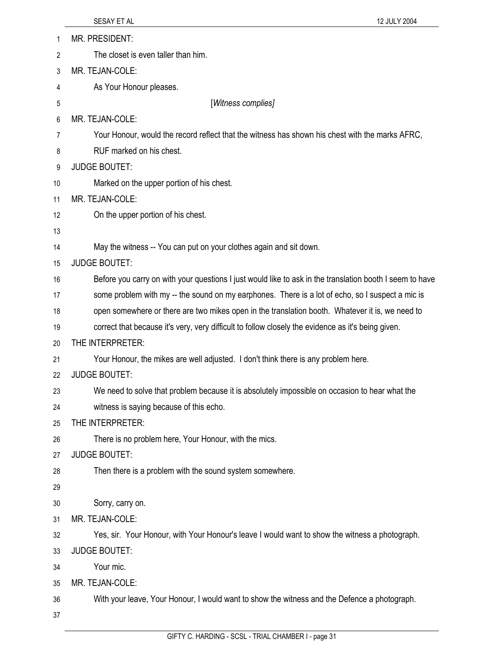| 1  | MR. PRESIDENT:                                                                                           |
|----|----------------------------------------------------------------------------------------------------------|
| 2  | The closet is even taller than him.                                                                      |
| 3  | MR. TEJAN-COLE:                                                                                          |
| 4  | As Your Honour pleases.                                                                                  |
| 5  | [Witness complies]                                                                                       |
| 6  | MR. TEJAN-COLE:                                                                                          |
| 7  | Your Honour, would the record reflect that the witness has shown his chest with the marks AFRC,          |
| 8  | RUF marked on his chest.                                                                                 |
| 9  | <b>JUDGE BOUTET:</b>                                                                                     |
| 10 | Marked on the upper portion of his chest.                                                                |
| 11 | MR. TEJAN-COLE:                                                                                          |
| 12 | On the upper portion of his chest.                                                                       |
| 13 |                                                                                                          |
| 14 | May the witness -- You can put on your clothes again and sit down.                                       |
| 15 | <b>JUDGE BOUTET:</b>                                                                                     |
| 16 | Before you carry on with your questions I just would like to ask in the translation booth I seem to have |
| 17 | some problem with my -- the sound on my earphones. There is a lot of echo, so I suspect a mic is         |
| 18 | open somewhere or there are two mikes open in the translation booth. Whatever it is, we need to          |
| 19 | correct that because it's very, very difficult to follow closely the evidence as it's being given.       |
| 20 | THE INTERPRETER:                                                                                         |
| 21 | Your Honour, the mikes are well adjusted. I don't think there is any problem here.                       |
| 22 | <b>JUDGE BOUTET:</b>                                                                                     |
| 23 | We need to solve that problem because it is absolutely impossible on occasion to hear what the           |
| 24 | witness is saying because of this echo.                                                                  |
| 25 | THE INTERPRETER:                                                                                         |
| 26 | There is no problem here, Your Honour, with the mics.                                                    |
| 27 | <b>JUDGE BOUTET:</b>                                                                                     |
| 28 | Then there is a problem with the sound system somewhere.                                                 |
| 29 |                                                                                                          |
| 30 | Sorry, carry on.                                                                                         |
| 31 | MR. TEJAN-COLE:                                                                                          |
| 32 | Yes, sir. Your Honour, with Your Honour's leave I would want to show the witness a photograph.           |
| 33 | <b>JUDGE BOUTET:</b>                                                                                     |
| 34 | Your mic.                                                                                                |
| 35 | MR. TEJAN-COLE:                                                                                          |
| 36 | With your leave, Your Honour, I would want to show the witness and the Defence a photograph.             |
| 37 |                                                                                                          |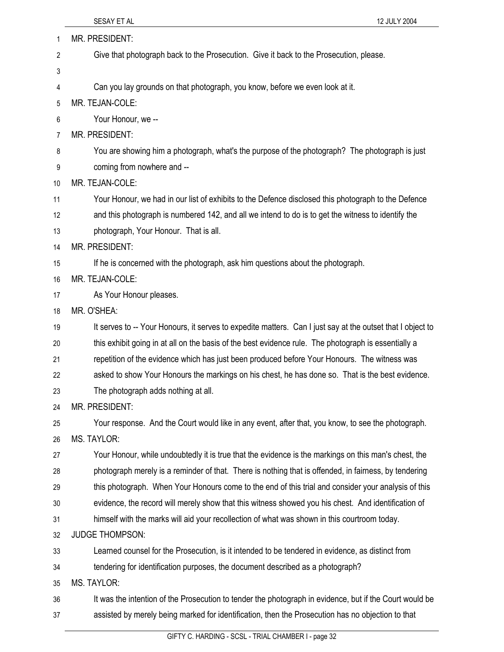| 1  | <b>MR. PRESIDENT:</b>                                                                                      |  |  |
|----|------------------------------------------------------------------------------------------------------------|--|--|
| 2  | Give that photograph back to the Prosecution. Give it back to the Prosecution, please.                     |  |  |
| 3  |                                                                                                            |  |  |
| 4  | Can you lay grounds on that photograph, you know, before we even look at it.                               |  |  |
| 5  | MR. TEJAN-COLE:                                                                                            |  |  |
| 6  | Your Honour, we --                                                                                         |  |  |
| 7  | <b>MR. PRESIDENT:</b>                                                                                      |  |  |
| 8  | You are showing him a photograph, what's the purpose of the photograph? The photograph is just             |  |  |
| 9  | coming from nowhere and --                                                                                 |  |  |
| 10 | MR. TEJAN-COLE:                                                                                            |  |  |
| 11 | Your Honour, we had in our list of exhibits to the Defence disclosed this photograph to the Defence        |  |  |
| 12 | and this photograph is numbered 142, and all we intend to do is to get the witness to identify the         |  |  |
| 13 | photograph, Your Honour. That is all.                                                                      |  |  |
| 14 | MR. PRESIDENT:                                                                                             |  |  |
| 15 | If he is concerned with the photograph, ask him questions about the photograph.                            |  |  |
| 16 | MR. TEJAN-COLE:                                                                                            |  |  |
| 17 | As Your Honour pleases.                                                                                    |  |  |
| 18 | MR. O'SHEA:                                                                                                |  |  |
| 19 | It serves to -- Your Honours, it serves to expedite matters. Can I just say at the outset that I object to |  |  |
| 20 | this exhibit going in at all on the basis of the best evidence rule. The photograph is essentially a       |  |  |
| 21 | repetition of the evidence which has just been produced before Your Honours. The witness was               |  |  |
| 22 | asked to show Your Honours the markings on his chest, he has done so. That is the best evidence.           |  |  |
| 23 | The photograph adds nothing at all.                                                                        |  |  |
| 24 | MR. PRESIDENT:                                                                                             |  |  |
| 25 | Your response. And the Court would like in any event, after that, you know, to see the photograph.         |  |  |
| 26 | MS. TAYLOR:                                                                                                |  |  |
| 27 | Your Honour, while undoubtedly it is true that the evidence is the markings on this man's chest, the       |  |  |
| 28 | photograph merely is a reminder of that. There is nothing that is offended, in fairness, by tendering      |  |  |
| 29 | this photograph. When Your Honours come to the end of this trial and consider your analysis of this        |  |  |
| 30 | evidence, the record will merely show that this witness showed you his chest. And identification of        |  |  |
| 31 | himself with the marks will aid your recollection of what was shown in this courtroom today.               |  |  |
| 32 | <b>JUDGE THOMPSON:</b>                                                                                     |  |  |
| 33 | Learned counsel for the Prosecution, is it intended to be tendered in evidence, as distinct from           |  |  |
| 34 | tendering for identification purposes, the document described as a photograph?                             |  |  |
| 35 | MS. TAYLOR:                                                                                                |  |  |
| 36 | It was the intention of the Prosecution to tender the photograph in evidence, but if the Court would be    |  |  |
| 37 | assisted by merely being marked for identification, then the Prosecution has no objection to that          |  |  |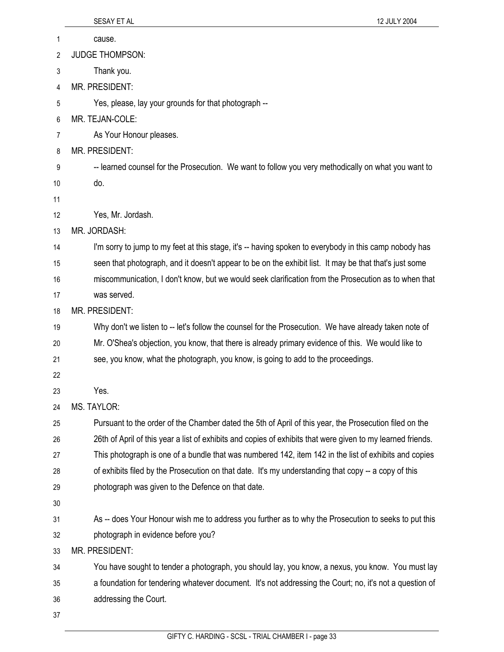|    | SESAY ET AL<br>12 JULY 2004                                                                                 |
|----|-------------------------------------------------------------------------------------------------------------|
| 1  | cause.                                                                                                      |
| 2  | <b>JUDGE THOMPSON:</b>                                                                                      |
| 3  | Thank you.                                                                                                  |
| 4  | MR. PRESIDENT:                                                                                              |
| 5  | Yes, please, lay your grounds for that photograph --                                                        |
| 6  | MR. TEJAN-COLE:                                                                                             |
| 7  | As Your Honour pleases.                                                                                     |
| 8  | MR. PRESIDENT:                                                                                              |
| 9  | -- learned counsel for the Prosecution. We want to follow you very methodically on what you want to         |
| 10 | do.                                                                                                         |
| 11 |                                                                                                             |
| 12 | Yes, Mr. Jordash.                                                                                           |
| 13 | MR. JORDASH:                                                                                                |
| 14 | I'm sorry to jump to my feet at this stage, it's -- having spoken to everybody in this camp nobody has      |
| 15 | seen that photograph, and it doesn't appear to be on the exhibit list. It may be that that's just some      |
| 16 | miscommunication, I don't know, but we would seek clarification from the Prosecution as to when that        |
| 17 | was served.                                                                                                 |
| 18 | MR. PRESIDENT:                                                                                              |
| 19 | Why don't we listen to -- let's follow the counsel for the Prosecution. We have already taken note of       |
| 20 | Mr. O'Shea's objection, you know, that there is already primary evidence of this. We would like to          |
| 21 | see, you know, what the photograph, you know, is going to add to the proceedings.                           |
| 22 |                                                                                                             |
| 23 | Yes.                                                                                                        |
| 24 | MS. TAYLOR:                                                                                                 |
| 25 | Pursuant to the order of the Chamber dated the 5th of April of this year, the Prosecution filed on the      |
| 26 | 26th of April of this year a list of exhibits and copies of exhibits that were given to my learned friends. |
| 27 | This photograph is one of a bundle that was numbered 142, item 142 in the list of exhibits and copies       |
| 28 | of exhibits filed by the Prosecution on that date. It's my understanding that copy -- a copy of this        |
| 29 | photograph was given to the Defence on that date.                                                           |
| 30 |                                                                                                             |
| 31 | As -- does Your Honour wish me to address you further as to why the Prosecution to seeks to put this        |
| 32 | photograph in evidence before you?                                                                          |
| 33 | MR. PRESIDENT:                                                                                              |

34 You have sought to tender a photograph, you should lay, you know, a nexus, you know. You must lay 35 a foundation for tendering whatever document. It's not addressing the Court; no, it's not a question of 36 addressing the Court.

37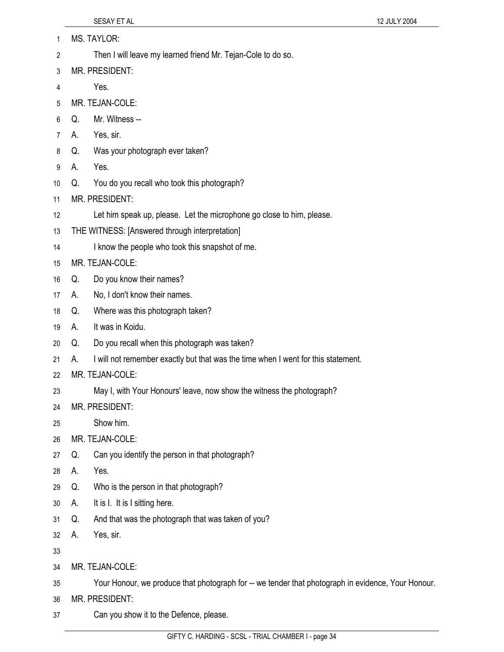|    |    | SESAY ET AL                                                                                        | 12 JULY 2004 |
|----|----|----------------------------------------------------------------------------------------------------|--------------|
| 1  |    | <b>MS. TAYLOR:</b>                                                                                 |              |
| 2  |    | Then I will leave my learned friend Mr. Tejan-Cole to do so.                                       |              |
| 3  |    | <b>MR. PRESIDENT:</b>                                                                              |              |
| 4  |    | Yes.                                                                                               |              |
| 5  |    | MR. TEJAN-COLE:                                                                                    |              |
| 6  | Q. | Mr. Witness --                                                                                     |              |
| 7  | А. | Yes, sir.                                                                                          |              |
| 8  | Q. | Was your photograph ever taken?                                                                    |              |
| 9  | А. | Yes.                                                                                               |              |
| 10 | Q. | You do you recall who took this photograph?                                                        |              |
| 11 |    | <b>MR. PRESIDENT:</b>                                                                              |              |
| 12 |    | Let him speak up, please. Let the microphone go close to him, please.                              |              |
| 13 |    | THE WITNESS: [Answered through interpretation]                                                     |              |
| 14 |    | I know the people who took this snapshot of me.                                                    |              |
| 15 |    | MR. TEJAN-COLE:                                                                                    |              |
| 16 | Q. | Do you know their names?                                                                           |              |
| 17 | А. | No, I don't know their names.                                                                      |              |
| 18 | Q. | Where was this photograph taken?                                                                   |              |
| 19 | А. | It was in Koidu.                                                                                   |              |
| 20 | Q. | Do you recall when this photograph was taken?                                                      |              |
| 21 | А. | I will not remember exactly but that was the time when I went for this statement.                  |              |
| 22 |    | MR. TEJAN-COLE:                                                                                    |              |
| 23 |    | May I, with Your Honours' leave, now show the witness the photograph?                              |              |
| 24 |    | MR. PRESIDENT:                                                                                     |              |
| 25 |    | Show him.                                                                                          |              |
| 26 |    | MR. TEJAN-COLE:                                                                                    |              |
| 27 | Q. | Can you identify the person in that photograph?                                                    |              |
| 28 | А. | Yes.                                                                                               |              |
| 29 | Q. | Who is the person in that photograph?                                                              |              |
| 30 | А. | It is I. It is I sitting here.                                                                     |              |
| 31 | Q. | And that was the photograph that was taken of you?                                                 |              |
| 32 | А. | Yes, sir.                                                                                          |              |
| 33 |    |                                                                                                    |              |
| 34 |    | MR. TEJAN-COLE:                                                                                    |              |
| 35 |    | Your Honour, we produce that photograph for -- we tender that photograph in evidence, Your Honour. |              |
| 36 |    | MR. PRESIDENT:                                                                                     |              |

37 Can you show it to the Defence, please.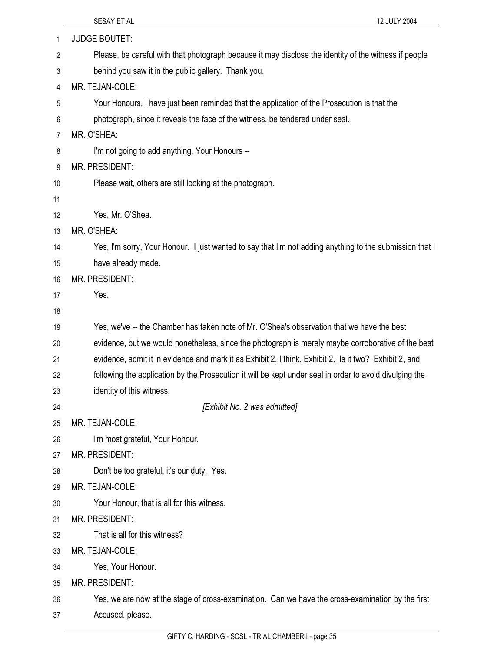|          | 12 JULY 2004<br>SESAY ET AL                                                                             |
|----------|---------------------------------------------------------------------------------------------------------|
| 1        | <b>JUDGE BOUTET:</b>                                                                                    |
| 2        | Please, be careful with that photograph because it may disclose the identity of the witness if people   |
| 3        | behind you saw it in the public gallery. Thank you.                                                     |
| 4        | MR. TEJAN-COLE:                                                                                         |
| 5        | Your Honours, I have just been reminded that the application of the Prosecution is that the             |
| 6        | photograph, since it reveals the face of the witness, be tendered under seal.                           |
| 7        | MR. O'SHEA:                                                                                             |
| 8        | I'm not going to add anything, Your Honours --                                                          |
| 9        | MR. PRESIDENT:                                                                                          |
| 10       | Please wait, others are still looking at the photograph.                                                |
| 11       |                                                                                                         |
| 12       | Yes, Mr. O'Shea.                                                                                        |
| 13       | MR. O'SHEA:                                                                                             |
| 14       | Yes, I'm sorry, Your Honour. I just wanted to say that I'm not adding anything to the submission that I |
| 15       | have already made.                                                                                      |
| 16       | MR. PRESIDENT:                                                                                          |
| 17       | Yes.                                                                                                    |
| 18       |                                                                                                         |
| 19       | Yes, we've -- the Chamber has taken note of Mr. O'Shea's observation that we have the best              |
| 20       | evidence, but we would nonetheless, since the photograph is merely maybe corroborative of the best      |
| 21       | evidence, admit it in evidence and mark it as Exhibit 2, I think, Exhibit 2. Is it two? Exhibit 2, and  |
| 22       | following the application by the Prosecution it will be kept under seal in order to avoid divulging the |
| 23       | identity of this witness.                                                                               |
| 24       | [Exhibit No. 2 was admitted]                                                                            |
| 25       | MR. TEJAN-COLE:                                                                                         |
| 26       | I'm most grateful, Your Honour.                                                                         |
| 27       | MR. PRESIDENT:                                                                                          |
| 28       | Don't be too grateful, it's our duty. Yes.                                                              |
| 29       | MR. TEJAN-COLE:                                                                                         |
| 30       | Your Honour, that is all for this witness.                                                              |
| 31       | MR. PRESIDENT:<br>That is all for this witness?                                                         |
| 32       | MR. TEJAN-COLE:                                                                                         |
| 33       |                                                                                                         |
| 34<br>35 | Yes, Your Honour.<br><b>MR. PRESIDENT:</b>                                                              |
| 36       | Yes, we are now at the stage of cross-examination. Can we have the cross-examination by the first       |
| 37       | Accused, please.                                                                                        |
|          |                                                                                                         |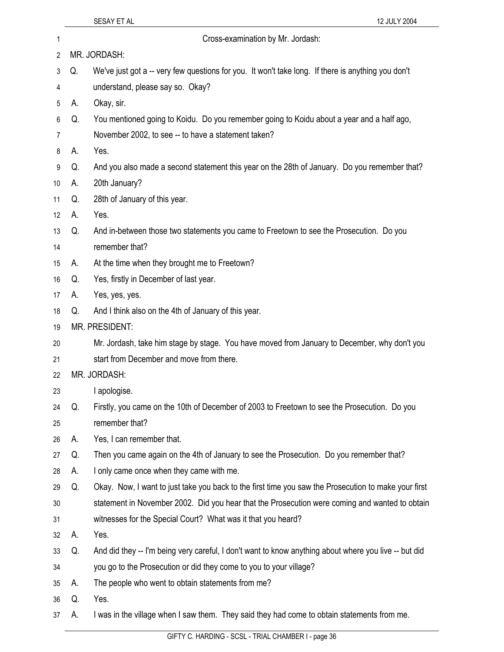|    |    | SESAY ET AL<br>12 JULY 2004                                                                           |
|----|----|-------------------------------------------------------------------------------------------------------|
| 1  |    | Cross-examination by Mr. Jordash:                                                                     |
| 2  |    | MR. JORDASH:                                                                                          |
| 3  | Q. | We've just got a -- very few questions for you. It won't take long. If there is anything you don't    |
| 4  |    | understand, please say so. Okay?                                                                      |
| 5  | А. | Okay, sir.                                                                                            |
| 6  | Q. | You mentioned going to Koidu. Do you remember going to Koidu about a year and a half ago,             |
| 7  |    | November 2002, to see -- to have a statement taken?                                                   |
| 8  | А. | Yes.                                                                                                  |
| 9  | Q. | And you also made a second statement this year on the 28th of January. Do you remember that?          |
| 10 | А. | 20th January?                                                                                         |
| 11 | Q. | 28th of January of this year.                                                                         |
| 12 | А. | Yes.                                                                                                  |
| 13 | Q. | And in-between those two statements you came to Freetown to see the Prosecution. Do you               |
| 14 |    | remember that?                                                                                        |
| 15 | А. | At the time when they brought me to Freetown?                                                         |
| 16 | Q. | Yes, firstly in December of last year.                                                                |
| 17 | А. | Yes, yes, yes.                                                                                        |
| 18 | Q. | And I think also on the 4th of January of this year.                                                  |
| 19 |    | MR. PRESIDENT:                                                                                        |
| 20 |    | Mr. Jordash, take him stage by stage. You have moved from January to December, why don't you          |
| 21 |    | start from December and move from there.                                                              |
| 22 |    | MR. JORDASH:                                                                                          |
| 23 |    | I apologise.                                                                                          |
| 24 | Q. | Firstly, you came on the 10th of December of 2003 to Freetown to see the Prosecution. Do you          |
| 25 |    | remember that?                                                                                        |
| 26 | А. | Yes, I can remember that.                                                                             |
| 27 | Q. | Then you came again on the 4th of January to see the Prosecution. Do you remember that?               |
| 28 | А. | I only came once when they came with me.                                                              |
| 29 | Q. | Okay. Now, I want to just take you back to the first time you saw the Prosecution to make your first  |
| 30 |    | statement in November 2002. Did you hear that the Prosecution were coming and wanted to obtain        |
| 31 |    | witnesses for the Special Court? What was it that you heard?                                          |
| 32 | А. | Yes.                                                                                                  |
| 33 | Q. | And did they -- I'm being very careful, I don't want to know anything about where you live -- but did |
| 34 |    | you go to the Prosecution or did they come to you to your village?                                    |
| 35 | А. | The people who went to obtain statements from me?                                                     |
| 36 | Q. | Yes.                                                                                                  |
| 37 | А. | I was in the village when I saw them. They said they had come to obtain statements from me.           |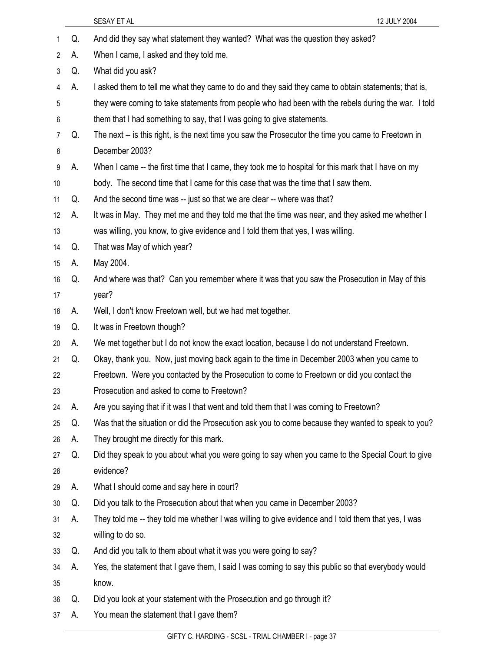|                |    | 12 JULY 2004<br>SESAY ET AL                                                                         |
|----------------|----|-----------------------------------------------------------------------------------------------------|
| 1              | Q. | And did they say what statement they wanted? What was the question they asked?                      |
| $\overline{2}$ | А. | When I came, I asked and they told me.                                                              |
| 3              | Q. | What did you ask?                                                                                   |
| 4              | А. | I asked them to tell me what they came to do and they said they came to obtain statements; that is, |
| 5              |    | they were coming to take statements from people who had been with the rebels during the war. I told |
| 6              |    | them that I had something to say, that I was going to give statements.                              |
| 7              | Q. | The next -- is this right, is the next time you saw the Prosecutor the time you came to Freetown in |
| 8              |    | December 2003?                                                                                      |
| 9              | А. | When I came -- the first time that I came, they took me to hospital for this mark that I have on my |
| 10             |    | body. The second time that I came for this case that was the time that I saw them.                  |
| 11             | Q. | And the second time was -- just so that we are clear -- where was that?                             |
| 12             | А. | It was in May. They met me and they told me that the time was near, and they asked me whether I     |
| 13             |    | was willing, you know, to give evidence and I told them that yes, I was willing.                    |
| 14             | Q. | That was May of which year?                                                                         |
| 15             | А. | May 2004.                                                                                           |
| 16             | Q. | And where was that? Can you remember where it was that you saw the Prosecution in May of this       |
| 17             |    | year?                                                                                               |
| 18             | А. | Well, I don't know Freetown well, but we had met together.                                          |
| 19             | Q. | It was in Freetown though?                                                                          |
| 20             | А. | We met together but I do not know the exact location, because I do not understand Freetown.         |
| 21             | Q. | Okay, thank you. Now, just moving back again to the time in December 2003 when you came to          |
| 22             |    | Freetown. Were you contacted by the Prosecution to come to Freetown or did you contact the          |
| 23             |    | Prosecution and asked to come to Freetown?                                                          |
| 24             | А. | Are you saying that if it was I that went and told them that I was coming to Freetown?              |
| 25             | Q. | Was that the situation or did the Prosecution ask you to come because they wanted to speak to you?  |
| 26             | А. | They brought me directly for this mark.                                                             |
| 27             | Q. | Did they speak to you about what you were going to say when you came to the Special Court to give   |
| 28             |    | evidence?                                                                                           |
| 29             | А. | What I should come and say here in court?                                                           |
| 30             | Q. | Did you talk to the Prosecution about that when you came in December 2003?                          |
| 31             | А. | They told me -- they told me whether I was willing to give evidence and I told them that yes, I was |
| 32             |    | willing to do so.                                                                                   |
| 33             | Q. | And did you talk to them about what it was you were going to say?                                   |
| 34             | А. | Yes, the statement that I gave them, I said I was coming to say this public so that everybody would |
| 35             |    | know.                                                                                               |
| 36             | Q. | Did you look at your statement with the Prosecution and go through it?                              |
| 37             | А. | You mean the statement that I gave them?                                                            |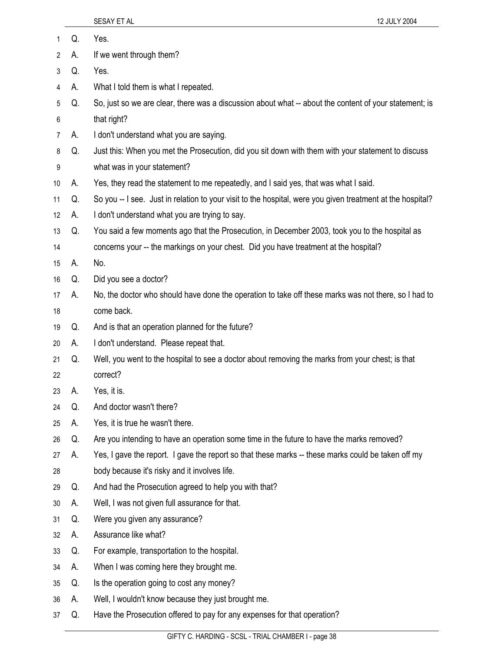| 1  | Q. | Yes.                                                                                                       |
|----|----|------------------------------------------------------------------------------------------------------------|
| 2  | А. | If we went through them?                                                                                   |
| 3  | Q. | Yes.                                                                                                       |
| 4  | А. | What I told them is what I repeated.                                                                       |
| 5  | Q. | So, just so we are clear, there was a discussion about what -- about the content of your statement; is     |
| 6  |    | that right?                                                                                                |
| 7  | А. | I don't understand what you are saying.                                                                    |
| 8  | Q. | Just this: When you met the Prosecution, did you sit down with them with your statement to discuss         |
| 9  |    | what was in your statement?                                                                                |
| 10 | А. | Yes, they read the statement to me repeatedly, and I said yes, that was what I said.                       |
| 11 | Q. | So you -- I see. Just in relation to your visit to the hospital, were you given treatment at the hospital? |
| 12 | А. | I don't understand what you are trying to say.                                                             |
| 13 | Q. | You said a few moments ago that the Prosecution, in December 2003, took you to the hospital as             |
| 14 |    | concerns your -- the markings on your chest. Did you have treatment at the hospital?                       |
| 15 | А. | No.                                                                                                        |
| 16 | Q. | Did you see a doctor?                                                                                      |
| 17 | А. | No, the doctor who should have done the operation to take off these marks was not there, so I had to       |
| 18 |    | come back.                                                                                                 |
| 19 | Q. | And is that an operation planned for the future?                                                           |
| 20 | А. | I don't understand. Please repeat that.                                                                    |
| 21 | Q. | Well, you went to the hospital to see a doctor about removing the marks from your chest; is that           |
| 22 |    | correct?                                                                                                   |
| 23 | А. | Yes, it is.                                                                                                |
| 24 | Q. | And doctor wasn't there?                                                                                   |
| 25 | А. | Yes, it is true he wasn't there.                                                                           |
| 26 | Q. | Are you intending to have an operation some time in the future to have the marks removed?                  |
| 27 | А. | Yes, I gave the report. I gave the report so that these marks -- these marks could be taken off my         |
| 28 |    | body because it's risky and it involves life.                                                              |
| 29 | Q. | And had the Prosecution agreed to help you with that?                                                      |
| 30 | А. | Well, I was not given full assurance for that.                                                             |
| 31 | Q. | Were you given any assurance?                                                                              |
| 32 | А. | Assurance like what?                                                                                       |
| 33 | Q. | For example, transportation to the hospital.                                                               |
| 34 | А. | When I was coming here they brought me.                                                                    |
| 35 | Q. | Is the operation going to cost any money?                                                                  |
| 36 | А. | Well, I wouldn't know because they just brought me.                                                        |
| 37 | Q. | Have the Prosecution offered to pay for any expenses for that operation?                                   |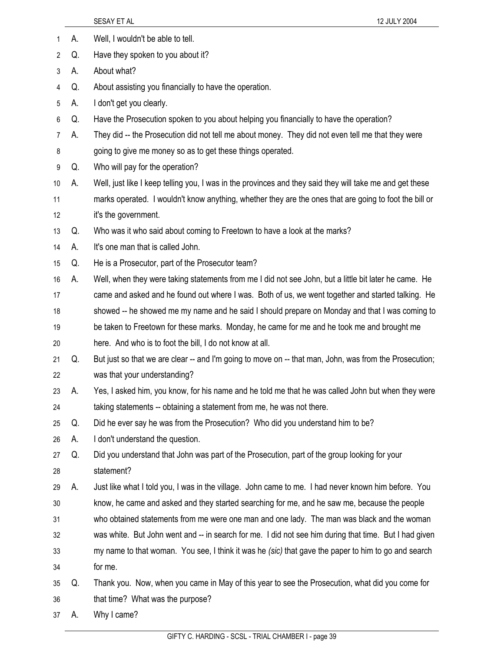|                |    | 12 JULY 2004<br>SESAY ET AL                                                                              |
|----------------|----|----------------------------------------------------------------------------------------------------------|
| 1              | А. | Well, I wouldn't be able to tell.                                                                        |
| 2              | Q. | Have they spoken to you about it?                                                                        |
| 3              | А. | About what?                                                                                              |
| 4              | Q. | About assisting you financially to have the operation.                                                   |
| 5              | А. | I don't get you clearly.                                                                                 |
| 6              | Q. | Have the Prosecution spoken to you about helping you financially to have the operation?                  |
| $\overline{7}$ | А. | They did -- the Prosecution did not tell me about money. They did not even tell me that they were        |
| 8              |    | going to give me money so as to get these things operated.                                               |
| 9              | Q. | Who will pay for the operation?                                                                          |
| 10             | А. | Well, just like I keep telling you, I was in the provinces and they said they will take me and get these |
| 11             |    | marks operated. I wouldn't know anything, whether they are the ones that are going to foot the bill or   |
| 12             |    | it's the government.                                                                                     |
| 13             | Q. | Who was it who said about coming to Freetown to have a look at the marks?                                |
| 14             | А. | It's one man that is called John.                                                                        |
| 15             | Q. | He is a Prosecutor, part of the Prosecutor team?                                                         |
| 16             | А. | Well, when they were taking statements from me I did not see John, but a little bit later he came. He    |
| 17             |    | came and asked and he found out where I was. Both of us, we went together and started talking. He        |
| 18             |    | showed -- he showed me my name and he said I should prepare on Monday and that I was coming to           |
| 19             |    | be taken to Freetown for these marks. Monday, he came for me and he took me and brought me               |
| 20             |    | here. And who is to foot the bill, I do not know at all.                                                 |
| 21             | Q. | But just so that we are clear -- and I'm going to move on -- that man, John, was from the Prosecution;   |
| 22             |    | was that your understanding?                                                                             |
| 23             | А. | Yes, I asked him, you know, for his name and he told me that he was called John but when they were       |
| 24             |    | taking statements -- obtaining a statement from me, he was not there.                                    |
| 25             | Q. | Did he ever say he was from the Prosecution? Who did you understand him to be?                           |
| 26             | А. | I don't understand the question.                                                                         |
| 27             | Q. | Did you understand that John was part of the Prosecution, part of the group looking for your             |
| 28             |    | statement?                                                                                               |
| 29             | А. | Just like what I told you, I was in the village. John came to me. I had never known him before. You      |
| 30             |    | know, he came and asked and they started searching for me, and he saw me, because the people             |
| 31             |    | who obtained statements from me were one man and one lady. The man was black and the woman               |
| 32             |    | was white. But John went and -- in search for me. I did not see him during that time. But I had given    |
| 33             |    | my name to that woman. You see, I think it was he (sic) that gave the paper to him to go and search      |
| 34             |    | for me.                                                                                                  |
| 35             | Q. | Thank you. Now, when you came in May of this year to see the Prosecution, what did you come for          |
| 36             |    | that time? What was the purpose?                                                                         |
| 37             | A. | Why I came?                                                                                              |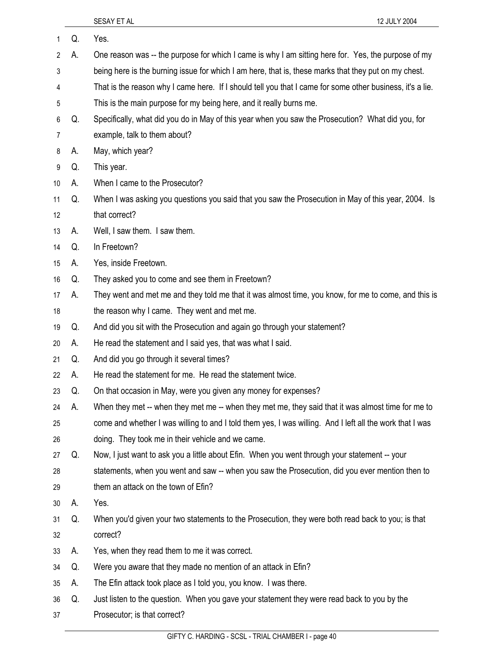| 1  | Q. | Yes.                                                                                                      |
|----|----|-----------------------------------------------------------------------------------------------------------|
| 2  | А. | One reason was -- the purpose for which I came is why I am sitting here for. Yes, the purpose of my       |
| 3  |    | being here is the burning issue for which I am here, that is, these marks that they put on my chest.      |
| 4  |    | That is the reason why I came here. If I should tell you that I came for some other business, it's a lie. |
| 5  |    | This is the main purpose for my being here, and it really burns me.                                       |
| 6  | Q. | Specifically, what did you do in May of this year when you saw the Prosecution? What did you, for         |
| 7  |    | example, talk to them about?                                                                              |
| 8  | А. | May, which year?                                                                                          |
| 9  | Q. | This year.                                                                                                |
| 10 | А. | When I came to the Prosecutor?                                                                            |
| 11 | Q. | When I was asking you questions you said that you saw the Prosecution in May of this year, 2004. Is       |
| 12 |    | that correct?                                                                                             |
| 13 | А. | Well, I saw them. I saw them.                                                                             |
| 14 | Q. | In Freetown?                                                                                              |
| 15 | А. | Yes, inside Freetown.                                                                                     |
| 16 | Q. | They asked you to come and see them in Freetown?                                                          |
| 17 | А. | They went and met me and they told me that it was almost time, you know, for me to come, and this is      |
| 18 |    | the reason why I came. They went and met me.                                                              |
| 19 | Q. | And did you sit with the Prosecution and again go through your statement?                                 |
| 20 | А. | He read the statement and I said yes, that was what I said.                                               |
| 21 | Q. | And did you go through it several times?                                                                  |
| 22 | А. | He read the statement for me. He read the statement twice.                                                |
| 23 | Q. | On that occasion in May, were you given any money for expenses?                                           |
| 24 | А. | When they met -- when they met me -- when they met me, they said that it was almost time for me to        |
| 25 |    | come and whether I was willing to and I told them yes, I was willing. And I left all the work that I was  |
| 26 |    | doing. They took me in their vehicle and we came.                                                         |
| 27 | Q. | Now, I just want to ask you a little about Efin. When you went through your statement -- your             |
| 28 |    | statements, when you went and saw -- when you saw the Prosecution, did you ever mention then to           |
| 29 |    | them an attack on the town of Efin?                                                                       |
| 30 | А. | Yes.                                                                                                      |
| 31 | Q. | When you'd given your two statements to the Prosecution, they were both read back to you; is that         |
| 32 |    | correct?                                                                                                  |
| 33 | А. | Yes, when they read them to me it was correct.                                                            |
| 34 | Q. | Were you aware that they made no mention of an attack in Efin?                                            |
| 35 | А. | The Efin attack took place as I told you, you know. I was there.                                          |
| 36 | Q. | Just listen to the question. When you gave your statement they were read back to you by the               |
| 37 |    | Prosecutor; is that correct?                                                                              |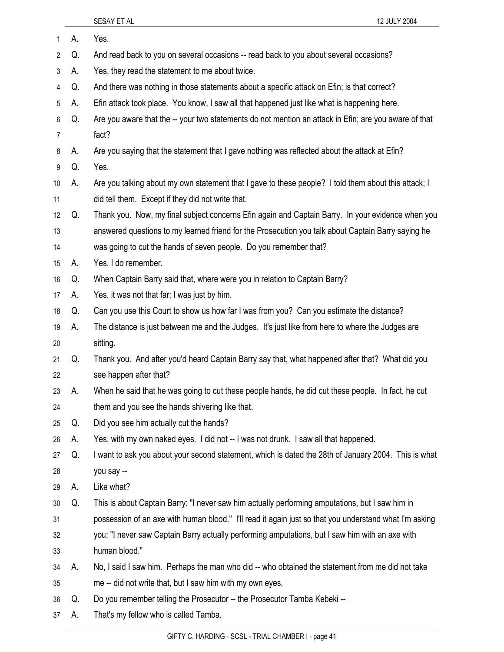| 1  | А. | Yes.                                                                                                   |
|----|----|--------------------------------------------------------------------------------------------------------|
| 2  | Q. | And read back to you on several occasions -- read back to you about several occasions?                 |
| 3  | А. | Yes, they read the statement to me about twice.                                                        |
| 4  | Q. | And there was nothing in those statements about a specific attack on Efin; is that correct?            |
| 5  | А. | Efin attack took place. You know, I saw all that happened just like what is happening here.            |
| 6  | Q. | Are you aware that the -- your two statements do not mention an attack in Efin; are you aware of that  |
| 7  |    | fact?                                                                                                  |
| 8  | А. | Are you saying that the statement that I gave nothing was reflected about the attack at Efin?          |
| 9  | Q. | Yes.                                                                                                   |
| 10 | А. | Are you talking about my own statement that I gave to these people? I told them about this attack; I   |
| 11 |    | did tell them. Except if they did not write that.                                                      |
| 12 | Q. | Thank you. Now, my final subject concerns Efin again and Captain Barry. In your evidence when you      |
| 13 |    | answered questions to my learned friend for the Prosecution you talk about Captain Barry saying he     |
| 14 |    | was going to cut the hands of seven people. Do you remember that?                                      |
| 15 | А. | Yes, I do remember.                                                                                    |
| 16 | Q. | When Captain Barry said that, where were you in relation to Captain Barry?                             |
| 17 | А. | Yes, it was not that far; I was just by him.                                                           |
| 18 | Q. | Can you use this Court to show us how far I was from you? Can you estimate the distance?               |
| 19 | А. | The distance is just between me and the Judges. It's just like from here to where the Judges are       |
| 20 |    | sitting.                                                                                               |
| 21 | Q. | Thank you. And after you'd heard Captain Barry say that, what happened after that? What did you        |
| 22 |    | see happen after that?                                                                                 |
| 23 | А. | When he said that he was going to cut these people hands, he did cut these people. In fact, he cut     |
| 24 |    | them and you see the hands shivering like that.                                                        |
| 25 | Q. | Did you see him actually cut the hands?                                                                |
| 26 | А. | Yes, with my own naked eyes. I did not -- I was not drunk. I saw all that happened.                    |
| 27 | Q. | I want to ask you about your second statement, which is dated the 28th of January 2004. This is what   |
| 28 |    | you say --                                                                                             |
| 29 | А. | Like what?                                                                                             |
| 30 | Q. | This is about Captain Barry: "I never saw him actually performing amputations, but I saw him in        |
| 31 |    | possession of an axe with human blood." I'll read it again just so that you understand what I'm asking |
| 32 |    | you: "I never saw Captain Barry actually performing amputations, but I saw him with an axe with        |
| 33 |    | human blood."                                                                                          |
| 34 | А. | No, I said I saw him. Perhaps the man who did -- who obtained the statement from me did not take       |
| 35 |    | me -- did not write that, but I saw him with my own eyes.                                              |
| 36 | Q. | Do you remember telling the Prosecutor -- the Prosecutor Tamba Kebeki --                               |
| 37 | А. | That's my fellow who is called Tamba.                                                                  |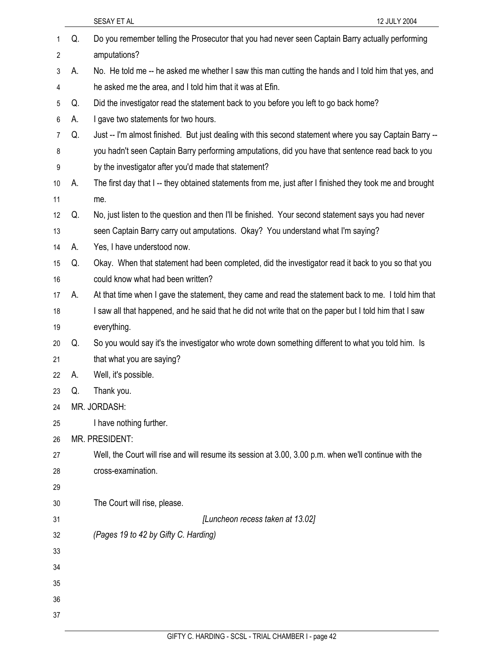|    |    | SESAY ET AL<br>12 JULY 2004                                                                             |
|----|----|---------------------------------------------------------------------------------------------------------|
| 1  | Q. | Do you remember telling the Prosecutor that you had never seen Captain Barry actually performing        |
| 2  |    | amputations?                                                                                            |
| 3  | А. | No. He told me -- he asked me whether I saw this man cutting the hands and I told him that yes, and     |
| 4  |    | he asked me the area, and I told him that it was at Efin.                                               |
| 5  | Q. | Did the investigator read the statement back to you before you left to go back home?                    |
| 6  | А. | I gave two statements for two hours.                                                                    |
| 7  | Q. | Just -- I'm almost finished. But just dealing with this second statement where you say Captain Barry -- |
| 8  |    | you hadn't seen Captain Barry performing amputations, did you have that sentence read back to you       |
| 9  |    | by the investigator after you'd made that statement?                                                    |
| 10 | Α. | The first day that I-- they obtained statements from me, just after I finished they took me and brought |
| 11 |    | me.                                                                                                     |
| 12 | Q. | No, just listen to the question and then I'll be finished. Your second statement says you had never     |
| 13 |    | seen Captain Barry carry out amputations. Okay? You understand what I'm saying?                         |
| 14 | А. | Yes, I have understood now.                                                                             |
| 15 | Q. | Okay. When that statement had been completed, did the investigator read it back to you so that you      |
| 16 |    | could know what had been written?                                                                       |
| 17 | А. | At that time when I gave the statement, they came and read the statement back to me. I told him that    |
| 18 |    | I saw all that happened, and he said that he did not write that on the paper but I told him that I saw  |
| 19 |    | everything.                                                                                             |
| 20 | Q. | So you would say it's the investigator who wrote down something different to what you told him. Is      |
| 21 |    | that what you are saying?                                                                               |
| 22 | А. | Well, it's possible.                                                                                    |
| 23 | Q. | Thank you.                                                                                              |
| 24 |    | MR. JORDASH:                                                                                            |
| 25 |    | I have nothing further.                                                                                 |
| 26 |    | <b>MR. PRESIDENT:</b>                                                                                   |
| 27 |    | Well, the Court will rise and will resume its session at 3.00, 3.00 p.m. when we'll continue with the   |
| 28 |    | cross-examination.                                                                                      |
| 29 |    |                                                                                                         |
| 30 |    | The Court will rise, please.                                                                            |
| 31 |    | [Luncheon recess taken at 13.02]                                                                        |
| 32 |    | (Pages 19 to 42 by Gifty C. Harding)                                                                    |
| 33 |    |                                                                                                         |
| 34 |    |                                                                                                         |
| 35 |    |                                                                                                         |
| 36 |    |                                                                                                         |
| 37 |    |                                                                                                         |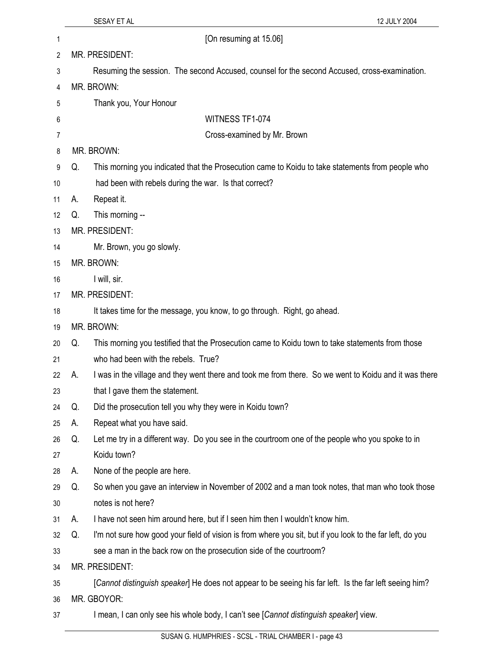| 1  |    | [On resuming at 15.06]                                                                                    |
|----|----|-----------------------------------------------------------------------------------------------------------|
| 2  |    | MR. PRESIDENT:                                                                                            |
| 3  |    | Resuming the session. The second Accused, counsel for the second Accused, cross-examination.              |
| 4  |    | MR. BROWN:                                                                                                |
| 5  |    | Thank you, Your Honour                                                                                    |
| 6  |    | WITNESS TF1-074                                                                                           |
| 7  |    | Cross-examined by Mr. Brown                                                                               |
| 8  |    | MR. BROWN:                                                                                                |
| 9  | Q. | This morning you indicated that the Prosecution came to Koidu to take statements from people who          |
| 10 |    | had been with rebels during the war. Is that correct?                                                     |
| 11 | А. | Repeat it.                                                                                                |
| 12 | Q. | This morning --                                                                                           |
| 13 |    | MR. PRESIDENT:                                                                                            |
| 14 |    | Mr. Brown, you go slowly.                                                                                 |
| 15 |    | MR. BROWN:                                                                                                |
| 16 |    | I will, sir.                                                                                              |
| 17 |    | MR. PRESIDENT:                                                                                            |
| 18 |    | It takes time for the message, you know, to go through. Right, go ahead.                                  |
| 19 |    | MR. BROWN:                                                                                                |
| 20 | Q. | This morning you testified that the Prosecution came to Koidu town to take statements from those          |
| 21 |    | who had been with the rebels. True?                                                                       |
| 22 | А. | I was in the village and they went there and took me from there. So we went to Koidu and it was there     |
| 23 |    | that I gave them the statement.                                                                           |
| 24 | Q. | Did the prosecution tell you why they were in Koidu town?                                                 |
| 25 | А. | Repeat what you have said.                                                                                |
| 26 | Q. | Let me try in a different way. Do you see in the courtroom one of the people who you spoke to in          |
| 27 |    | Koidu town?                                                                                               |
| 28 | А. | None of the people are here.                                                                              |
| 29 | Q. | So when you gave an interview in November of 2002 and a man took notes, that man who took those           |
| 30 |    | notes is not here?                                                                                        |
| 31 | А. | I have not seen him around here, but if I seen him then I wouldn't know him.                              |
| 32 | Q. | I'm not sure how good your field of vision is from where you sit, but if you look to the far left, do you |
| 33 |    | see a man in the back row on the prosecution side of the courtroom?                                       |
| 34 |    | MR. PRESIDENT:                                                                                            |
| 35 |    | [Cannot distinguish speaker] He does not appear to be seeing his far left. Is the far left seeing him?    |
| 36 |    | MR. GBOYOR:                                                                                               |
| 37 |    | I mean, I can only see his whole body, I can't see [Cannot distinguish speaker] view.                     |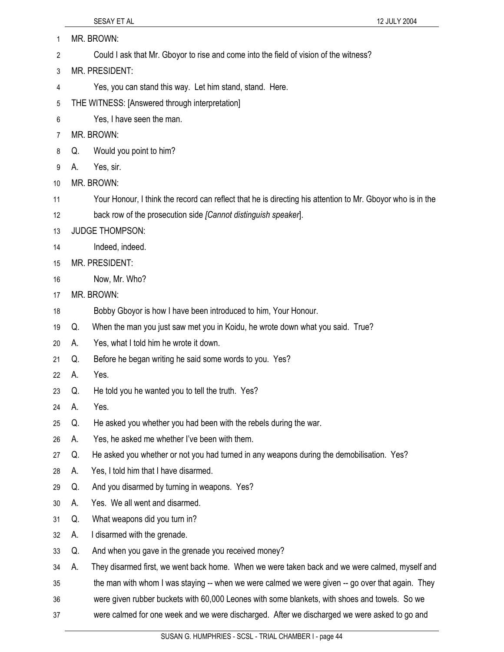- SESAY ET AL 12 JULY 2004 1 MR. BROWN: 2 Could I ask that Mr. Gboyor to rise and come into the field of vision of the witness? 3 MR. PRESIDENT: 4 Yes, you can stand this way. Let him stand, stand. Here. 5 THE WITNESS: [Answered through interpretation] 6 Yes, I have seen the man. 7 MR. BROWN: 8 Q. Would you point to him? 9 A. Yes, sir.
- 10 MR. BROWN:
- 11 Your Honour, I think the record can reflect that he is directing his attention to Mr. Gboyor who is in the
- 12 back row of the prosecution side *[Cannot distinguish speaker*].
- 13 JUDGE THOMPSON:
- 14 Indeed, indeed.
- 15 MR. PRESIDENT:
- 16 Now, Mr. Who?
- 17 MR. BROWN:
- 18 Bobby Gboyor is how I have been introduced to him, Your Honour.
- 19 Q. When the man you just saw met you in Koidu, he wrote down what you said. True?
- 20 A. Yes, what I told him he wrote it down.
- 21 Q. Before he began writing he said some words to you. Yes?
- 22 A. Yes.
- 23 Q. He told you he wanted you to tell the truth. Yes?
- 24 A. Yes.
- 25 Q. He asked you whether you had been with the rebels during the war.
- 26 A. Yes, he asked me whether I've been with them.
- 27 Q. He asked you whether or not you had turned in any weapons during the demobilisation. Yes?
- 28 A. Yes, I told him that I have disarmed.
- 29 Q. And you disarmed by turning in weapons. Yes?
- 30 A. Yes. We all went and disarmed.
- 31 Q. What weapons did you turn in?
- 32 A. I disarmed with the grenade.
- 33 Q. And when you gave in the grenade you received money?
- 34 A. They disarmed first, we went back home. When we were taken back and we were calmed, myself and
- 35 the man with whom I was staying -- when we were calmed we were given -- go over that again. They
- 36 were given rubber buckets with 60,000 Leones with some blankets, with shoes and towels. So we
- 37 were calmed for one week and we were discharged. After we discharged we were asked to go and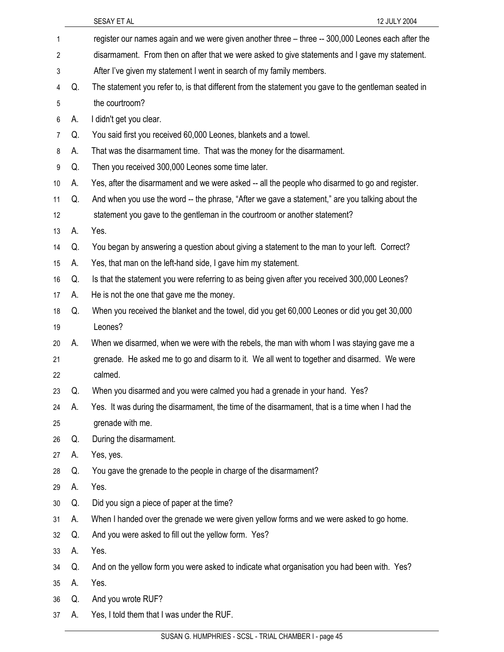| 1                |    | register our names again and we were given another three - three -- 300,000 Leones each after the    |
|------------------|----|------------------------------------------------------------------------------------------------------|
| $\boldsymbol{2}$ |    | disarmament. From then on after that we were asked to give statements and I gave my statement.       |
| 3                |    | After I've given my statement I went in search of my family members.                                 |
| 4                | Q. | The statement you refer to, is that different from the statement you gave to the gentleman seated in |
| 5                |    | the courtroom?                                                                                       |
| 6                | А. | I didn't get you clear.                                                                              |
| $\overline{7}$   | Q. | You said first you received 60,000 Leones, blankets and a towel.                                     |
| 8                | А. | That was the disarmament time. That was the money for the disarmament.                               |
| 9                | Q. | Then you received 300,000 Leones some time later.                                                    |
| 10               | А. | Yes, after the disarmament and we were asked -- all the people who disarmed to go and register.      |
| 11               | Q. | And when you use the word -- the phrase, "After we gave a statement," are you talking about the      |
| 12               |    | statement you gave to the gentleman in the courtroom or another statement?                           |
| 13               | А. | Yes.                                                                                                 |
| 14               | Q. | You began by answering a question about giving a statement to the man to your left. Correct?         |
| 15               | А. | Yes, that man on the left-hand side, I gave him my statement.                                        |
| 16               | Q. | Is that the statement you were referring to as being given after you received 300,000 Leones?        |
| 17               | А. | He is not the one that gave me the money.                                                            |
| 18               | Q. | When you received the blanket and the towel, did you get 60,000 Leones or did you get 30,000         |
| 19               |    | Leones?                                                                                              |
| 20               | А. | When we disarmed, when we were with the rebels, the man with whom I was staying gave me a            |
| 21               |    | grenade. He asked me to go and disarm to it. We all went to together and disarmed. We were           |
| 22               |    | calmed.                                                                                              |
| 23               | Q. | When you disarmed and you were calmed you had a grenade in your hand. Yes?                           |
| 24               | А. | Yes. It was during the disarmament, the time of the disarmament, that is a time when I had the       |
| 25               |    | grenade with me.                                                                                     |
| 26               | Q. | During the disarmament.                                                                              |
| 27               | А. | Yes, yes.                                                                                            |
| 28               | Q. | You gave the grenade to the people in charge of the disarmament?                                     |
| 29               | А. | Yes.                                                                                                 |
| 30               | Q. | Did you sign a piece of paper at the time?                                                           |
| 31               | А. | When I handed over the grenade we were given yellow forms and we were asked to go home.              |
| 32               | Q. | And you were asked to fill out the yellow form. Yes?                                                 |
| 33               | А. | Yes.                                                                                                 |
| 34               | Q. | And on the yellow form you were asked to indicate what organisation you had been with. Yes?          |
| 35               | А. | Yes.                                                                                                 |
| 36               | Q. | And you wrote RUF?                                                                                   |
| 37               | А. | Yes, I told them that I was under the RUF.                                                           |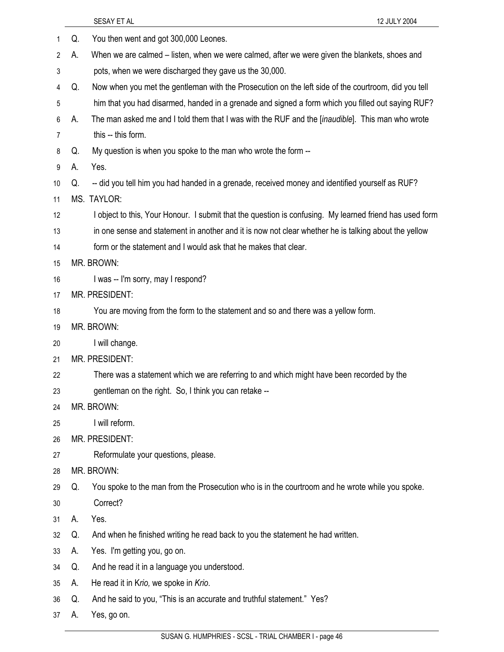|    |    | SESAY ET AL<br>12 JULY 2004                                                                             |
|----|----|---------------------------------------------------------------------------------------------------------|
| 1  | Q. | You then went and got 300,000 Leones.                                                                   |
| 2  | А. | When we are calmed – listen, when we were calmed, after we were given the blankets, shoes and           |
| 3  |    | pots, when we were discharged they gave us the 30,000.                                                  |
| 4  | Q. | Now when you met the gentleman with the Prosecution on the left side of the courtroom, did you tell     |
| 5  |    | him that you had disarmed, handed in a grenade and signed a form which you filled out saying RUF?       |
| 6  | А. | The man asked me and I told them that I was with the RUF and the [inaudible]. This man who wrote        |
| 7  |    | this -- this form.                                                                                      |
| 8  | Q. | My question is when you spoke to the man who wrote the form --                                          |
| 9  | А. | Yes.                                                                                                    |
| 10 | Q. | -- did you tell him you had handed in a grenade, received money and identified yourself as RUF?         |
| 11 |    | MS. TAYLOR:                                                                                             |
| 12 |    | I object to this, Your Honour. I submit that the question is confusing. My learned friend has used form |
| 13 |    | in one sense and statement in another and it is now not clear whether he is talking about the yellow    |
| 14 |    | form or the statement and I would ask that he makes that clear.                                         |
| 15 |    | MR. BROWN:                                                                                              |
| 16 |    | I was -- I'm sorry, may I respond?                                                                      |
| 17 |    | MR. PRESIDENT:                                                                                          |
| 18 |    | You are moving from the form to the statement and so and there was a yellow form.                       |
| 19 |    | MR. BROWN:                                                                                              |
| 20 |    | I will change.                                                                                          |
| 21 |    | MR. PRESIDENT:                                                                                          |
| 22 |    | There was a statement which we are referring to and which might have been recorded by the               |
| 23 |    | gentleman on the right. So, I think you can retake --                                                   |
| 24 |    | MR. BROWN:                                                                                              |
| 25 |    | I will reform.                                                                                          |
| 26 |    | MR. PRESIDENT:                                                                                          |
| 27 |    | Reformulate your questions, please.                                                                     |
| 28 |    | MR. BROWN:                                                                                              |
| 29 | Q. | You spoke to the man from the Prosecution who is in the courtroom and he wrote while you spoke.         |
| 30 |    | Correct?                                                                                                |
| 31 | А. | Yes.                                                                                                    |
| 32 | Q. | And when he finished writing he read back to you the statement he had written.                          |
| 33 | А. | Yes. I'm getting you, go on.                                                                            |
| 34 | Q. | And he read it in a language you understood.                                                            |
| 35 | А. | He read it in Krio, we spoke in Krio.                                                                   |
| 36 | Q. | And he said to you, "This is an accurate and truthful statement." Yes?                                  |
| 37 | А. | Yes, go on.                                                                                             |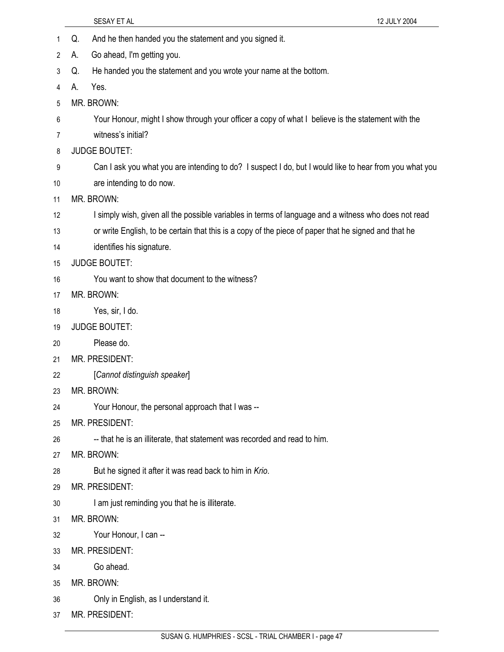- SESAY ET AL 12 JULY 2004 1 Q. And he then handed you the statement and you signed it. 2 A. Go ahead, I'm getting you. 3 Q. He handed you the statement and you wrote your name at the bottom. 4 A. Yes. 5 MR. BROWN: 6 Your Honour, might I show through your officer a copy of what I believe is the statement with the 7 witness's initial? 8 JUDGE BOUTET: 9 Can I ask you what you are intending to do? I suspect I do, but I would like to hear from you what you 10 are intending to do now. 11 MR. BROWN: 12 I simply wish, given all the possible variables in terms of language and a witness who does not read 13 or write English, to be certain that this is a copy of the piece of paper that he signed and that he 14 identifies his signature. 15 JUDGE BOUTET: 16 You want to show that document to the witness? 17 MR. BROWN: 18 Yes, sir, I do. 19 JUDGE BOUTET: 20 Please do. 21 MR. PRESIDENT: 22 [*Cannot distinguish speaker*] 23 MR. BROWN: 24 Your Honour, the personal approach that I was -- 25 MR. PRESIDENT: 26 --- that he is an illiterate, that statement was recorded and read to him. 27 MR. BROWN: 28 But he signed it after it was read back to him in *Krio*. 29 MR. PRESIDENT: 30 I am just reminding you that he is illiterate. 31 MR. BROWN: 32 Your Honour, I can -- 33 MR. PRESIDENT: 34 Go ahead.
- 35 MR. BROWN:
- 36 Only in English, as I understand it.
- 37 MR. PRESIDENT: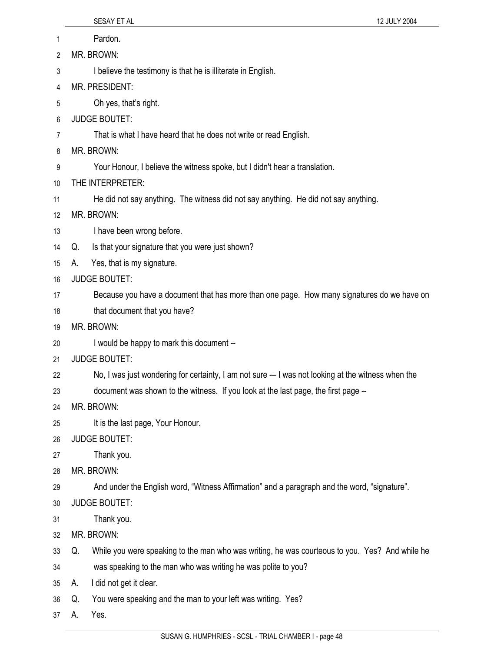| 1  |            | Pardon.                                                                                            |
|----|------------|----------------------------------------------------------------------------------------------------|
| 2  |            | MR. BROWN:                                                                                         |
| 3  |            | I believe the testimony is that he is illiterate in English.                                       |
| 4  |            | MR. PRESIDENT:                                                                                     |
| 5  |            | Oh yes, that's right.                                                                              |
| 6  |            | <b>JUDGE BOUTET:</b>                                                                               |
| 7  |            | That is what I have heard that he does not write or read English.                                  |
| 8  |            | MR. BROWN:                                                                                         |
| 9  |            | Your Honour, I believe the witness spoke, but I didn't hear a translation.                         |
| 10 |            | THE INTERPRETER:                                                                                   |
| 11 |            | He did not say anything. The witness did not say anything. He did not say anything.                |
| 12 |            | MR. BROWN:                                                                                         |
| 13 |            | I have been wrong before.                                                                          |
| 14 | Q.         | Is that your signature that you were just shown?                                                   |
| 15 | А.         | Yes, that is my signature.                                                                         |
| 16 |            | <b>JUDGE BOUTET:</b>                                                                               |
| 17 |            | Because you have a document that has more than one page. How many signatures do we have on         |
| 18 |            | that document that you have?                                                                       |
| 19 | MR. BROWN: |                                                                                                    |
| 20 |            | I would be happy to mark this document --                                                          |
| 21 |            | <b>JUDGE BOUTET:</b>                                                                               |
| 22 |            | No, I was just wondering for certainty, I am not sure -- I was not looking at the witness when the |
| 23 |            | document was shown to the witness. If you look at the last page, the first page --                 |
| 24 |            | MR. BROWN:                                                                                         |
| 25 |            | It is the last page, Your Honour.                                                                  |
| 26 |            | <b>JUDGE BOUTET:</b>                                                                               |
| 27 |            | Thank you.                                                                                         |
| 28 |            | MR. BROWN:                                                                                         |
| 29 |            | And under the English word, "Witness Affirmation" and a paragraph and the word, "signature".       |
| 30 |            | <b>JUDGE BOUTET:</b>                                                                               |
| 31 |            | Thank you.                                                                                         |
| 32 |            | MR. BROWN:                                                                                         |
| 33 | Q.         | While you were speaking to the man who was writing, he was courteous to you. Yes? And while he     |
| 34 |            | was speaking to the man who was writing he was polite to you?                                      |
| 35 | А.         | I did not get it clear.                                                                            |
| 36 | Q.         | You were speaking and the man to your left was writing. Yes?                                       |
| 37 | А.         | Yes.                                                                                               |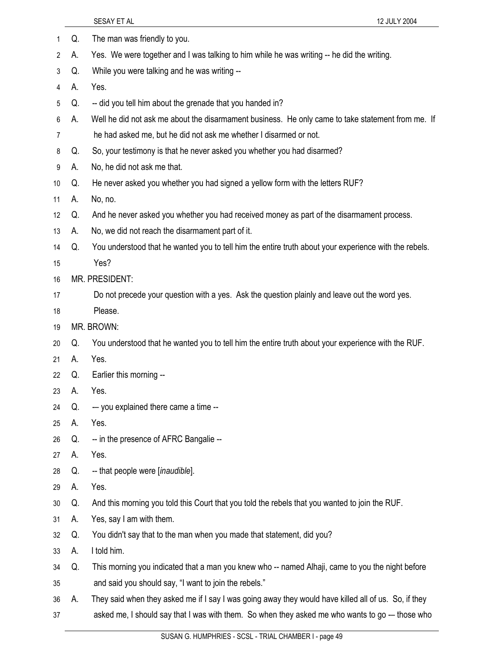|    |    | 12 JULY 2004<br>SESAY ET AL                                                                           |
|----|----|-------------------------------------------------------------------------------------------------------|
| 1  | Q. | The man was friendly to you.                                                                          |
| 2  | А. | Yes. We were together and I was talking to him while he was writing -- he did the writing.            |
| 3  | Q. | While you were talking and he was writing --                                                          |
| 4  | А. | Yes.                                                                                                  |
| 5  | Q. | -- did you tell him about the grenade that you handed in?                                             |
| 6  | А. | Well he did not ask me about the disarmament business. He only came to take statement from me. If     |
| 7  |    | he had asked me, but he did not ask me whether I disarmed or not.                                     |
| 8  | Q. | So, your testimony is that he never asked you whether you had disarmed?                               |
| 9  | А. | No, he did not ask me that.                                                                           |
| 10 | Q. | He never asked you whether you had signed a yellow form with the letters RUF?                         |
| 11 | А. | No, no.                                                                                               |
| 12 | Q. | And he never asked you whether you had received money as part of the disarmament process.             |
| 13 | А. | No, we did not reach the disarmament part of it.                                                      |
| 14 | Q. | You understood that he wanted you to tell him the entire truth about your experience with the rebels. |
| 15 |    | Yes?                                                                                                  |
| 16 |    | MR. PRESIDENT:                                                                                        |
| 17 |    | Do not precede your question with a yes. Ask the question plainly and leave out the word yes.         |
| 18 |    | Please.                                                                                               |
| 19 |    | MR. BROWN:                                                                                            |
| 20 | Q. | You understood that he wanted you to tell him the entire truth about your experience with the RUF.    |
| 21 | А. | Yes.                                                                                                  |
| 22 | Q. | Earlier this morning --                                                                               |
| 23 | А. | Yes.                                                                                                  |
| 24 | Q. | -- you explained there came a time --                                                                 |
| 25 | А. | Yes.                                                                                                  |
| 26 | Q. | -- in the presence of AFRC Bangalie --                                                                |
| 27 | А. | Yes.                                                                                                  |
| 28 | Q. | -- that people were [inaudible].                                                                      |
| 29 | А. | Yes.                                                                                                  |
| 30 | Q. | And this morning you told this Court that you told the rebels that you wanted to join the RUF.        |
| 31 | А. | Yes, say I am with them.                                                                              |
| 32 | Q. | You didn't say that to the man when you made that statement, did you?                                 |
| 33 | А. | I told him.                                                                                           |
| 34 | Q. | This morning you indicated that a man you knew who -- named Alhaji, came to you the night before      |
| 35 |    | and said you should say, "I want to join the rebels."                                                 |
| 36 | А. | They said when they asked me if I say I was going away they would have killed all of us. So, if they  |
| 37 |    | asked me, I should say that I was with them. So when they asked me who wants to go -- those who       |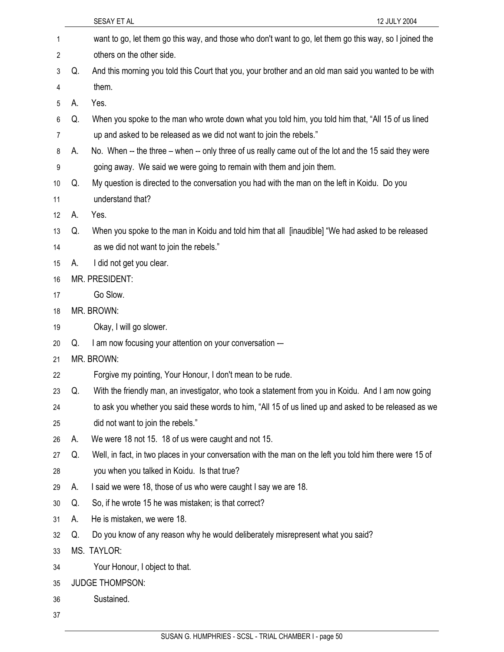|    |    | SESAY ET AL<br>12 JULY 2004                                                                              |
|----|----|----------------------------------------------------------------------------------------------------------|
| 1  |    | want to go, let them go this way, and those who don't want to go, let them go this way, so I joined the  |
| 2  |    | others on the other side.                                                                                |
| 3  | Q. | And this morning you told this Court that you, your brother and an old man said you wanted to be with    |
| 4  |    | them.                                                                                                    |
| 5  | А. | Yes.                                                                                                     |
| 6  | Q. | When you spoke to the man who wrote down what you told him, you told him that, "All 15 of us lined       |
| 7  |    | up and asked to be released as we did not want to join the rebels."                                      |
| 8  | А. | No. When -- the three – when -- only three of us really came out of the lot and the 15 said they were    |
| 9  |    | going away. We said we were going to remain with them and join them.                                     |
| 10 | Q. | My question is directed to the conversation you had with the man on the left in Koidu. Do you            |
| 11 |    | understand that?                                                                                         |
| 12 | А. | Yes.                                                                                                     |
| 13 | Q. | When you spoke to the man in Koidu and told him that all [inaudible] "We had asked to be released        |
| 14 |    | as we did not want to join the rebels."                                                                  |
| 15 | А. | I did not get you clear.                                                                                 |
| 16 |    | MR. PRESIDENT:                                                                                           |
| 17 |    | Go Slow.                                                                                                 |
| 18 |    | MR. BROWN:                                                                                               |
| 19 |    | Okay, I will go slower.                                                                                  |
| 20 | Q. | I am now focusing your attention on your conversation -                                                  |
| 21 |    | MR. BROWN:                                                                                               |
| 22 |    | Forgive my pointing, Your Honour, I don't mean to be rude.                                               |
| 23 | Q. | With the friendly man, an investigator, who took a statement from you in Koidu. And I am now going       |
| 24 |    | to ask you whether you said these words to him, "All 15 of us lined up and asked to be released as we    |
| 25 |    | did not want to join the rebels."                                                                        |
| 26 | А. | We were 18 not 15. 18 of us were caught and not 15.                                                      |
| 27 | Q. | Well, in fact, in two places in your conversation with the man on the left you told him there were 15 of |
| 28 |    | you when you talked in Koidu. Is that true?                                                              |
| 29 | А. | I said we were 18, those of us who were caught I say we are 18.                                          |
| 30 | Q. | So, if he wrote 15 he was mistaken; is that correct?                                                     |
| 31 | А. | He is mistaken, we were 18.                                                                              |
| 32 | Q. | Do you know of any reason why he would deliberately misrepresent what you said?                          |
| 33 |    | MS. TAYLOR:                                                                                              |
| 34 |    | Your Honour, I object to that.                                                                           |
| 35 |    | <b>JUDGE THOMPSON:</b>                                                                                   |
| 36 |    | Sustained.                                                                                               |
| 37 |    |                                                                                                          |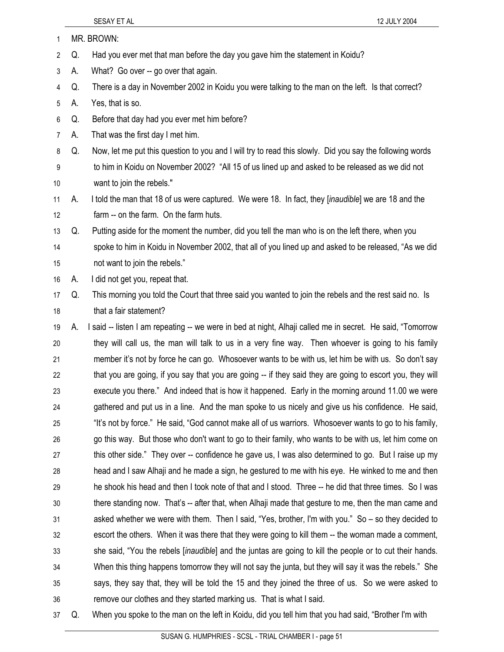- SESAY ET AL 12 JULY 2004 1 MR. BROWN: 2 Q. Had you ever met that man before the day you gave him the statement in Koidu? 3 A. What? Go over -- go over that again. 4 Q. There is a day in November 2002 in Koidu you were talking to the man on the left. Is that correct? 5 A. Yes, that is so. 6 Q. Before that day had you ever met him before? 7 A. That was the first day I met him. 8 Q. Now, let me put this question to you and I will try to read this slowly. Did you say the following words 9 to him in Koidu on November 2002? "All 15 of us lined up and asked to be released as we did not 10 want to join the rebels." 11 A. I told the man that 18 of us were captured. We were 18. In fact, they [*inaudible*] we are 18 and the 12 farm -- on the farm. On the farm huts. 13 Q. Putting aside for the moment the number, did you tell the man who is on the left there, when you 14 spoke to him in Koidu in November 2002, that all of you lined up and asked to be released, "As we did 15 not want to join the rebels." 16 A. I did not get you, repeat that. 17 Q. This morning you told the Court that three said you wanted to join the rebels and the rest said no. Is 18 that a fair statement? 19 A. I said -- listen I am repeating -- we were in bed at night, Alhaji called me in secret. He said, "Tomorrow 20 they will call us, the man will talk to us in a very fine way. Then whoever is going to his family 21 member it's not by force he can go. Whosoever wants to be with us, let him be with us. So don't say 22 that you are going, if you say that you are going -- if they said they are going to escort you, they will 23 execute you there." And indeed that is how it happened. Early in the morning around 11.00 we were 24 gathered and put us in a line. And the man spoke to us nicely and give us his confidence. He said, 25 "It's not by force." He said, "God cannot make all of us warriors. Whosoever wants to go to his family, 26 go this way. But those who don't want to go to their family, who wants to be with us, let him come on 27 this other side." They over -- confidence he gave us, I was also determined to go. But I raise up my 28 head and I saw Alhaji and he made a sign, he gestured to me with his eye. He winked to me and then 29 he shook his head and then I took note of that and I stood. Three -- he did that three times. So I was 30 there standing now. That's -- after that, when Alhaji made that gesture to me, then the man came and 31 asked whether we were with them. Then I said, "Yes, brother, I'm with you." So – so they decided to 32 escort the others. When it was there that they were going to kill them -- the woman made a comment,
- 33 she said, "You the rebels [*inaudible*] and the juntas are going to kill the people or to cut their hands. 34 When this thing happens tomorrow they will not say the junta, but they will say it was the rebels." She 35 says, they say that, they will be told the 15 and they joined the three of us. So we were asked to 36 remove our clothes and they started marking us. That is what I said.
- 37 Q. When you spoke to the man on the left in Koidu, did you tell him that you had said, "Brother I'm with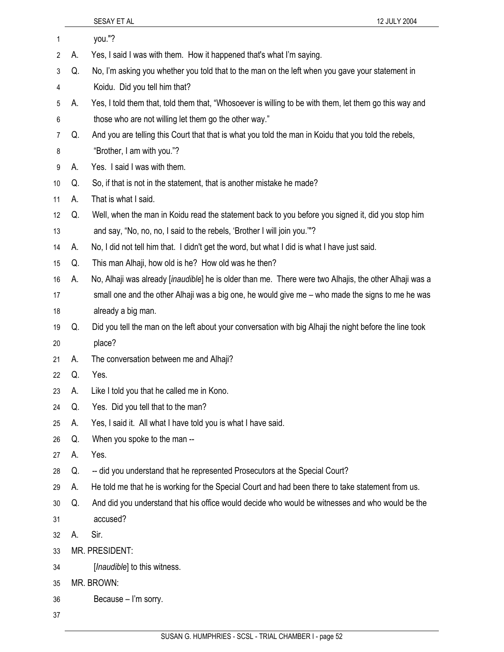| 1              |    | you."?                                                                                                          |
|----------------|----|-----------------------------------------------------------------------------------------------------------------|
| 2              | А. | Yes, I said I was with them. How it happened that's what I'm saying.                                            |
| 3              | Q. | No, I'm asking you whether you told that to the man on the left when you gave your statement in                 |
| 4              |    | Koidu. Did you tell him that?                                                                                   |
| 5              | А. | Yes, I told them that, told them that, "Whosoever is willing to be with them, let them go this way and          |
| 6              |    | those who are not willing let them go the other way."                                                           |
| $\overline{7}$ | Q. | And you are telling this Court that that is what you told the man in Koidu that you told the rebels,            |
| 8              |    | "Brother, I am with you."?                                                                                      |
| 9              | А. | Yes. I said I was with them.                                                                                    |
| 10             | Q. | So, if that is not in the statement, that is another mistake he made?                                           |
| 11             | А. | That is what I said.                                                                                            |
| 12             | Q. | Well, when the man in Koidu read the statement back to you before you signed it, did you stop him               |
| 13             |    | and say, "No, no, no, I said to the rebels, 'Brother I will join you.""?                                        |
| 14             | А. | No, I did not tell him that. I didn't get the word, but what I did is what I have just said.                    |
| 15             | Q. | This man Alhaji, how old is he? How old was he then?                                                            |
| 16             | А. | No, Alhaji was already [ <i>inaudible</i> ] he is older than me. There were two Alhajis, the other Alhaji was a |
| 17             |    | small one and the other Alhaji was a big one, he would give me – who made the signs to me he was                |
| 18             |    | already a big man.                                                                                              |
| 19             | Q. | Did you tell the man on the left about your conversation with big Alhaji the night before the line took         |
| 20             |    | place?                                                                                                          |
| 21             | А. | The conversation between me and Alhaji?                                                                         |
| 22             | Q. | Yes.                                                                                                            |
| 23             | А. | Like I told you that he called me in Kono.                                                                      |
| 24             | Q. | Yes. Did you tell that to the man?                                                                              |
| 25             | А. | Yes, I said it. All what I have told you is what I have said.                                                   |
| 26             | Q. | When you spoke to the man --                                                                                    |
| 27             | А. | Yes.                                                                                                            |
| 28             | Q. | -- did you understand that he represented Prosecutors at the Special Court?                                     |
| 29             | А. | He told me that he is working for the Special Court and had been there to take statement from us.               |
| 30             | Q. | And did you understand that his office would decide who would be witnesses and who would be the                 |
| 31             |    | accused?                                                                                                        |
| 32             | А. | Sir.                                                                                                            |
| 33             |    | MR. PRESIDENT:                                                                                                  |
| 34             |    | [Inaudible] to this witness.                                                                                    |
| 35             |    | MR. BROWN:                                                                                                      |
| 36             |    | Because - I'm sorry.                                                                                            |
| 37             |    |                                                                                                                 |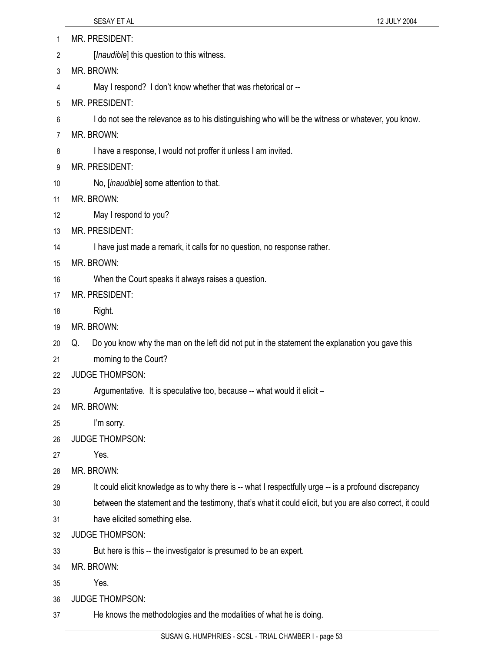| 1  | MR. PRESIDENT:                                                                                           |
|----|----------------------------------------------------------------------------------------------------------|
| 2  | [ <i>Inaudible</i> ] this question to this witness.                                                      |
| 3  | MR. BROWN:                                                                                               |
| 4  | May I respond? I don't know whether that was rhetorical or --                                            |
| 5  | MR. PRESIDENT:                                                                                           |
| 6  | I do not see the relevance as to his distinguishing who will be the witness or whatever, you know.       |
| 7  | MR. BROWN:                                                                                               |
| 8  | I have a response, I would not proffer it unless I am invited.                                           |
| 9  | MR. PRESIDENT:                                                                                           |
| 10 | No, [inaudible] some attention to that.                                                                  |
| 11 | MR. BROWN:                                                                                               |
| 12 | May I respond to you?                                                                                    |
| 13 | MR. PRESIDENT:                                                                                           |
| 14 | I have just made a remark, it calls for no question, no response rather.                                 |
| 15 | MR. BROWN:                                                                                               |
| 16 | When the Court speaks it always raises a question.                                                       |
| 17 | MR. PRESIDENT:                                                                                           |
| 18 | Right.                                                                                                   |
| 19 | MR. BROWN:                                                                                               |
| 20 | Do you know why the man on the left did not put in the statement the explanation you gave this<br>Q.     |
| 21 | morning to the Court?                                                                                    |
| 22 | <b>JUDGE THOMPSON:</b>                                                                                   |
| 23 | Argumentative. It is speculative too, because -- what would it elicit -                                  |
| 24 | MR. BROWN:                                                                                               |
| 25 | I'm sorry.                                                                                               |
| 26 | <b>JUDGE THOMPSON:</b>                                                                                   |
| 27 | Yes.                                                                                                     |
| 28 | MR. BROWN:                                                                                               |
| 29 | It could elicit knowledge as to why there is -- what I respectfully urge -- is a profound discrepancy    |
| 30 | between the statement and the testimony, that's what it could elicit, but you are also correct, it could |
| 31 | have elicited something else.                                                                            |
| 32 | <b>JUDGE THOMPSON:</b>                                                                                   |
| 33 | But here is this -- the investigator is presumed to be an expert.                                        |
| 34 | MR. BROWN:                                                                                               |
| 35 | Yes.                                                                                                     |
| 36 | <b>JUDGE THOMPSON:</b>                                                                                   |
| 37 | He knows the methodologies and the modalities of what he is doing.                                       |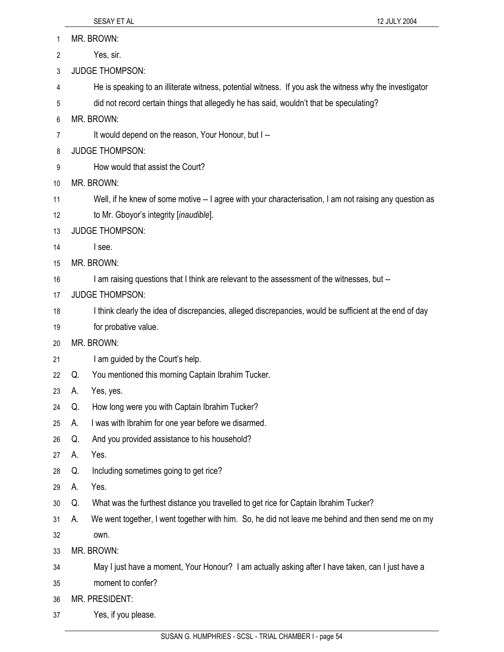- 1 MR. BROWN: 2 Yes, sir. 3 JUDGE THOMPSON: 4 He is speaking to an illiterate witness, potential witness. If you ask the witness why the investigator 5 did not record certain things that allegedly he has said, wouldn't that be speculating? 6 MR. BROWN: 7 It would depend on the reason, Your Honour, but I--8 JUDGE THOMPSON: 9 How would that assist the Court? 10 MR. BROWN: 11 Well, if he knew of some motive -- I agree with your characterisation, I am not raising any question as 12 to Mr. Gboyor's integrity [*inaudible*]. 13 JUDGE THOMPSON: 14 I see. 15 MR. BROWN: 16 I am raising questions that I think are relevant to the assessment of the witnesses, but --17 JUDGE THOMPSON: 18 I think clearly the idea of discrepancies, alleged discrepancies, would be sufficient at the end of day 19 for probative value. 20 MR. BROWN: 21 I am guided by the Court's help. 22 Q. You mentioned this morning Captain Ibrahim Tucker. 23 A. Yes, yes. 24 Q. How long were you with Captain Ibrahim Tucker? 25 A. I was with Ibrahim for one year before we disarmed. 26 Q. And you provided assistance to his household? 27 A. Yes. 28 Q. Including sometimes going to get rice? 29 A. Yes. 30 Q. What was the furthest distance you travelled to get rice for Captain Ibrahim Tucker? 31 A. We went together, I went together with him. So, he did not leave me behind and then send me on my 32 own. 33 MR. BROWN: 34 May I just have a moment, Your Honour? I am actually asking after I have taken, can I just have a 35 moment to confer? 36 MR. PRESIDENT:
- 37 Yes, if you please.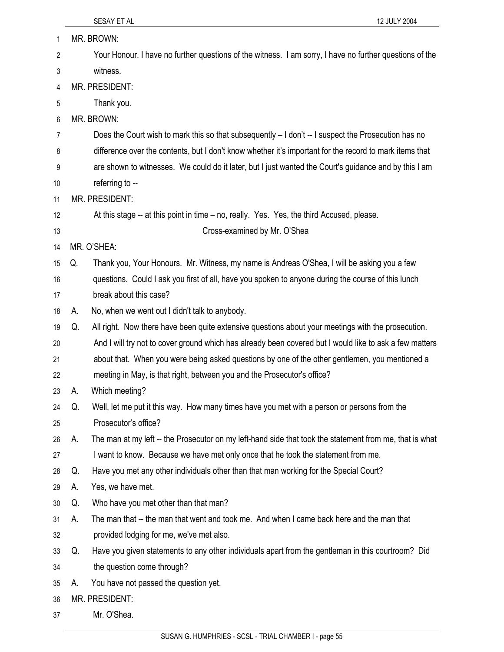| 1  |    | MR. BROWN:                                                                                              |
|----|----|---------------------------------------------------------------------------------------------------------|
| 2  |    | Your Honour, I have no further questions of the witness. I am sorry, I have no further questions of the |
| 3  |    | witness.                                                                                                |
| 4  |    | MR. PRESIDENT:                                                                                          |
| 5  |    | Thank you.                                                                                              |
| 6  |    | MR. BROWN:                                                                                              |
| 7  |    | Does the Court wish to mark this so that subsequently – I don't -- I suspect the Prosecution has no     |
| 8  |    | difference over the contents, but I don't know whether it's important for the record to mark items that |
| 9  |    | are shown to witnesses. We could do it later, but I just wanted the Court's guidance and by this I am   |
| 10 |    | referring to --                                                                                         |
| 11 |    | MR. PRESIDENT:                                                                                          |
| 12 |    | At this stage -- at this point in time – no, really. Yes. Yes, the third Accused, please.               |
| 13 |    | Cross-examined by Mr. O'Shea                                                                            |
| 14 |    | MR. O'SHEA:                                                                                             |
| 15 | Q. | Thank you, Your Honours. Mr. Witness, my name is Andreas O'Shea, I will be asking you a few             |
| 16 |    | questions. Could I ask you first of all, have you spoken to anyone during the course of this lunch      |
| 17 |    | break about this case?                                                                                  |
| 18 | А. | No, when we went out I didn't talk to anybody.                                                          |
| 19 | Q. | All right. Now there have been quite extensive questions about your meetings with the prosecution.      |
| 20 |    | And I will try not to cover ground which has already been covered but I would like to ask a few matters |
| 21 |    | about that. When you were being asked questions by one of the other gentlemen, you mentioned a          |
| 22 |    | meeting in May, is that right, between you and the Prosecutor's office?                                 |
| 23 | А. | Which meeting?                                                                                          |
| 24 | Q. | Well, let me put it this way. How many times have you met with a person or persons from the             |
| 25 |    | Prosecutor's office?                                                                                    |
| 26 | А. | The man at my left -- the Prosecutor on my left-hand side that took the statement from me, that is what |
| 27 |    | I want to know. Because we have met only once that he took the statement from me.                       |
| 28 | Q. | Have you met any other individuals other than that man working for the Special Court?                   |
| 29 | А. | Yes, we have met.                                                                                       |
| 30 | Q. | Who have you met other than that man?                                                                   |
| 31 | А. | The man that -- the man that went and took me. And when I came back here and the man that               |
| 32 |    | provided lodging for me, we've met also.                                                                |
| 33 | Q. | Have you given statements to any other individuals apart from the gentleman in this courtroom? Did      |
| 34 |    | the question come through?                                                                              |
| 35 | А. | You have not passed the question yet.                                                                   |
| 36 |    | MR. PRESIDENT:                                                                                          |
| 37 |    | Mr. O'Shea.                                                                                             |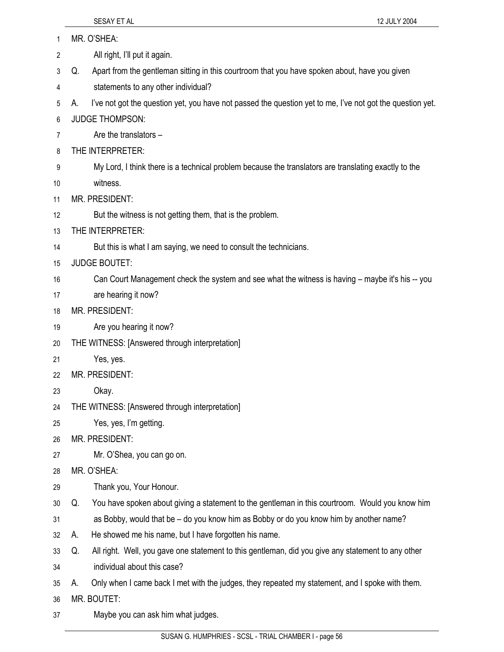- 1 MR. O'SHEA: 2 All right, I'll put it again. 3 Q. Apart from the gentleman sitting in this courtroom that you have spoken about, have you given 4 statements to any other individual? 5 A. I've not got the question yet, you have not passed the question yet to me, I've not got the question yet. 6 JUDGE THOMPSON: 7 Are the translators – 8 THE INTERPRETER: 9 My Lord, I think there is a technical problem because the translators are translating exactly to the 10 witness. 11 MR. PRESIDENT: 12 But the witness is not getting them, that is the problem. 13 THE INTERPRETER: 14 But this is what I am saying, we need to consult the technicians. 15 JUDGE BOUTET: 16 Can Court Management check the system and see what the witness is having – maybe it's his -- you 17 are hearing it now? 18 MR. PRESIDENT: 19 Are you hearing it now? 20 THE WITNESS: [Answered through interpretation] 21 Yes, yes. 22 MR. PRESIDENT: 23 Okay. 24 THE WITNESS: [Answered through interpretation] 25 Yes, yes, I'm getting. 26 MR. PRESIDENT: 27 Mr. O'Shea, you can go on. 28 MR. O'SHEA: 29 Thank you, Your Honour. 30 Q. You have spoken about giving a statement to the gentleman in this courtroom. Would you know him 31 as Bobby, would that be – do you know him as Bobby or do you know him by another name? 32 A. He showed me his name, but I have forgotten his name. 33 Q. All right. Well, you gave one statement to this gentleman, did you give any statement to any other 34 individual about this case? 35 A. Only when I came back I met with the judges, they repeated my statement, and I spoke with them. 36 MR. BOUTET:
- 37 Maybe you can ask him what judges.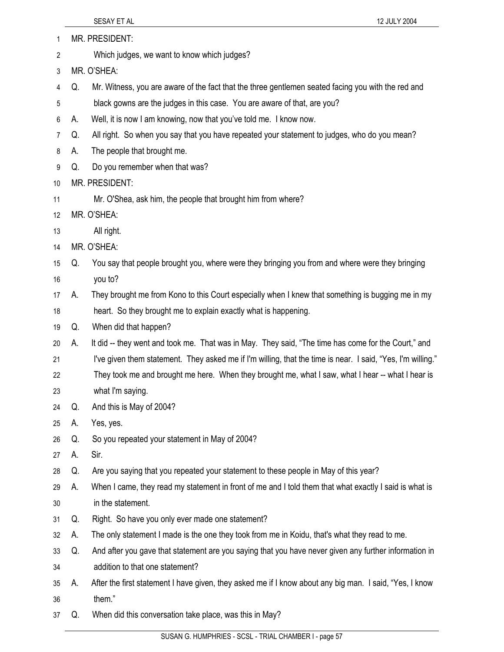| 1  |    | MR. PRESIDENT:                                                                                              |
|----|----|-------------------------------------------------------------------------------------------------------------|
| 2  |    | Which judges, we want to know which judges?                                                                 |
| 3  |    | MR. O'SHEA:                                                                                                 |
| 4  | Q. | Mr. Witness, you are aware of the fact that the three gentlemen seated facing you with the red and          |
| 5  |    | black gowns are the judges in this case. You are aware of that, are you?                                    |
| 6  | А. | Well, it is now I am knowing, now that you've told me. I know now.                                          |
| 7  | Q. | All right. So when you say that you have repeated your statement to judges, who do you mean?                |
| 8  | А. | The people that brought me.                                                                                 |
| 9  | Q. | Do you remember when that was?                                                                              |
| 10 |    | MR. PRESIDENT:                                                                                              |
| 11 |    | Mr. O'Shea, ask him, the people that brought him from where?                                                |
| 12 |    | MR. O'SHEA:                                                                                                 |
| 13 |    | All right.                                                                                                  |
| 14 |    | MR. O'SHEA:                                                                                                 |
| 15 | Q. | You say that people brought you, where were they bringing you from and where were they bringing             |
| 16 |    | you to?                                                                                                     |
| 17 | А. | They brought me from Kono to this Court especially when I knew that something is bugging me in my           |
| 18 |    | heart. So they brought me to explain exactly what is happening.                                             |
| 19 | Q. | When did that happen?                                                                                       |
| 20 | А. | It did -- they went and took me. That was in May. They said, "The time has come for the Court," and         |
| 21 |    | I've given them statement. They asked me if I'm willing, that the time is near. I said, "Yes, I'm willing." |
| 22 |    | They took me and brought me here. When they brought me, what I saw, what I hear -- what I hear is           |
| 23 |    | what I'm saying.                                                                                            |
| 24 | Q. | And this is May of 2004?                                                                                    |
| 25 | А. | Yes, yes.                                                                                                   |
| 26 | Q. | So you repeated your statement in May of 2004?                                                              |
| 27 | А. | Sir.                                                                                                        |
| 28 | Q. | Are you saying that you repeated your statement to these people in May of this year?                        |
| 29 | А. | When I came, they read my statement in front of me and I told them that what exactly I said is what is      |
| 30 |    | in the statement.                                                                                           |
| 31 | Q. | Right. So have you only ever made one statement?                                                            |
| 32 | А. | The only statement I made is the one they took from me in Koidu, that's what they read to me.               |
| 33 | Q. | And after you gave that statement are you saying that you have never given any further information in       |
| 34 |    | addition to that one statement?                                                                             |
| 35 | А. | After the first statement I have given, they asked me if I know about any big man. I said, "Yes, I know     |
| 36 |    | them."                                                                                                      |
| 37 | Q. | When did this conversation take place, was this in May?                                                     |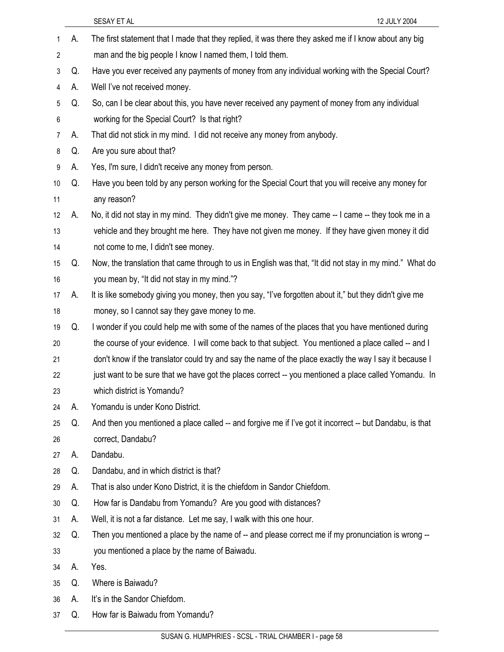1 A. The first statement that I made that they replied, it was there they asked me if I know about any big 2 man and the big people I know I named them, I told them. 3 Q. Have you ever received any payments of money from any individual working with the Special Court? 4 A. Well I've not received money. 5 Q. So, can I be clear about this, you have never received any payment of money from any individual 6 working for the Special Court? Is that right? 7 A. That did not stick in my mind. I did not receive any money from anybody. 8 Q. Are you sure about that? 9 A. Yes, I'm sure, I didn't receive any money from person. 10 Q. Have you been told by any person working for the Special Court that you will receive any money for 11 any reason? 12 A. No, it did not stay in my mind. They didn't give me money. They came -- I came -- they took me in a 13 vehicle and they brought me here. They have not given me money. If they have given money it did 14 not come to me, I didn't see money. 15 Q. Now, the translation that came through to us in English was that, "It did not stay in my mind." What do 16 you mean by, "It did not stay in my mind."? 17 A. It is like somebody giving you money, then you say, "I've forgotten about it," but they didn't give me 18 money, so I cannot say they gave money to me. 19 Q. I wonder if you could help me with some of the names of the places that you have mentioned during 20 the course of your evidence. I will come back to that subject. You mentioned a place called -- and I 21 don't know if the translator could try and say the name of the place exactly the way I say it because I 22 just want to be sure that we have got the places correct -- you mentioned a place called Yomandu. In 23 which district is Yomandu? 24 A. Yomandu is under Kono District. 25 Q. And then you mentioned a place called -- and forgive me if I've got it incorrect -- but Dandabu, is that 26 correct, Dandabu? 27 A. Dandabu. 28 Q. Dandabu, and in which district is that? 29 A. That is also under Kono District, it is the chiefdom in Sandor Chiefdom. 30 Q. How far is Dandabu from Yomandu? Are you good with distances? 31 A. Well, it is not a far distance. Let me say, I walk with this one hour. 32 Q. Then you mentioned a place by the name of -- and please correct me if my pronunciation is wrong -- 33 you mentioned a place by the name of Baiwadu. 34 A. Yes. 35 Q. Where is Baiwadu? 36 A. It's in the Sandor Chiefdom. 37 Q. How far is Baiwadu from Yomandu?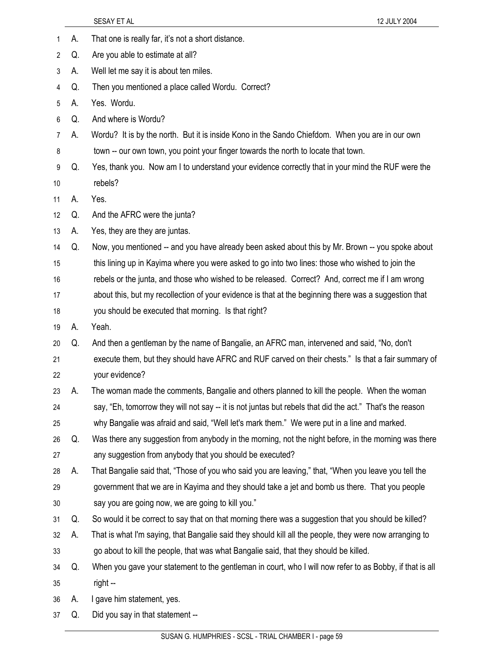1 A. That one is really far, it's not a short distance. 2 Q. Are you able to estimate at all? 3 A. Well let me say it is about ten miles. 4 Q. Then you mentioned a place called Wordu. Correct? 5 A. Yes. Wordu. 6 Q. And where is Wordu? 7 A. Wordu? It is by the north. But it is inside Kono in the Sando Chiefdom. When you are in our own 8 town -- our own town, you point your finger towards the north to locate that town. 9 Q. Yes, thank you. Now am I to understand your evidence correctly that in your mind the RUF were the 10 rebels? 11 A. Yes. 12 Q. And the AFRC were the junta? 13 A. Yes, they are they are juntas. 14 Q. Now, you mentioned -- and you have already been asked about this by Mr. Brown -- you spoke about 15 this lining up in Kayima where you were asked to go into two lines: those who wished to join the 16 rebels or the junta, and those who wished to be released. Correct? And, correct me if I am wrong 17 about this, but my recollection of your evidence is that at the beginning there was a suggestion that 18 you should be executed that morning. Is that right? 19 A. Yeah. 20 Q. And then a gentleman by the name of Bangalie, an AFRC man, intervened and said, "No, don't 21 execute them, but they should have AFRC and RUF carved on their chests." Is that a fair summary of 22 your evidence? 23 A. The woman made the comments, Bangalie and others planned to kill the people. When the woman 24 say, "Eh, tomorrow they will not say -- it is not juntas but rebels that did the act." That's the reason 25 why Bangalie was afraid and said, "Well let's mark them." We were put in a line and marked. 26 Q. Was there any suggestion from anybody in the morning, not the night before, in the morning was there 27 any suggestion from anybody that you should be executed? 28 A. That Bangalie said that, "Those of you who said you are leaving," that, "When you leave you tell the 29 government that we are in Kayima and they should take a jet and bomb us there. That you people 30 say you are going now, we are going to kill you." 31 Q. So would it be correct to say that on that morning there was a suggestion that you should be killed? 32 A. That is what I'm saying, that Bangalie said they should kill all the people, they were now arranging to 33 go about to kill the people, that was what Bangalie said, that they should be killed. 34 Q. When you gave your statement to the gentleman in court, who I will now refer to as Bobby, if that is all 35 right -- 36 A. I gave him statement, yes. 37 Q. Did you say in that statement --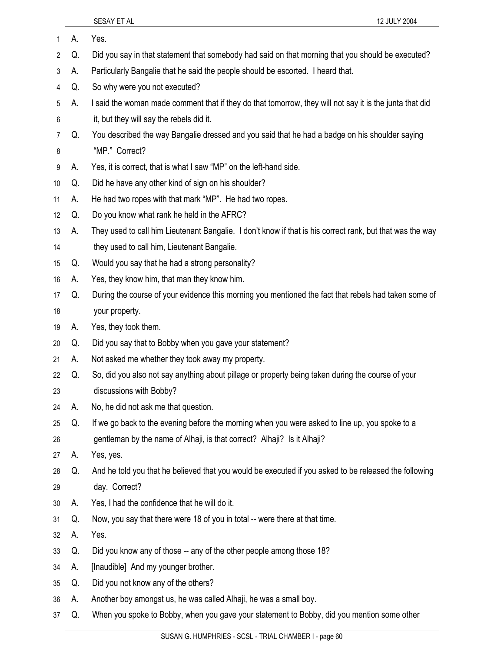1 A. Yes. 2 Q. Did you say in that statement that somebody had said on that morning that you should be executed? 3 A. Particularly Bangalie that he said the people should be escorted. I heard that. 4 Q. So why were you not executed? 5 A. I said the woman made comment that if they do that tomorrow, they will not say it is the junta that did 6 it, but they will say the rebels did it. 7 Q. You described the way Bangalie dressed and you said that he had a badge on his shoulder saying 8 "MP." Correct? 9 A. Yes, it is correct, that is what I saw "MP" on the left-hand side. 10 Q. Did he have any other kind of sign on his shoulder? 11 A. He had two ropes with that mark "MP". He had two ropes. 12 Q. Do you know what rank he held in the AFRC? 13 A. They used to call him Lieutenant Bangalie. I don't know if that is his correct rank, but that was the way 14 they used to call him, Lieutenant Bangalie. 15 Q. Would you say that he had a strong personality? 16 A. Yes, they know him, that man they know him. 17 Q. During the course of your evidence this morning you mentioned the fact that rebels had taken some of 18 your property. 19 A. Yes, they took them. 20 Q. Did you say that to Bobby when you gave your statement? 21 A. Not asked me whether they took away my property. 22 Q. So, did you also not say anything about pillage or property being taken during the course of your 23 discussions with Bobby? 24 A. No, he did not ask me that question. 25 Q. If we go back to the evening before the morning when you were asked to line up, you spoke to a 26 gentleman by the name of Alhaji, is that correct? Alhaji? Is it Alhaji? 27 A. Yes, yes. 28 Q. And he told you that he believed that you would be executed if you asked to be released the following 29 day. Correct? 30 A. Yes, I had the confidence that he will do it. 31 Q. Now, you say that there were 18 of you in total -- were there at that time. 32 A. Yes. 33 Q. Did you know any of those -- any of the other people among those 18? 34 A. [Inaudible] And my younger brother. 35 Q. Did you not know any of the others? 36 A. Another boy amongst us, he was called Alhaji, he was a small boy. 37 Q. When you spoke to Bobby, when you gave your statement to Bobby, did you mention some other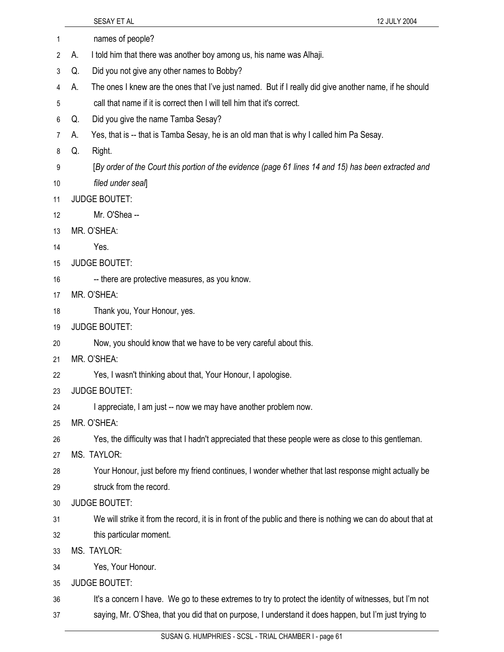1 names of people? 2 A. I told him that there was another boy among us, his name was Alhaji. 3 Q. Did you not give any other names to Bobby? 4 A. The ones I knew are the ones that I've just named. But if I really did give another name, if he should 5 call that name if it is correct then I will tell him that it's correct. 6 Q. Did you give the name Tamba Sesay? 7 A. Yes, that is -- that is Tamba Sesay, he is an old man that is why I called him Pa Sesay. 8 Q. Right. 9 [*By order of the Court this portion of the evidence (page 61 lines 14 and 15) has been extracted and*  10 *filed under seal*] 11 JUDGE BOUTET: 12 Mr. O'Shea -- 13 MR. O'SHEA: 14 Yes. 15 JUDGE BOUTET: 16 -- there are protective measures, as you know. 17 MR. O'SHEA: 18 Thank you, Your Honour, yes. 19 JUDGE BOUTET: 20 Now, you should know that we have to be very careful about this. 21 MR. O'SHEA: 22 Yes, I wasn't thinking about that, Your Honour, I apologise. 23 JUDGE BOUTET: 24 I appreciate, I am just -- now we may have another problem now. 25 MR. O'SHEA: 26 Yes, the difficulty was that I hadn't appreciated that these people were as close to this gentleman. 27 MS. TAYLOR: 28 Your Honour, just before my friend continues, I wonder whether that last response might actually be 29 struck from the record. 30 JUDGE BOUTET: 31 We will strike it from the record, it is in front of the public and there is nothing we can do about that at 32 this particular moment. 33 MS. TAYLOR: 34 Yes, Your Honour. 35 JUDGE BOUTET: 36 It's a concern I have. We go to these extremes to try to protect the identity of witnesses, but I'm not 37 saying, Mr. O'Shea, that you did that on purpose, I understand it does happen, but I'm just trying to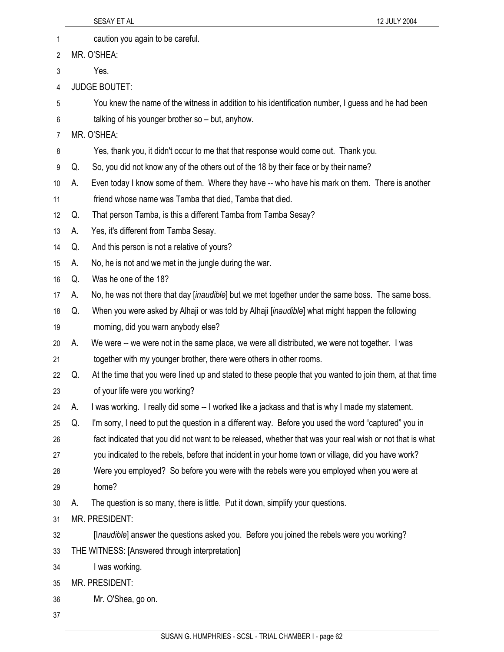|    |    | SESAY ET AL<br>12 JULY 2004                                                                              |
|----|----|----------------------------------------------------------------------------------------------------------|
| 1  |    | caution you again to be careful.                                                                         |
| 2  |    | MR. O'SHEA:                                                                                              |
| 3  |    | Yes.                                                                                                     |
| 4  |    | <b>JUDGE BOUTET:</b>                                                                                     |
| 5  |    | You knew the name of the witness in addition to his identification number, I guess and he had been       |
| 6  |    | talking of his younger brother so - but, anyhow.                                                         |
| 7  |    | MR. O'SHEA:                                                                                              |
| 8  |    | Yes, thank you, it didn't occur to me that that response would come out. Thank you.                      |
| 9  | Q. | So, you did not know any of the others out of the 18 by their face or by their name?                     |
| 10 | А. | Even today I know some of them. Where they have -- who have his mark on them. There is another           |
| 11 |    | friend whose name was Tamba that died, Tamba that died.                                                  |
| 12 | Q. | That person Tamba, is this a different Tamba from Tamba Sesay?                                           |
| 13 | А. | Yes, it's different from Tamba Sesay.                                                                    |
| 14 | Q. | And this person is not a relative of yours?                                                              |
| 15 | А. | No, he is not and we met in the jungle during the war.                                                   |
| 16 | Q. | Was he one of the 18?                                                                                    |
| 17 | А. | No, he was not there that day [inaudible] but we met together under the same boss. The same boss.        |
| 18 | Q. | When you were asked by Alhaji or was told by Alhaji [inaudible] what might happen the following          |
| 19 |    | morning, did you warn anybody else?                                                                      |
| 20 | А. | We were -- we were not in the same place, we were all distributed, we were not together. I was           |
| 21 |    | together with my younger brother, there were others in other rooms.                                      |
| 22 | Q. | At the time that you were lined up and stated to these people that you wanted to join them, at that time |
| 23 |    | of your life were you working?                                                                           |
| 24 | А. | I was working. I really did some -- I worked like a jackass and that is why I made my statement.         |
| 25 | Q. | I'm sorry, I need to put the question in a different way. Before you used the word "captured" you in     |
| 26 |    | fact indicated that you did not want to be released, whether that was your real wish or not that is what |
| 27 |    | you indicated to the rebels, before that incident in your home town or village, did you have work?       |
| 28 |    | Were you employed? So before you were with the rebels were you employed when you were at                 |
| 29 |    | home?                                                                                                    |
| 30 | А. | The question is so many, there is little. Put it down, simplify your questions.                          |
| 31 |    | MR. PRESIDENT:                                                                                           |
| 32 |    | [Inaudible] answer the questions asked you. Before you joined the rebels were you working?               |
| 33 |    | THE WITNESS: [Answered through interpretation]                                                           |
| 34 |    | I was working.                                                                                           |
| 35 |    | MR. PRESIDENT:                                                                                           |
| 36 |    | Mr. O'Shea, go on.                                                                                       |
| 37 |    |                                                                                                          |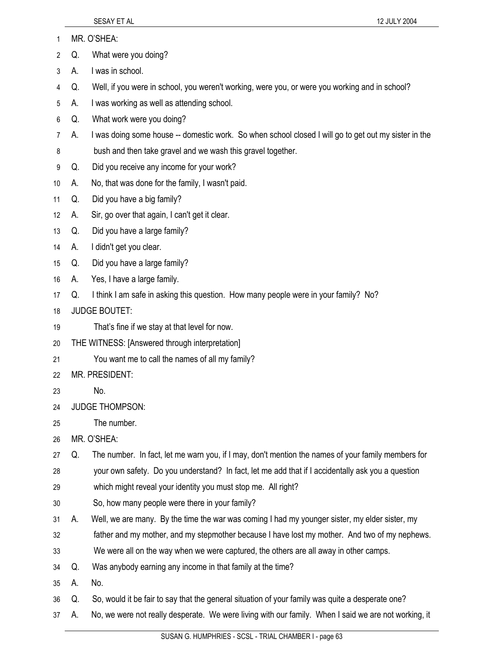- 1 MR. O'SHEA:
- 2 Q. What were you doing?
- 3 A. I was in school.
- 4 Q. Well, if you were in school, you weren't working, were you, or were you working and in school?
- 5 A. I was working as well as attending school.
- 6 Q. What work were you doing?
- 7 A. I was doing some house -- domestic work. So when school closed I will go to get out my sister in the
- 8 bush and then take gravel and we wash this gravel together.
- 9 Q. Did you receive any income for your work?
- 10 A. No, that was done for the family, I wasn't paid.
- 11 Q. Did you have a big family?
- 12 A. Sir, go over that again, I can't get it clear.
- 13 Q. Did you have a large family?
- 14 A. I didn't get you clear.
- 15 Q. Did you have a large family?
- 16 A. Yes, I have a large family.
- 17 Q. I think I am safe in asking this question. How many people were in your family? No?
- 18 JUDGE BOUTET:
- 19 That's fine if we stay at that level for now.
- 20 THE WITNESS: [Answered through interpretation]
- 21 You want me to call the names of all my family?
- 22 MR. PRESIDENT:
- 23 No.
- 24 JUDGE THOMPSON:
- 25 The number.
- 26 MR. O'SHEA:
- 27 Q. The number. In fact, let me warn you, if I may, don't mention the names of your family members for 28 your own safety. Do you understand? In fact, let me add that if I accidentally ask you a question
- 29 which might reveal your identity you must stop me. All right?
- 30 So, how many people were there in your family?
- 31 A. Well, we are many. By the time the war was coming I had my younger sister, my elder sister, my
- 32 father and my mother, and my stepmother because I have lost my mother. And two of my nephews.
- 33 We were all on the way when we were captured, the others are all away in other camps.
- 34 Q. Was anybody earning any income in that family at the time?
- 35 A. No.
- 36 Q. So, would it be fair to say that the general situation of your family was quite a desperate one?
- 37 A. No, we were not really desperate. We were living with our family. When I said we are not working, it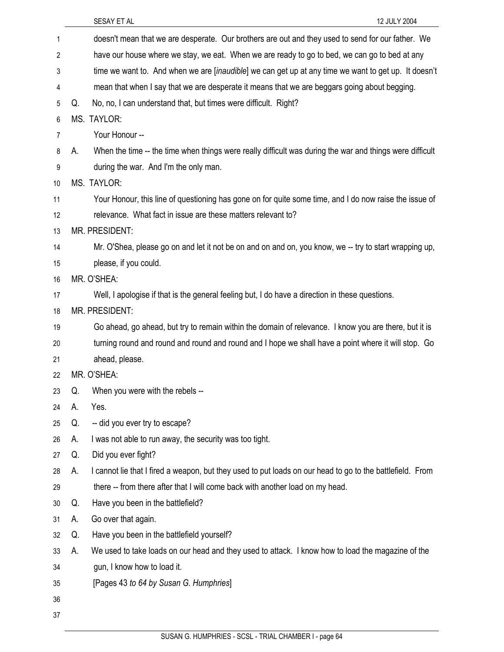|    |    | SESAY ET AL<br>12 JULY 2004                                                                                   |
|----|----|---------------------------------------------------------------------------------------------------------------|
| 1  |    | doesn't mean that we are desperate. Our brothers are out and they used to send for our father. We             |
| 2  |    | have our house where we stay, we eat. When we are ready to go to bed, we can go to bed at any                 |
| 3  |    | time we want to. And when we are [ <i>inaudible</i> ] we can get up at any time we want to get up. It doesn't |
| 4  |    | mean that when I say that we are desperate it means that we are beggars going about begging.                  |
| 5  | Q. | No, no, I can understand that, but times were difficult. Right?                                               |
| 6  |    | MS. TAYLOR:                                                                                                   |
| 7  |    | Your Honour --                                                                                                |
| 8  | А. | When the time -- the time when things were really difficult was during the war and things were difficult      |
| 9  |    | during the war. And I'm the only man.                                                                         |
| 10 |    | MS. TAYLOR:                                                                                                   |
| 11 |    | Your Honour, this line of questioning has gone on for quite some time, and I do now raise the issue of        |
| 12 |    | relevance. What fact in issue are these matters relevant to?                                                  |
| 13 |    | MR. PRESIDENT:                                                                                                |
| 14 |    | Mr. O'Shea, please go on and let it not be on and on and on, you know, we -- try to start wrapping up,        |
| 15 |    | please, if you could.                                                                                         |
| 16 |    | MR. O'SHEA:                                                                                                   |
| 17 |    | Well, I apologise if that is the general feeling but, I do have a direction in these questions.               |
| 18 |    | MR. PRESIDENT:                                                                                                |
| 19 |    | Go ahead, go ahead, but try to remain within the domain of relevance. I know you are there, but it is         |
| 20 |    | turning round and round and round and round and I hope we shall have a point where it will stop. Go           |
| 21 |    | ahead, please.                                                                                                |
| 22 |    | MR. O'SHEA:                                                                                                   |
| 23 | Q. | When you were with the rebels --                                                                              |
| 24 | А. | Yes.                                                                                                          |
| 25 | Q. | -- did you ever try to escape?                                                                                |
| 26 | А. | I was not able to run away, the security was too tight.                                                       |
| 27 | Q. | Did you ever fight?                                                                                           |
| 28 | А. | I cannot lie that I fired a weapon, but they used to put loads on our head to go to the battlefield. From     |
| 29 |    | there -- from there after that I will come back with another load on my head.                                 |
| 30 | Q. | Have you been in the battlefield?                                                                             |
| 31 | А. | Go over that again.                                                                                           |
| 32 | Q. | Have you been in the battlefield yourself?                                                                    |
| 33 | А. | We used to take loads on our head and they used to attack. I know how to load the magazine of the             |
| 34 |    | gun, I know how to load it.                                                                                   |
| 35 |    | [Pages 43 to 64 by Susan G. Humphries]                                                                        |
| 36 |    |                                                                                                               |
| 37 |    |                                                                                                               |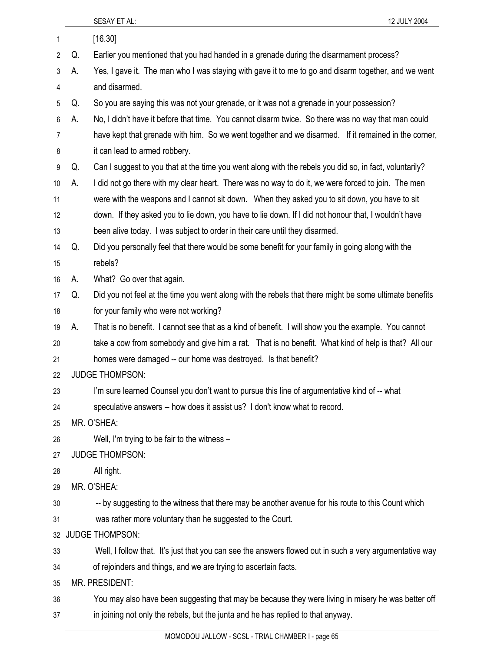|                |    | SESAY ET AL:<br>12 JULY 2004                                                                            |
|----------------|----|---------------------------------------------------------------------------------------------------------|
| 1              |    | [16.30]                                                                                                 |
| $\overline{2}$ | Q. | Earlier you mentioned that you had handed in a grenade during the disarmament process?                  |
| 3              | А. | Yes, I gave it. The man who I was staying with gave it to me to go and disarm together, and we went     |
| 4              |    | and disarmed.                                                                                           |
| 5              | Q. | So you are saying this was not your grenade, or it was not a grenade in your possession?                |
| 6              | А. | No, I didn't have it before that time. You cannot disarm twice. So there was no way that man could      |
| 7              |    | have kept that grenade with him. So we went together and we disarmed. If it remained in the corner,     |
| 8              |    | it can lead to armed robbery.                                                                           |
| 9              | Q. | Can I suggest to you that at the time you went along with the rebels you did so, in fact, voluntarily?  |
| 10             | А. | I did not go there with my clear heart. There was no way to do it, we were forced to join. The men      |
| 11             |    | were with the weapons and I cannot sit down. When they asked you to sit down, you have to sit           |
| 12             |    | down. If they asked you to lie down, you have to lie down. If I did not honour that, I wouldn't have    |
| 13             |    | been alive today. I was subject to order in their care until they disarmed.                             |
| 14             | Q. | Did you personally feel that there would be some benefit for your family in going along with the        |
| 15             |    | rebels?                                                                                                 |
| 16             | А. | What? Go over that again.                                                                               |
| 17             | Q. | Did you not feel at the time you went along with the rebels that there might be some ultimate benefits  |
| 18             |    | for your family who were not working?                                                                   |
| 19             | А. | That is no benefit. I cannot see that as a kind of benefit. I will show you the example. You cannot     |
| 20             |    | take a cow from somebody and give him a rat. That is no benefit. What kind of help is that? All our     |
| 21             |    | homes were damaged -- our home was destroyed. Is that benefit?                                          |
| 22             |    | <b>JUDGE THOMPSON:</b>                                                                                  |
| 23             |    | I'm sure learned Counsel you don't want to pursue this line of argumentative kind of -- what            |
| 24             |    | speculative answers -- how does it assist us? I don't know what to record.                              |
| 25             |    | MR. O'SHEA:                                                                                             |
| 26             |    | Well, I'm trying to be fair to the witness -                                                            |
| 27             |    | <b>JUDGE THOMPSON:</b>                                                                                  |
| 28             |    | All right.                                                                                              |
| 29             |    | MR. O'SHEA:                                                                                             |
| 30             |    | -- by suggesting to the witness that there may be another avenue for his route to this Count which      |
| 31             |    | was rather more voluntary than he suggested to the Court.                                               |
| 32             |    | <b>JUDGE THOMPSON:</b>                                                                                  |
| 33             |    | Well, I follow that. It's just that you can see the answers flowed out in such a very argumentative way |
| 34             |    | of rejoinders and things, and we are trying to ascertain facts.                                         |
| 35             |    | MR. PRESIDENT:                                                                                          |
| 36             |    | You may also have been suggesting that may be because they were living in misery he was better off      |
| 37             |    | in joining not only the rebels, but the junta and he has replied to that anyway.                        |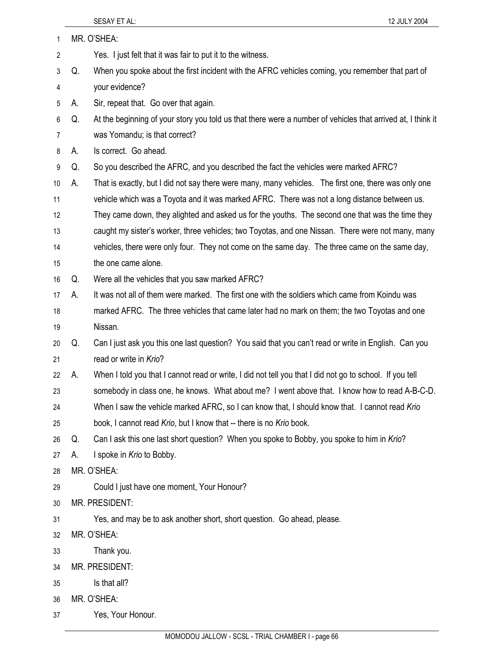| 1  |    | MR. O'SHEA:                                                                                                 |
|----|----|-------------------------------------------------------------------------------------------------------------|
| 2  |    | Yes. I just felt that it was fair to put it to the witness.                                                 |
| 3  | Q. | When you spoke about the first incident with the AFRC vehicles coming, you remember that part of            |
| 4  |    | your evidence?                                                                                              |
| 5  | А. | Sir, repeat that. Go over that again.                                                                       |
| 6  | Q. | At the beginning of your story you told us that there were a number of vehicles that arrived at, I think it |
| 7  |    | was Yomandu; is that correct?                                                                               |
| 8  | А. | Is correct. Go ahead.                                                                                       |
| 9  | Q. | So you described the AFRC, and you described the fact the vehicles were marked AFRC?                        |
| 10 | А. | That is exactly, but I did not say there were many, many vehicles. The first one, there was only one        |
| 11 |    | vehicle which was a Toyota and it was marked AFRC. There was not a long distance between us.                |
| 12 |    | They came down, they alighted and asked us for the youths. The second one that was the time they            |
| 13 |    | caught my sister's worker, three vehicles; two Toyotas, and one Nissan. There were not many, many           |
| 14 |    | vehicles, there were only four. They not come on the same day. The three came on the same day,              |
| 15 |    | the one came alone.                                                                                         |
| 16 | Q. | Were all the vehicles that you saw marked AFRC?                                                             |
| 17 | А. | It was not all of them were marked. The first one with the soldiers which came from Koindu was              |
| 18 |    | marked AFRC. The three vehicles that came later had no mark on them; the two Toyotas and one                |
| 19 |    | Nissan.                                                                                                     |
| 20 | Q. | Can I just ask you this one last question? You said that you can't read or write in English. Can you        |
| 21 |    | read or write in Krio?                                                                                      |
| 22 | А. | When I told you that I cannot read or write, I did not tell you that I did not go to school. If you tell    |
| 23 |    | somebody in class one, he knows. What about me? I went above that. I know how to read A-B-C-D.              |
| 24 |    | When I saw the vehicle marked AFRC, so I can know that, I should know that. I cannot read Krio              |
| 25 |    | book, I cannot read Krio, but I know that -- there is no Krio book.                                         |
| 26 | Q. | Can I ask this one last short question? When you spoke to Bobby, you spoke to him in Krio?                  |
| 27 | А. | I spoke in Krio to Bobby.                                                                                   |
| 28 |    | MR. O'SHEA:                                                                                                 |
| 29 |    | Could I just have one moment, Your Honour?                                                                  |
| 30 |    | MR. PRESIDENT:                                                                                              |
| 31 |    | Yes, and may be to ask another short, short question. Go ahead, please.                                     |
| 32 |    | MR. O'SHEA:                                                                                                 |
| 33 |    | Thank you.                                                                                                  |
| 34 |    | MR. PRESIDENT:                                                                                              |
| 35 |    | Is that all?                                                                                                |
| 36 |    | MR. O'SHEA:                                                                                                 |
| 37 |    | Yes, Your Honour.                                                                                           |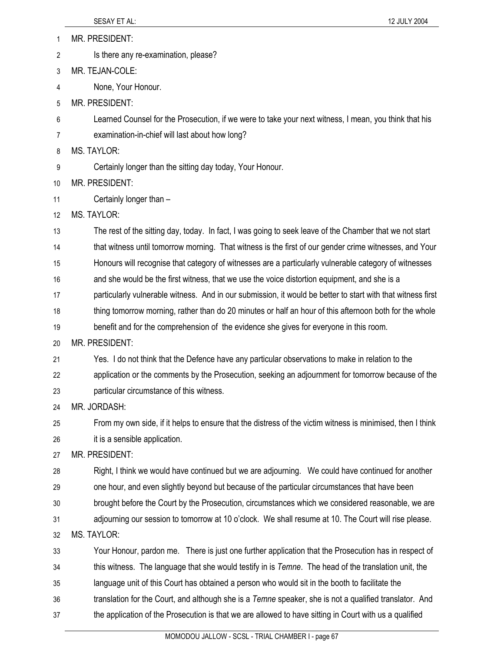1 MR. PRESIDENT: 2 Is there any re-examination, please? 3 MR. TEJAN-COLE: 4 None, Your Honour. 5 MR. PRESIDENT: 6 Learned Counsel for the Prosecution, if we were to take your next witness, I mean, you think that his 7 examination-in-chief will last about how long? 8 MS. TAYLOR: 9 Certainly longer than the sitting day today, Your Honour. 10 MR. PRESIDENT: 11 Certainly longer than – 12 MS. TAYLOR: 13 The rest of the sitting day, today. In fact, I was going to seek leave of the Chamber that we not start 14 that witness until tomorrow morning. That witness is the first of our gender crime witnesses, and Your 15 Honours will recognise that category of witnesses are a particularly vulnerable category of witnesses 16 and she would be the first witness, that we use the voice distortion equipment, and she is a 17 particularly vulnerable witness. And in our submission, it would be better to start with that witness first 18 thing tomorrow morning, rather than do 20 minutes or half an hour of this afternoon both for the whole 19 benefit and for the comprehension of the evidence she gives for everyone in this room. 20 MR. PRESIDENT: 21 Yes. I do not think that the Defence have any particular observations to make in relation to the 22 application or the comments by the Prosecution, seeking an adjournment for tomorrow because of the 23 particular circumstance of this witness. 24 MR. JORDASH: 25 From my own side, if it helps to ensure that the distress of the victim witness is minimised, then I think 26 it is a sensible application. 27 MR. PRESIDENT: 28 Right, I think we would have continued but we are adjourning. We could have continued for another 29 one hour, and even slightly beyond but because of the particular circumstances that have been 30 brought before the Court by the Prosecution, circumstances which we considered reasonable, we are 31 adjourning our session to tomorrow at 10 o'clock. We shall resume at 10. The Court will rise please. 32 MS. TAYLOR: 33 Your Honour, pardon me. There is just one further application that the Prosecution has in respect of 34 this witness. The language that she would testify in is *Temne*. The head of the translation unit, the 35 language unit of this Court has obtained a person who would sit in the booth to facilitate the 36 translation for the Court, and although she is a *Temne* speaker, she is not a qualified translator. And 37 the application of the Prosecution is that we are allowed to have sitting in Court with us a qualified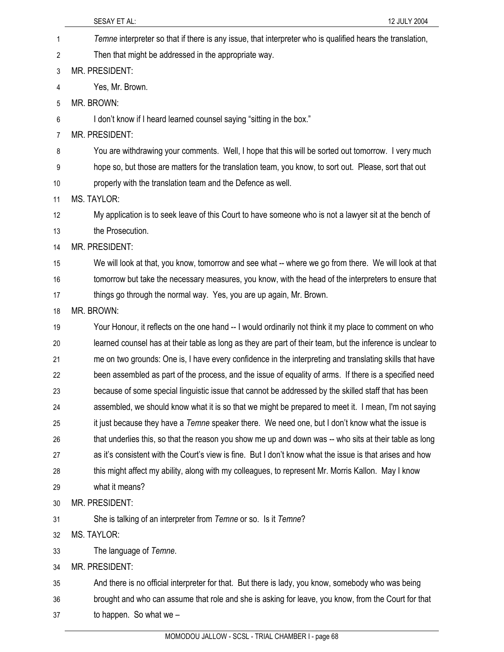|    | SESAY ET AL:<br>12 JULY 2004                                                                               |
|----|------------------------------------------------------------------------------------------------------------|
| 1  | Temne interpreter so that if there is any issue, that interpreter who is qualified hears the translation,  |
| 2  | Then that might be addressed in the appropriate way.                                                       |
| 3  | MR. PRESIDENT:                                                                                             |
| 4  | Yes, Mr. Brown.                                                                                            |
| 5  | MR. BROWN:                                                                                                 |
| 6  | I don't know if I heard learned counsel saying "sitting in the box."                                       |
| 7  | MR. PRESIDENT:                                                                                             |
| 8  | You are withdrawing your comments. Well, I hope that this will be sorted out tomorrow. I very much         |
| 9  | hope so, but those are matters for the translation team, you know, to sort out. Please, sort that out      |
| 10 | properly with the translation team and the Defence as well.                                                |
| 11 | <b>MS. TAYLOR:</b>                                                                                         |
| 12 | My application is to seek leave of this Court to have someone who is not a lawyer sit at the bench of      |
| 13 | the Prosecution.                                                                                           |
| 14 | MR. PRESIDENT:                                                                                             |
| 15 | We will look at that, you know, tomorrow and see what -- where we go from there. We will look at that      |
| 16 | tomorrow but take the necessary measures, you know, with the head of the interpreters to ensure that       |
| 17 | things go through the normal way. Yes, you are up again, Mr. Brown.                                        |
| 18 | MR. BROWN:                                                                                                 |
| 19 | Your Honour, it reflects on the one hand -- I would ordinarily not think it my place to comment on who     |
| 20 | learned counsel has at their table as long as they are part of their team, but the inference is unclear to |
| 21 | me on two grounds: One is, I have every confidence in the interpreting and translating skills that have    |
| 22 | been assembled as part of the process, and the issue of equality of arms. If there is a specified need     |
| 23 | because of some special linguistic issue that cannot be addressed by the skilled staff that has been       |
| 24 | assembled, we should know what it is so that we might be prepared to meet it. I mean, I'm not saying       |
| 25 | it just because they have a Temne speaker there. We need one, but I don't know what the issue is           |
| 26 | that underlies this, so that the reason you show me up and down was -- who sits at their table as long     |
| 27 | as it's consistent with the Court's view is fine. But I don't know what the issue is that arises and how   |
| 28 | this might affect my ability, along with my colleagues, to represent Mr. Morris Kallon. May I know         |
| 29 | what it means?                                                                                             |
| 30 | MR. PRESIDENT:                                                                                             |
| 31 | She is talking of an interpreter from Temne or so. Is it Temne?                                            |
| 32 | MS. TAYLOR:                                                                                                |
| 33 | The language of Temne.                                                                                     |
| 34 | MR. PRESIDENT:                                                                                             |
| 35 | And there is no official interpreter for that. But there is lady, you know, somebody who was being         |
| 36 | brought and who can assume that role and she is asking for leave, you know, from the Court for that        |
| 37 | to happen. So what we $-$                                                                                  |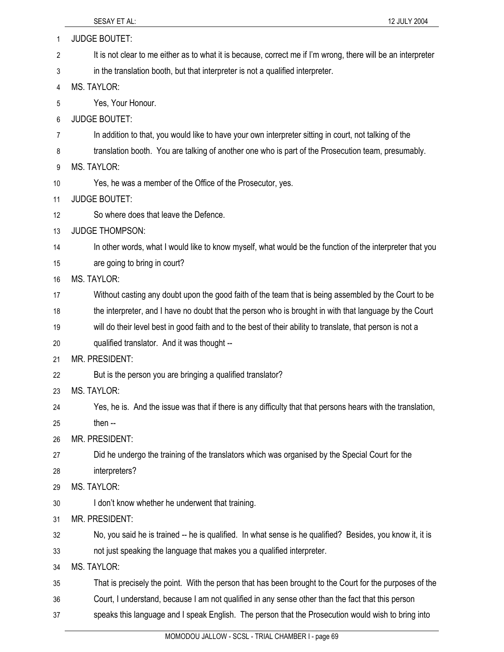| 1  | <b>JUDGE BOUTET:</b>                                                                                         |
|----|--------------------------------------------------------------------------------------------------------------|
| 2  | It is not clear to me either as to what it is because, correct me if I'm wrong, there will be an interpreter |
| 3  | in the translation booth, but that interpreter is not a qualified interpreter.                               |
| 4  | <b>MS. TAYLOR:</b>                                                                                           |
| 5  | Yes, Your Honour.                                                                                            |
| 6  | <b>JUDGE BOUTET:</b>                                                                                         |
| 7  | In addition to that, you would like to have your own interpreter sitting in court, not talking of the        |
| 8  | translation booth. You are talking of another one who is part of the Prosecution team, presumably.           |
| 9  | <b>MS. TAYLOR:</b>                                                                                           |
| 10 | Yes, he was a member of the Office of the Prosecutor, yes.                                                   |
| 11 | <b>JUDGE BOUTET:</b>                                                                                         |
| 12 | So where does that leave the Defence.                                                                        |
| 13 | <b>JUDGE THOMPSON:</b>                                                                                       |
| 14 | In other words, what I would like to know myself, what would be the function of the interpreter that you     |
| 15 | are going to bring in court?                                                                                 |
| 16 | <b>MS. TAYLOR:</b>                                                                                           |
| 17 | Without casting any doubt upon the good faith of the team that is being assembled by the Court to be         |
| 18 | the interpreter, and I have no doubt that the person who is brought in with that language by the Court       |
| 19 | will do their level best in good faith and to the best of their ability to translate, that person is not a   |
| 20 | qualified translator. And it was thought --                                                                  |
| 21 | <b>MR. PRESIDENT:</b>                                                                                        |
| 22 | But is the person you are bringing a qualified translator?                                                   |
| 23 | <b>MS. TAYLOR:</b>                                                                                           |
| 24 | Yes, he is. And the issue was that if there is any difficulty that that persons hears with the translation,  |
| 25 | then --                                                                                                      |
| 26 | MR. PRESIDENT:                                                                                               |
| 27 | Did he undergo the training of the translators which was organised by the Special Court for the              |
| 28 | interpreters?                                                                                                |
| 29 | <b>MS. TAYLOR:</b>                                                                                           |
| 30 | I don't know whether he underwent that training.                                                             |
| 31 | MR. PRESIDENT:                                                                                               |
| 32 | No, you said he is trained -- he is qualified. In what sense is he qualified? Besides, you know it, it is    |
| 33 | not just speaking the language that makes you a qualified interpreter.                                       |
| 34 | <b>MS. TAYLOR:</b>                                                                                           |
| 35 | That is precisely the point. With the person that has been brought to the Court for the purposes of the      |
| 36 | Court, I understand, because I am not qualified in any sense other than the fact that this person            |
| 37 | speaks this language and I speak English. The person that the Prosecution would wish to bring into           |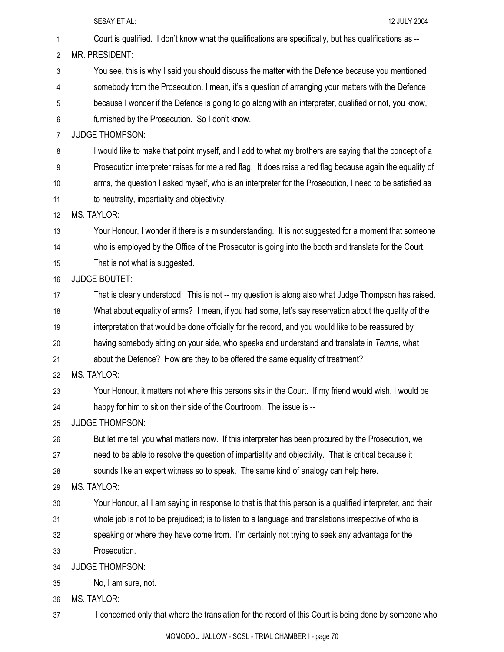|    | SESAY ET AL:<br>12 JULY 2004                                                                               |
|----|------------------------------------------------------------------------------------------------------------|
| 1  | Court is qualified. I don't know what the qualifications are specifically, but has qualifications as --    |
| 2  | MR. PRESIDENT:                                                                                             |
| 3  | You see, this is why I said you should discuss the matter with the Defence because you mentioned           |
| 4  | somebody from the Prosecution. I mean, it's a question of arranging your matters with the Defence          |
| 5  | because I wonder if the Defence is going to go along with an interpreter, qualified or not, you know,      |
| 6  | furnished by the Prosecution. So I don't know.                                                             |
| 7  | <b>JUDGE THOMPSON:</b>                                                                                     |
| 8  | I would like to make that point myself, and I add to what my brothers are saying that the concept of a     |
| 9  | Prosecution interpreter raises for me a red flag. It does raise a red flag because again the equality of   |
| 10 | arms, the question I asked myself, who is an interpreter for the Prosecution, I need to be satisfied as    |
| 11 | to neutrality, impartiality and objectivity.                                                               |
| 12 | <b>MS. TAYLOR:</b>                                                                                         |
| 13 | Your Honour, I wonder if there is a misunderstanding. It is not suggested for a moment that someone        |
| 14 | who is employed by the Office of the Prosecutor is going into the booth and translate for the Court.       |
| 15 | That is not what is suggested.                                                                             |
| 16 | <b>JUDGE BOUTET:</b>                                                                                       |
| 17 | That is clearly understood. This is not -- my question is along also what Judge Thompson has raised.       |
| 18 | What about equality of arms? I mean, if you had some, let's say reservation about the quality of the       |
| 19 | interpretation that would be done officially for the record, and you would like to be reassured by         |
| 20 | having somebody sitting on your side, who speaks and understand and translate in Temne, what               |
| 21 | about the Defence? How are they to be offered the same equality of treatment?                              |
| 22 | <b>MS. TAYLOR:</b>                                                                                         |
| 23 | Your Honour, it matters not where this persons sits in the Court. If my friend would wish, I would be      |
| 24 | happy for him to sit on their side of the Courtroom. The issue is --                                       |
| 25 | <b>JUDGE THOMPSON:</b>                                                                                     |
| 26 | But let me tell you what matters now. If this interpreter has been procured by the Prosecution, we         |
| 27 | need to be able to resolve the question of impartiality and objectivity. That is critical because it       |
| 28 | sounds like an expert witness so to speak. The same kind of analogy can help here.                         |
| 29 | <b>MS. TAYLOR:</b>                                                                                         |
| 30 | Your Honour, all I am saying in response to that is that this person is a qualified interpreter, and their |
| 31 | whole job is not to be prejudiced; is to listen to a language and translations irrespective of who is      |
| 32 | speaking or where they have come from. I'm certainly not trying to seek any advantage for the              |
| 33 | Prosecution.                                                                                               |
| 34 | <b>JUDGE THOMPSON:</b>                                                                                     |
| 35 | No, I am sure, not.                                                                                        |
| 36 | <b>MS. TAYLOR:</b>                                                                                         |
| 37 | I concerned only that where the translation for the record of this Court is being done by someone who      |